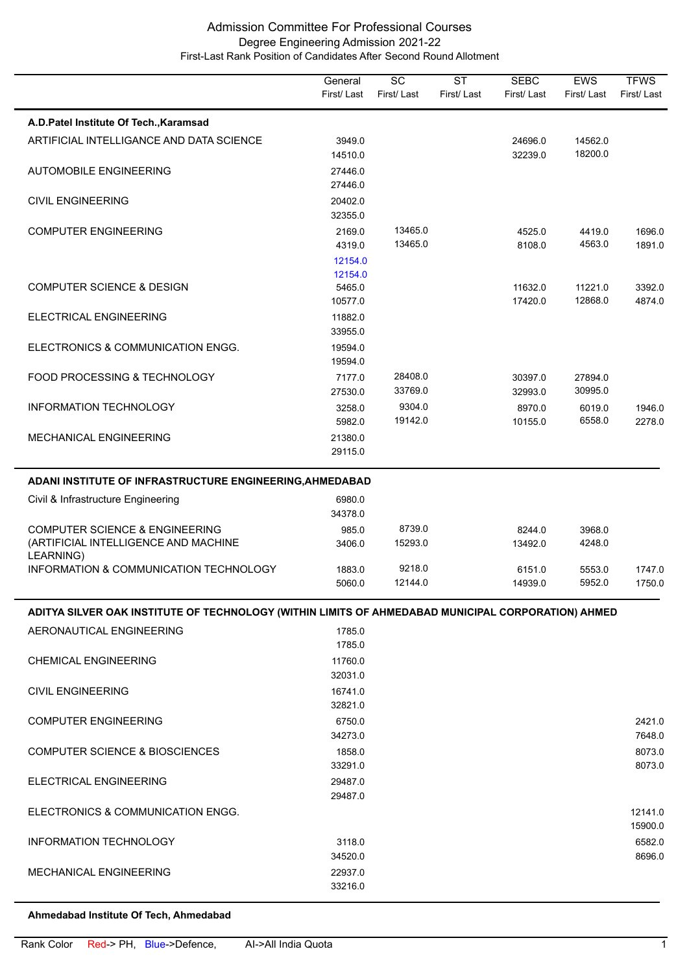|                                                                                                     | General<br>First/Last        | SC<br>First/Last   | <b>ST</b><br>First/Last | <b>SEBC</b><br>First/Last | <b>EWS</b><br>First/Last | <b>TFWS</b><br>First/Last |
|-----------------------------------------------------------------------------------------------------|------------------------------|--------------------|-------------------------|---------------------------|--------------------------|---------------------------|
| A.D.Patel Institute Of Tech., Karamsad                                                              |                              |                    |                         |                           |                          |                           |
| ARTIFICIAL INTELLIGANCE AND DATA SCIENCE                                                            | 3949.0<br>14510.0            |                    |                         | 24696.0<br>32239.0        | 14562.0<br>18200.0       |                           |
| <b>AUTOMOBILE ENGINEERING</b>                                                                       | 27446.0<br>27446.0           |                    |                         |                           |                          |                           |
| <b>CIVIL ENGINEERING</b>                                                                            | 20402.0<br>32355.0           |                    |                         |                           |                          |                           |
| <b>COMPUTER ENGINEERING</b>                                                                         | 2169.0<br>4319.0<br>12154.0  | 13465.0<br>13465.0 |                         | 4525.0<br>8108.0          | 4419.0<br>4563.0         | 1696.0<br>1891.0          |
| <b>COMPUTER SCIENCE &amp; DESIGN</b>                                                                | 12154.0<br>5465.0<br>10577.0 |                    |                         | 11632.0<br>17420.0        | 11221.0<br>12868.0       | 3392.0<br>4874.0          |
| ELECTRICAL ENGINEERING                                                                              | 11882.0<br>33955.0           |                    |                         |                           |                          |                           |
| ELECTRONICS & COMMUNICATION ENGG.                                                                   | 19594.0<br>19594.0           |                    |                         |                           |                          |                           |
| FOOD PROCESSING & TECHNOLOGY                                                                        | 7177.0<br>27530.0            | 28408.0<br>33769.0 |                         | 30397.0<br>32993.0        | 27894.0<br>30995.0       |                           |
| <b>INFORMATION TECHNOLOGY</b>                                                                       | 3258.0<br>5982.0             | 9304.0<br>19142.0  |                         | 8970.0<br>10155.0         | 6019.0<br>6558.0         | 1946.0<br>2278.0          |
| MECHANICAL ENGINEERING                                                                              | 21380.0<br>29115.0           |                    |                         |                           |                          |                           |
| ADANI INSTITUTE OF INFRASTRUCTURE ENGINEERING, AHMEDABAD                                            |                              |                    |                         |                           |                          |                           |
| Civil & Infrastructure Engineering                                                                  | 6980.0<br>34378.0            |                    |                         |                           |                          |                           |
| <b>COMPUTER SCIENCE &amp; ENGINEERING</b><br>(ARTIFICIAL INTELLIGENCE AND MACHINE<br>LEARNING)      | 985.0<br>3406.0              | 8739.0<br>15293.0  |                         | 8244.0<br>13492.0         | 3968.0<br>4248.0         |                           |
| INFORMATION & COMMUNICATION TECHNOLOGY                                                              | 1883.0<br>5060.0             | 9218.0<br>12144.0  |                         | 6151.0<br>14939.0         | 5553.0<br>5952.0         | 1747.0<br>1750.0          |
| ADITYA SILVER OAK INSTITUTE OF TECHNOLOGY (WITHIN LIMITS OF AHMEDABAD MUNICIPAL CORPORATION) AHMED. |                              |                    |                         |                           |                          |                           |
| AERONAUTICAL ENGINEERING                                                                            | 1785.0<br>1785.0             |                    |                         |                           |                          |                           |
| <b>CHEMICAL ENGINEERING</b>                                                                         | 11760.0<br>32031.0           |                    |                         |                           |                          |                           |
| <b>CIVIL ENGINEERING</b>                                                                            | 16741.0<br>32821.0           |                    |                         |                           |                          |                           |
| <b>COMPUTER ENGINEERING</b>                                                                         | 6750.0<br>34273.0            |                    |                         |                           |                          | 2421.0<br>7648.0          |
| <b>COMPUTER SCIENCE &amp; BIOSCIENCES</b>                                                           | 1858.0<br>33291.0            |                    |                         |                           |                          | 8073.0<br>8073.0          |
| <b>ELECTRICAL ENGINEERING</b>                                                                       | 29487.0<br>29487.0           |                    |                         |                           |                          |                           |
| ELECTRONICS & COMMUNICATION ENGG.                                                                   |                              |                    |                         |                           |                          | 12141.0<br>15900.0        |
| INFORMATION TECHNOLOGY                                                                              | 3118.0<br>34520.0            |                    |                         |                           |                          | 6582.0<br>8696.0          |
| <b>MECHANICAL ENGINEERING</b>                                                                       | 22937.0<br>33216.0           |                    |                         |                           |                          |                           |

#### **Ahmedabad Institute Of Tech, Ahmedabad**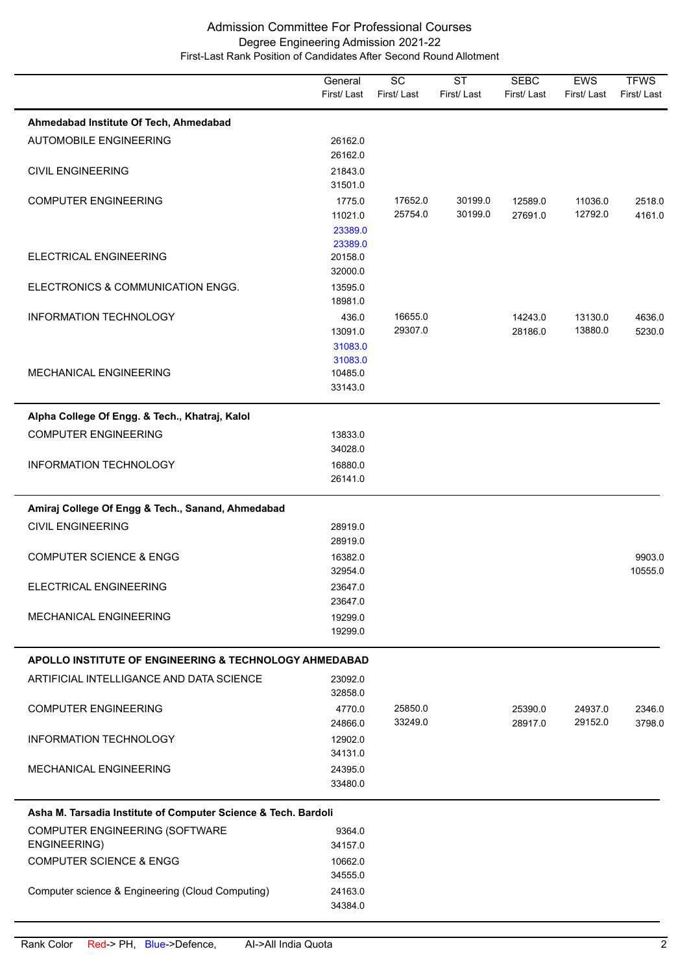|                                                                   | General<br>First/Last                   | SC<br>First/Last   | <b>ST</b><br>First/Last | <b>SEBC</b><br>First/Last | <b>EWS</b><br>First/Last | <b>TFWS</b><br>First/Last |
|-------------------------------------------------------------------|-----------------------------------------|--------------------|-------------------------|---------------------------|--------------------------|---------------------------|
| Ahmedabad Institute Of Tech, Ahmedabad                            |                                         |                    |                         |                           |                          |                           |
| <b>AUTOMOBILE ENGINEERING</b>                                     | 26162.0<br>26162.0                      |                    |                         |                           |                          |                           |
| <b>CIVIL ENGINEERING</b>                                          | 21843.0<br>31501.0                      |                    |                         |                           |                          |                           |
| <b>COMPUTER ENGINEERING</b>                                       | 1775.0<br>11021.0<br>23389.0<br>23389.0 | 17652.0<br>25754.0 | 30199.0<br>30199.0      | 12589.0<br>27691.0        | 11036.0<br>12792.0       | 2518.0<br>4161.0          |
| ELECTRICAL ENGINEERING                                            | 20158.0<br>32000.0                      |                    |                         |                           |                          |                           |
| ELECTRONICS & COMMUNICATION ENGG.                                 | 13595.0<br>18981.0                      |                    |                         |                           |                          |                           |
| <b>INFORMATION TECHNOLOGY</b>                                     | 436.0<br>13091.0<br>31083.0             | 16655.0<br>29307.0 |                         | 14243.0<br>28186.0        | 13130.0<br>13880.0       | 4636.0<br>5230.0          |
| <b>MECHANICAL ENGINEERING</b>                                     | 31083.0<br>10485.0<br>33143.0           |                    |                         |                           |                          |                           |
| Alpha College Of Engg. & Tech., Khatraj, Kalol                    |                                         |                    |                         |                           |                          |                           |
| <b>COMPUTER ENGINEERING</b>                                       | 13833.0<br>34028.0                      |                    |                         |                           |                          |                           |
| INFORMATION TECHNOLOGY                                            | 16880.0<br>26141.0                      |                    |                         |                           |                          |                           |
| Amiraj College Of Engg & Tech., Sanand, Ahmedabad                 |                                         |                    |                         |                           |                          |                           |
| <b>CIVIL ENGINEERING</b>                                          | 28919.0<br>28919.0                      |                    |                         |                           |                          |                           |
| <b>COMPUTER SCIENCE &amp; ENGG</b>                                | 16382.0<br>32954.0                      |                    |                         |                           |                          | 9903.0<br>10555.0         |
| ELECTRICAL ENGINEERING                                            | 23647.0<br>23647.0                      |                    |                         |                           |                          |                           |
| <b>MECHANICAL ENGINEERING</b>                                     | 19299.0<br>19299.0                      |                    |                         |                           |                          |                           |
| <b>APOLLO INSTITUTE OF ENGINEERING &amp; TECHNOLOGY AHMEDABAD</b> |                                         |                    |                         |                           |                          |                           |
| ARTIFICIAL INTELLIGANCE AND DATA SCIENCE                          | 23092.0<br>32858.0                      |                    |                         |                           |                          |                           |
| <b>COMPUTER ENGINEERING</b>                                       | 4770.0<br>24866.0                       | 25850.0<br>33249.0 |                         | 25390.0<br>28917.0        | 24937.0<br>29152.0       | 2346.0<br>3798.0          |
| INFORMATION TECHNOLOGY                                            | 12902.0<br>34131.0                      |                    |                         |                           |                          |                           |
| <b>MECHANICAL ENGINEERING</b>                                     | 24395.0<br>33480.0                      |                    |                         |                           |                          |                           |
| Asha M. Tarsadia Institute of Computer Science & Tech. Bardoli    |                                         |                    |                         |                           |                          |                           |
| COMPUTER ENGINEERING (SOFTWARE<br>ENGINEERING)                    | 9364.0<br>34157.0                       |                    |                         |                           |                          |                           |
| <b>COMPUTER SCIENCE &amp; ENGG</b>                                | 10662.0<br>34555.0                      |                    |                         |                           |                          |                           |
| Computer science & Engineering (Cloud Computing)                  | 24163.0<br>34384.0                      |                    |                         |                           |                          |                           |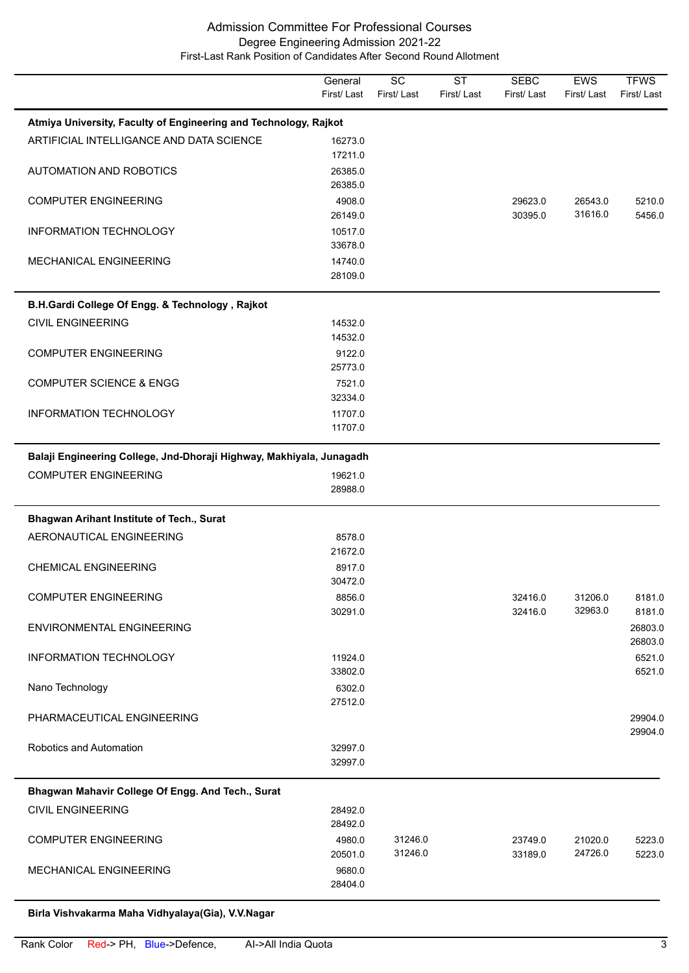|                                                                      | General<br>First/Last | $\overline{SC}$<br>First/Last | $\overline{\text{ST}}$<br>First/Last | <b>SEBC</b><br>First/Last | <b>EWS</b><br>First/Last | <b>TFWS</b><br>First/Last |
|----------------------------------------------------------------------|-----------------------|-------------------------------|--------------------------------------|---------------------------|--------------------------|---------------------------|
| Atmiya University, Faculty of Engineering and Technology, Rajkot     |                       |                               |                                      |                           |                          |                           |
| ARTIFICIAL INTELLIGANCE AND DATA SCIENCE                             | 16273.0<br>17211.0    |                               |                                      |                           |                          |                           |
| <b>AUTOMATION AND ROBOTICS</b>                                       | 26385.0<br>26385.0    |                               |                                      |                           |                          |                           |
| <b>COMPUTER ENGINEERING</b>                                          | 4908.0<br>26149.0     |                               |                                      | 29623.0<br>30395.0        | 26543.0<br>31616.0       | 5210.0<br>5456.0          |
| INFORMATION TECHNOLOGY                                               | 10517.0<br>33678.0    |                               |                                      |                           |                          |                           |
| MECHANICAL ENGINEERING                                               | 14740.0<br>28109.0    |                               |                                      |                           |                          |                           |
| B.H.Gardi College Of Engg. & Technology, Rajkot                      |                       |                               |                                      |                           |                          |                           |
| <b>CIVIL ENGINEERING</b>                                             | 14532.0<br>14532.0    |                               |                                      |                           |                          |                           |
| <b>COMPUTER ENGINEERING</b>                                          | 9122.0<br>25773.0     |                               |                                      |                           |                          |                           |
| <b>COMPUTER SCIENCE &amp; ENGG</b>                                   | 7521.0<br>32334.0     |                               |                                      |                           |                          |                           |
| <b>INFORMATION TECHNOLOGY</b>                                        | 11707.0<br>11707.0    |                               |                                      |                           |                          |                           |
| Balaji Engineering College, Jnd-Dhoraji Highway, Makhiyala, Junagadh |                       |                               |                                      |                           |                          |                           |
| <b>COMPUTER ENGINEERING</b>                                          | 19621.0<br>28988.0    |                               |                                      |                           |                          |                           |
| <b>Bhagwan Arihant Institute of Tech., Surat</b>                     |                       |                               |                                      |                           |                          |                           |
| AERONAUTICAL ENGINEERING                                             | 8578.0<br>21672.0     |                               |                                      |                           |                          |                           |
| <b>CHEMICAL ENGINEERING</b>                                          | 8917.0<br>30472.0     |                               |                                      |                           |                          |                           |
| <b>COMPUTER ENGINEERING</b>                                          | 8856.0<br>30291.0     |                               |                                      | 32416.0<br>32416.0        | 31206.0<br>32963.0       | 8181.0<br>8181.0          |
| <b>ENVIRONMENTAL ENGINEERING</b>                                     |                       |                               |                                      |                           |                          | 26803.0<br>26803.0        |
| <b>INFORMATION TECHNOLOGY</b>                                        | 11924.0<br>33802.0    |                               |                                      |                           |                          | 6521.0<br>6521.0          |
| Nano Technology                                                      | 6302.0<br>27512.0     |                               |                                      |                           |                          |                           |
| PHARMACEUTICAL ENGINEERING                                           |                       |                               |                                      |                           |                          | 29904.0<br>29904.0        |
| Robotics and Automation                                              | 32997.0<br>32997.0    |                               |                                      |                           |                          |                           |
| Bhagwan Mahavir College Of Engg. And Tech., Surat                    |                       |                               |                                      |                           |                          |                           |
| <b>CIVIL ENGINEERING</b>                                             | 28492.0<br>28492.0    |                               |                                      |                           |                          |                           |
| <b>COMPUTER ENGINEERING</b>                                          | 4980.0<br>20501.0     | 31246.0<br>31246.0            |                                      | 23749.0<br>33189.0        | 21020.0<br>24726.0       | 5223.0<br>5223.0          |
| <b>MECHANICAL ENGINEERING</b>                                        | 9680.0<br>28404.0     |                               |                                      |                           |                          |                           |

# **Birla Vishvakarma Maha Vidhyalaya(Gia), V.V.Nagar**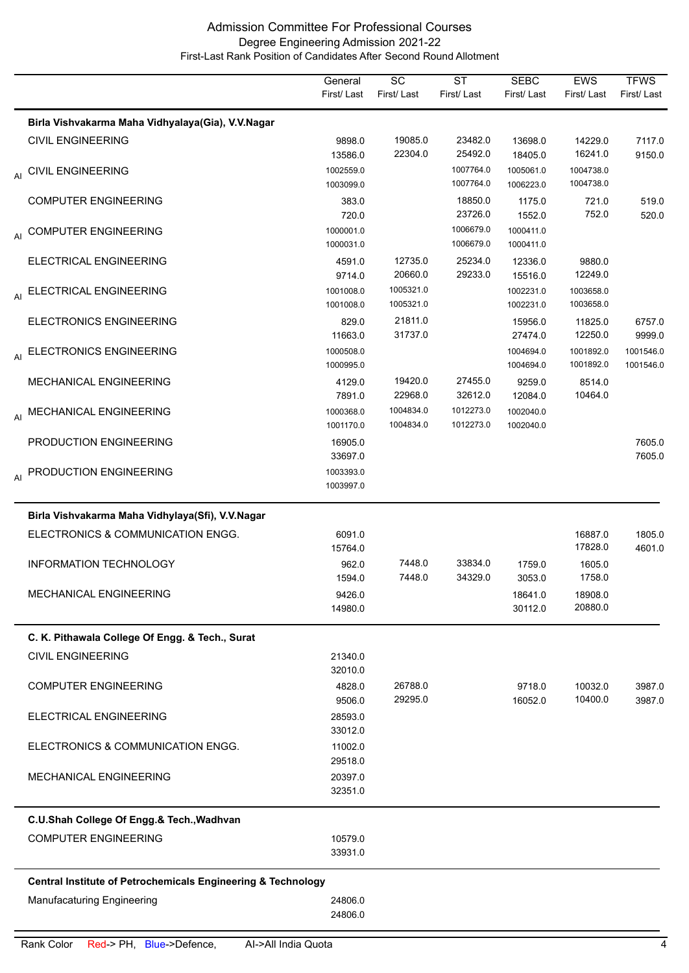|    |                                                                         | General<br>First/Last  | $\overline{SC}$<br>First/Last | $\overline{\text{ST}}$<br>First/Last | <b>SEBC</b><br>First/Last | EWS<br>First/Last      | <b>TFWS</b><br>First/Last |
|----|-------------------------------------------------------------------------|------------------------|-------------------------------|--------------------------------------|---------------------------|------------------------|---------------------------|
|    | Birla Vishvakarma Maha Vidhyalaya(Gia), V.V.Nagar                       |                        |                               |                                      |                           |                        |                           |
|    | <b>CIVIL ENGINEERING</b>                                                | 9898.0<br>13586.0      | 19085.0<br>22304.0            | 23482.0<br>25492.0                   | 13698.0<br>18405.0        | 14229.0<br>16241.0     | 7117.0<br>9150.0          |
| AI | <b>CIVIL ENGINEERING</b>                                                | 1002559.0<br>1003099.0 |                               | 1007764.0<br>1007764.0               | 1005061.0<br>1006223.0    | 1004738.0<br>1004738.0 |                           |
|    | <b>COMPUTER ENGINEERING</b>                                             | 383.0<br>720.0         |                               | 18850.0<br>23726.0                   | 1175.0<br>1552.0          | 721.0<br>752.0         | 519.0<br>520.0            |
|    | AI COMPUTER ENGINEERING                                                 | 1000001.0<br>1000031.0 |                               | 1006679.0<br>1006679.0               | 1000411.0<br>1000411.0    |                        |                           |
|    | ELECTRICAL ENGINEERING                                                  | 4591.0<br>9714.0       | 12735.0<br>20660.0            | 25234.0<br>29233.0                   | 12336.0<br>15516.0        | 9880.0<br>12249.0      |                           |
|    | AI ELECTRICAL ENGINEERING                                               | 1001008.0<br>1001008.0 | 1005321.0<br>1005321.0        |                                      | 1002231.0<br>1002231.0    | 1003658.0<br>1003658.0 |                           |
|    | <b>ELECTRONICS ENGINEERING</b>                                          | 829.0<br>11663.0       | 21811.0<br>31737.0            |                                      | 15956.0<br>27474.0        | 11825.0<br>12250.0     | 6757.0<br>9999.0          |
| AI | <b>ELECTRONICS ENGINEERING</b>                                          | 1000508.0<br>1000995.0 |                               |                                      | 1004694.0<br>1004694.0    | 1001892.0<br>1001892.0 | 1001546.0<br>1001546.0    |
|    | MECHANICAL ENGINEERING                                                  | 4129.0<br>7891.0       | 19420.0<br>22968.0            | 27455.0<br>32612.0                   | 9259.0<br>12084.0         | 8514.0<br>10464.0      |                           |
|    | AI MECHANICAL ENGINEERING                                               | 1000368.0<br>1001170.0 | 1004834.0<br>1004834.0        | 1012273.0<br>1012273.0               | 1002040.0<br>1002040.0    |                        |                           |
|    | PRODUCTION ENGINEERING                                                  | 16905.0<br>33697.0     |                               |                                      |                           |                        | 7605.0<br>7605.0          |
|    | AI PRODUCTION ENGINEERING                                               | 1003393.0<br>1003997.0 |                               |                                      |                           |                        |                           |
|    | Birla Vishvakarma Maha Vidhylaya(Sfi), V.V.Nagar                        |                        |                               |                                      |                           |                        |                           |
|    | ELECTRONICS & COMMUNICATION ENGG.                                       | 6091.0<br>15764.0      |                               |                                      |                           | 16887.0<br>17828.0     | 1805.0<br>4601.0          |
|    | <b>INFORMATION TECHNOLOGY</b>                                           | 962.0<br>1594.0        | 7448.0<br>7448.0              | 33834.0<br>34329.0                   | 1759.0<br>3053.0          | 1605.0<br>1758.0       |                           |
|    | MECHANICAL ENGINEERING                                                  | 9426.0<br>14980.0      |                               |                                      | 18641.0<br>30112.0        | 18908.0<br>20880.0     |                           |
|    | C. K. Pithawala College Of Engg. & Tech., Surat                         |                        |                               |                                      |                           |                        |                           |
|    | <b>CIVIL ENGINEERING</b>                                                | 21340.0<br>32010.0     |                               |                                      |                           |                        |                           |
|    | <b>COMPUTER ENGINEERING</b>                                             | 4828.0<br>9506.0       | 26788.0<br>29295.0            |                                      | 9718.0<br>16052.0         | 10032.0<br>10400.0     | 3987.0<br>3987.0          |
|    | ELECTRICAL ENGINEERING                                                  | 28593.0<br>33012.0     |                               |                                      |                           |                        |                           |
|    | ELECTRONICS & COMMUNICATION ENGG.                                       | 11002.0<br>29518.0     |                               |                                      |                           |                        |                           |
|    | MECHANICAL ENGINEERING                                                  | 20397.0<br>32351.0     |                               |                                      |                           |                        |                           |
|    | C.U.Shah College Of Engg.& Tech., Wadhvan                               |                        |                               |                                      |                           |                        |                           |
|    | <b>COMPUTER ENGINEERING</b>                                             | 10579.0<br>33931.0     |                               |                                      |                           |                        |                           |
|    | <b>Central Institute of Petrochemicals Engineering &amp; Technology</b> |                        |                               |                                      |                           |                        |                           |
|    | Manufacaturing Engineering                                              | 24806.0<br>24806.0     |                               |                                      |                           |                        |                           |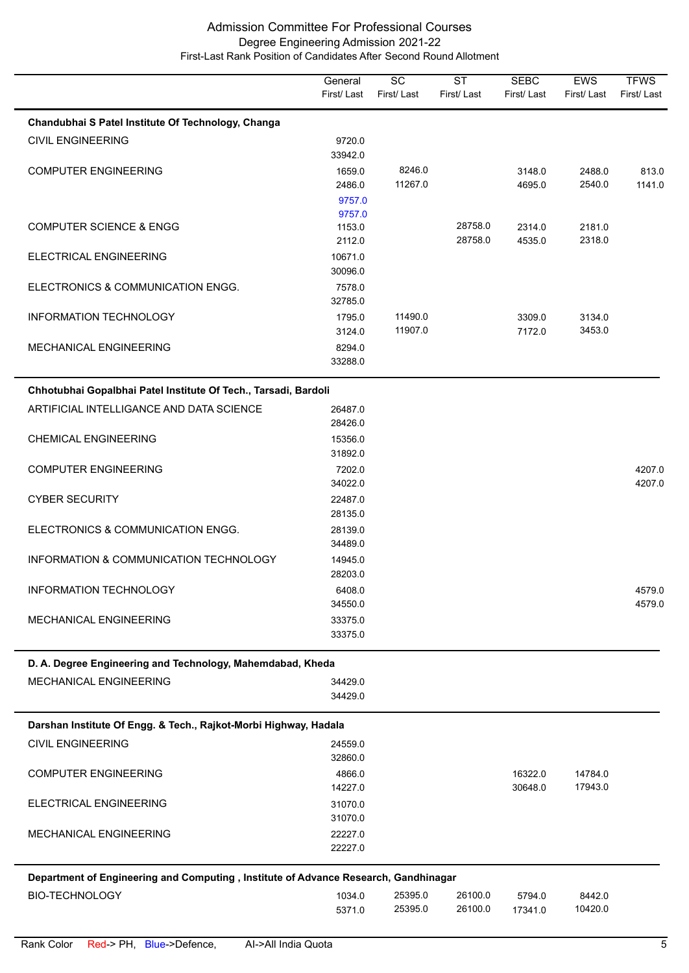|                                                                                     | General<br>First/Last      | $\overline{SC}$<br>First/Last | $\overline{\text{ST}}$<br>First/Last | <b>SEBC</b><br>First/Last | EWS<br>First/Last  | <b>TFWS</b><br>First/Last |
|-------------------------------------------------------------------------------------|----------------------------|-------------------------------|--------------------------------------|---------------------------|--------------------|---------------------------|
| Chandubhai S Patel Institute Of Technology, Changa                                  |                            |                               |                                      |                           |                    |                           |
| <b>CIVIL ENGINEERING</b>                                                            | 9720.0<br>33942.0          |                               |                                      |                           |                    |                           |
| <b>COMPUTER ENGINEERING</b>                                                         | 1659.0<br>2486.0<br>9757.0 | 8246.0<br>11267.0             |                                      | 3148.0<br>4695.0          | 2488.0<br>2540.0   | 813.0<br>1141.0           |
| <b>COMPUTER SCIENCE &amp; ENGG</b>                                                  | 9757.0<br>1153.0<br>2112.0 |                               | 28758.0<br>28758.0                   | 2314.0<br>4535.0          | 2181.0<br>2318.0   |                           |
| ELECTRICAL ENGINEERING                                                              | 10671.0<br>30096.0         |                               |                                      |                           |                    |                           |
| ELECTRONICS & COMMUNICATION ENGG.                                                   | 7578.0<br>32785.0          |                               |                                      |                           |                    |                           |
| INFORMATION TECHNOLOGY                                                              | 1795.0<br>3124.0           | 11490.0<br>11907.0            |                                      | 3309.0<br>7172.0          | 3134.0<br>3453.0   |                           |
| MECHANICAL ENGINEERING                                                              | 8294.0<br>33288.0          |                               |                                      |                           |                    |                           |
| Chhotubhai Gopalbhai Patel Institute Of Tech., Tarsadi, Bardoli                     |                            |                               |                                      |                           |                    |                           |
| ARTIFICIAL INTELLIGANCE AND DATA SCIENCE                                            | 26487.0<br>28426.0         |                               |                                      |                           |                    |                           |
| <b>CHEMICAL ENGINEERING</b>                                                         | 15356.0<br>31892.0         |                               |                                      |                           |                    |                           |
| <b>COMPUTER ENGINEERING</b>                                                         | 7202.0<br>34022.0          |                               |                                      |                           |                    | 4207.0<br>4207.0          |
| <b>CYBER SECURITY</b>                                                               | 22487.0<br>28135.0         |                               |                                      |                           |                    |                           |
| ELECTRONICS & COMMUNICATION ENGG.                                                   | 28139.0<br>34489.0         |                               |                                      |                           |                    |                           |
| INFORMATION & COMMUNICATION TECHNOLOGY                                              | 14945.0<br>28203.0         |                               |                                      |                           |                    |                           |
| <b>INFORMATION TECHNOLOGY</b>                                                       | 6408.0<br>34550.0          |                               |                                      |                           |                    | 4579.0<br>4579.0          |
| <b>MECHANICAL ENGINEERING</b>                                                       | 33375.0<br>33375.0         |                               |                                      |                           |                    |                           |
| D. A. Degree Engineering and Technology, Mahemdabad, Kheda                          |                            |                               |                                      |                           |                    |                           |
| MECHANICAL ENGINEERING                                                              | 34429.0<br>34429.0         |                               |                                      |                           |                    |                           |
| Darshan Institute Of Engg. & Tech., Rajkot-Morbi Highway, Hadala                    |                            |                               |                                      |                           |                    |                           |
| <b>CIVIL ENGINEERING</b>                                                            | 24559.0<br>32860.0         |                               |                                      |                           |                    |                           |
| <b>COMPUTER ENGINEERING</b>                                                         | 4866.0<br>14227.0          |                               |                                      | 16322.0<br>30648.0        | 14784.0<br>17943.0 |                           |
| ELECTRICAL ENGINEERING                                                              | 31070.0<br>31070.0         |                               |                                      |                           |                    |                           |
| MECHANICAL ENGINEERING                                                              | 22227.0<br>22227.0         |                               |                                      |                           |                    |                           |
| Department of Engineering and Computing, Institute of Advance Research, Gandhinagar |                            |                               |                                      |                           |                    |                           |
| <b>BIO-TECHNOLOGY</b>                                                               | 1034.0<br>5371.0           | 25395.0<br>25395.0            | 26100.0<br>26100.0                   | 5794.0<br>17341.0         | 8442.0<br>10420.0  |                           |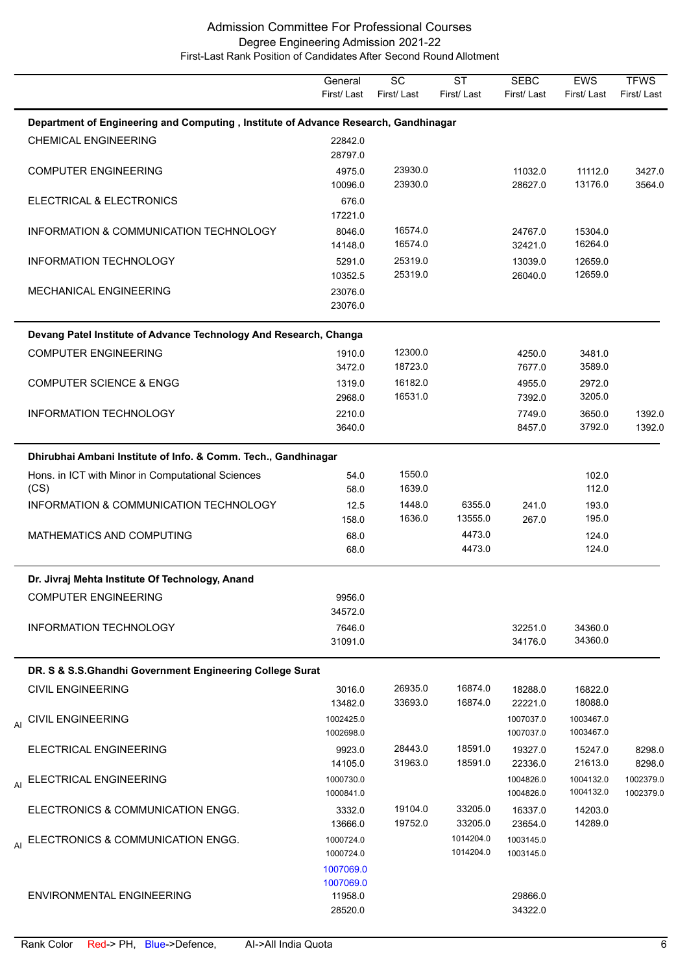|                                                                                     | General<br>First/Last                        | $\overline{SC}$<br>First/Last | $\overline{\text{ST}}$<br>First/Last | <b>SEBC</b><br>First/Last | <b>EWS</b><br>First/Last | <b>TFWS</b><br>First/Last |
|-------------------------------------------------------------------------------------|----------------------------------------------|-------------------------------|--------------------------------------|---------------------------|--------------------------|---------------------------|
| Department of Engineering and Computing, Institute of Advance Research, Gandhinagar |                                              |                               |                                      |                           |                          |                           |
| <b>CHEMICAL ENGINEERING</b>                                                         | 22842.0<br>28797.0                           |                               |                                      |                           |                          |                           |
| <b>COMPUTER ENGINEERING</b>                                                         | 4975.0<br>10096.0                            | 23930.0<br>23930.0            |                                      | 11032.0<br>28627.0        | 11112.0<br>13176.0       | 3427.0<br>3564.0          |
| ELECTRICAL & ELECTRONICS                                                            | 676.0<br>17221.0                             |                               |                                      |                           |                          |                           |
| INFORMATION & COMMUNICATION TECHNOLOGY                                              | 8046.0<br>14148.0                            | 16574.0<br>16574.0            |                                      | 24767.0<br>32421.0        | 15304.0<br>16264.0       |                           |
| INFORMATION TECHNOLOGY                                                              | 5291.0<br>10352.5                            | 25319.0<br>25319.0            |                                      | 13039.0<br>26040.0        | 12659.0<br>12659.0       |                           |
| <b>MECHANICAL ENGINEERING</b>                                                       | 23076.0<br>23076.0                           |                               |                                      |                           |                          |                           |
| Devang Patel Institute of Advance Technology And Research, Changa                   |                                              |                               |                                      |                           |                          |                           |
| <b>COMPUTER ENGINEERING</b>                                                         | 1910.0<br>3472.0                             | 12300.0<br>18723.0            |                                      | 4250.0<br>7677.0          | 3481.0<br>3589.0         |                           |
| <b>COMPUTER SCIENCE &amp; ENGG</b>                                                  | 1319.0<br>2968.0                             | 16182.0<br>16531.0            |                                      | 4955.0<br>7392.0          | 2972.0<br>3205.0         |                           |
| INFORMATION TECHNOLOGY                                                              | 2210.0<br>3640.0                             |                               |                                      | 7749.0<br>8457.0          | 3650.0<br>3792.0         | 1392.0<br>1392.0          |
| Dhirubhai Ambani Institute of Info. & Comm. Tech., Gandhinagar                      |                                              |                               |                                      |                           |                          |                           |
| Hons. in ICT with Minor in Computational Sciences<br>(CS)                           | 54.0<br>58.0                                 | 1550.0<br>1639.0              |                                      |                           | 102.0<br>112.0           |                           |
| INFORMATION & COMMUNICATION TECHNOLOGY                                              | 12.5<br>158.0                                | 1448.0<br>1636.0              | 6355.0<br>13555.0                    | 241.0<br>267.0            | 193.0<br>195.0           |                           |
| MATHEMATICS AND COMPUTING                                                           | 68.0<br>68.0                                 |                               | 4473.0<br>4473.0                     |                           | 124.0<br>124.0           |                           |
| Dr. Jivraj Mehta Institute Of Technology, Anand                                     |                                              |                               |                                      |                           |                          |                           |
| <b>COMPUTER ENGINEERING</b>                                                         | 9956.0<br>34572.0                            |                               |                                      |                           |                          |                           |
| INFORMATION TECHNOLOGY                                                              | 7646.0<br>31091.0                            |                               |                                      | 32251.0<br>34176.0        | 34360.0<br>34360.0       |                           |
| DR. S & S.S.Ghandhi Government Engineering College Surat                            |                                              |                               |                                      |                           |                          |                           |
| <b>CIVIL ENGINEERING</b>                                                            | 3016.0<br>13482.0                            | 26935.0<br>33693.0            | 16874.0<br>16874.0                   | 18288.0<br>22221.0        | 16822.0<br>18088.0       |                           |
| AI CIVIL ENGINEERING                                                                | 1002425.0<br>1002698.0                       |                               |                                      | 1007037.0<br>1007037.0    | 1003467.0<br>1003467.0   |                           |
| ELECTRICAL ENGINEERING                                                              | 9923.0<br>14105.0                            | 28443.0<br>31963.0            | 18591.0<br>18591.0                   | 19327.0<br>22336.0        | 15247.0<br>21613.0       | 8298.0<br>8298.0          |
| ELECTRICAL ENGINEERING<br>AI                                                        | 1000730.0<br>1000841.0                       |                               |                                      | 1004826.0<br>1004826.0    | 1004132.0<br>1004132.0   | 1002379.0<br>1002379.0    |
| ELECTRONICS & COMMUNICATION ENGG.                                                   | 3332.0<br>13666.0                            | 19104.0<br>19752.0            | 33205.0<br>33205.0                   | 16337.0<br>23654.0        | 14203.0<br>14289.0       |                           |
| AI ELECTRONICS & COMMUNICATION ENGG.                                                | 1000724.0<br>1000724.0                       |                               | 1014204.0<br>1014204.0               | 1003145.0<br>1003145.0    |                          |                           |
| ENVIRONMENTAL ENGINEERING                                                           | 1007069.0<br>1007069.0<br>11958.0<br>28520.0 |                               |                                      | 29866.0<br>34322.0        |                          |                           |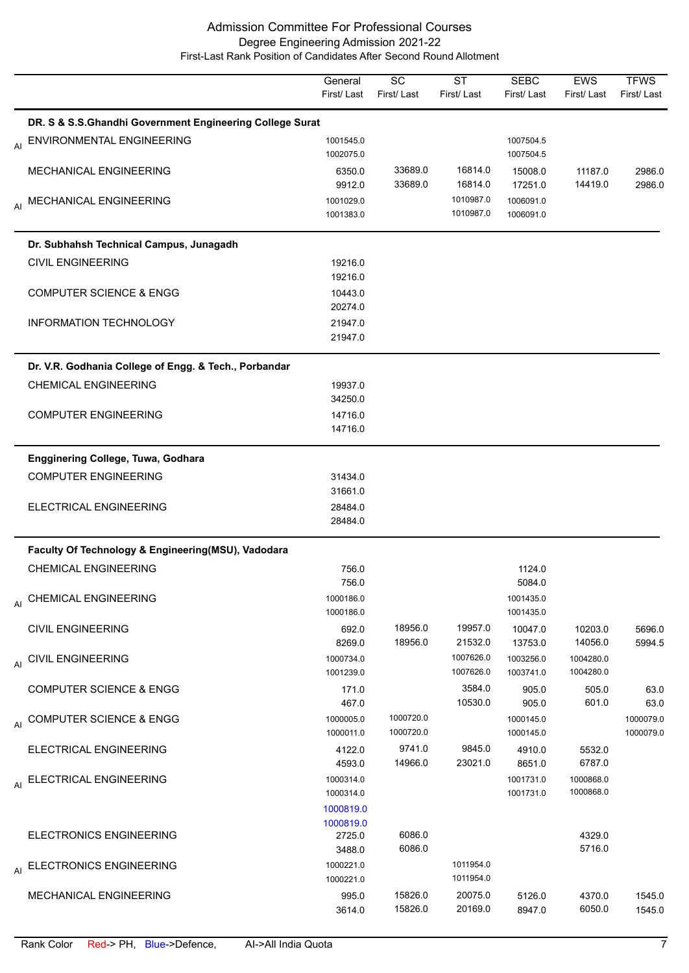|    |                                                          | General<br>First/Last               | SC<br>First/Last       | <b>ST</b><br>First/Last | <b>SEBC</b><br>First/Last | <b>EWS</b><br>First/Last | <b>TFWS</b><br>First/Last |
|----|----------------------------------------------------------|-------------------------------------|------------------------|-------------------------|---------------------------|--------------------------|---------------------------|
|    | DR. S & S.S.Ghandhi Government Engineering College Surat |                                     |                        |                         |                           |                          |                           |
|    | AI ENVIRONMENTAL ENGINEERING                             | 1001545.0<br>1002075.0              |                        |                         | 1007504.5<br>1007504.5    |                          |                           |
|    | MECHANICAL ENGINEERING                                   | 6350.0<br>9912.0                    | 33689.0<br>33689.0     | 16814.0<br>16814.0      | 15008.0<br>17251.0        | 11187.0<br>14419.0       | 2986.0<br>2986.0          |
|    | AI MECHANICAL ENGINEERING                                | 1001029.0<br>1001383.0              |                        | 1010987.0<br>1010987.0  | 1006091.0<br>1006091.0    |                          |                           |
|    | Dr. Subhahsh Technical Campus, Junagadh                  |                                     |                        |                         |                           |                          |                           |
|    | <b>CIVIL ENGINEERING</b>                                 | 19216.0<br>19216.0                  |                        |                         |                           |                          |                           |
|    | <b>COMPUTER SCIENCE &amp; ENGG</b>                       | 10443.0<br>20274.0                  |                        |                         |                           |                          |                           |
|    | <b>INFORMATION TECHNOLOGY</b>                            | 21947.0<br>21947.0                  |                        |                         |                           |                          |                           |
|    | Dr. V.R. Godhania College of Engg. & Tech., Porbandar    |                                     |                        |                         |                           |                          |                           |
|    | <b>CHEMICAL ENGINEERING</b>                              | 19937.0<br>34250.0                  |                        |                         |                           |                          |                           |
|    | <b>COMPUTER ENGINEERING</b>                              | 14716.0<br>14716.0                  |                        |                         |                           |                          |                           |
|    | Engginering College, Tuwa, Godhara                       |                                     |                        |                         |                           |                          |                           |
|    | <b>COMPUTER ENGINEERING</b>                              | 31434.0<br>31661.0                  |                        |                         |                           |                          |                           |
|    | ELECTRICAL ENGINEERING                                   | 28484.0<br>28484.0                  |                        |                         |                           |                          |                           |
|    | Faculty Of Technology & Engineering(MSU), Vadodara       |                                     |                        |                         |                           |                          |                           |
|    | <b>CHEMICAL ENGINEERING</b>                              | 756.0<br>756.0                      |                        |                         | 1124.0<br>5084.0          |                          |                           |
|    | AI CHEMICAL ENGINEERING                                  | 1000186.0<br>1000186.0              |                        |                         | 1001435.0<br>1001435.0    |                          |                           |
|    | <b>CIVIL ENGINEERING</b>                                 | 692.0<br>8269.0                     | 18956.0<br>18956.0     | 19957.0<br>21532.0      | 10047.0<br>13753.0        | 10203.0<br>14056.0       | 5696.0<br>5994.5          |
| AI | <b>CIVIL ENGINEERING</b>                                 | 1000734.0<br>1001239.0              |                        | 1007626.0<br>1007626.0  | 1003256.0<br>1003741.0    | 1004280.0<br>1004280.0   |                           |
|    | <b>COMPUTER SCIENCE &amp; ENGG</b>                       | 171.0<br>467.0                      |                        | 3584.0<br>10530.0       | 905.0<br>905.0            | 505.0<br>601.0           | 63.0<br>63.0              |
| AI | <b>COMPUTER SCIENCE &amp; ENGG</b>                       | 1000005.0<br>1000011.0              | 1000720.0<br>1000720.0 |                         | 1000145.0<br>1000145.0    |                          | 1000079.0<br>1000079.0    |
|    | ELECTRICAL ENGINEERING                                   | 4122.0<br>4593.0                    | 9741.0<br>14966.0      | 9845.0<br>23021.0       | 4910.0<br>8651.0          | 5532.0<br>6787.0         |                           |
|    | AI ELECTRICAL ENGINEERING                                | 1000314.0<br>1000314.0<br>1000819.0 |                        |                         | 1001731.0<br>1001731.0    | 1000868.0<br>1000868.0   |                           |
|    | <b>ELECTRONICS ENGINEERING</b>                           | 1000819.0<br>2725.0<br>3488.0       | 6086.0<br>6086.0       |                         |                           | 4329.0<br>5716.0         |                           |
| AI | <b>ELECTRONICS ENGINEERING</b>                           | 1000221.0<br>1000221.0              |                        | 1011954.0<br>1011954.0  |                           |                          |                           |
|    | MECHANICAL ENGINEERING                                   | 995.0<br>3614.0                     | 15826.0<br>15826.0     | 20075.0<br>20169.0      | 5126.0<br>8947.0          | 4370.0<br>6050.0         | 1545.0<br>1545.0          |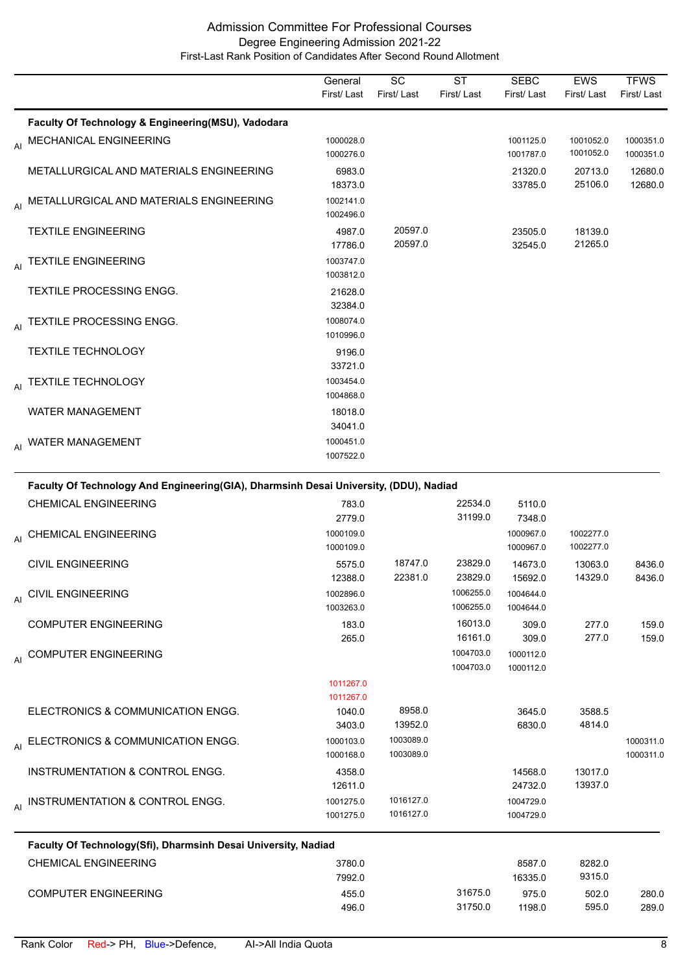|                                                    | General<br>First/Last  | SC<br>First/Last   | <b>ST</b><br>First/Last | <b>SEBC</b><br>First/Last | <b>EWS</b><br>First/Last | <b>TFWS</b><br>First/Last |
|----------------------------------------------------|------------------------|--------------------|-------------------------|---------------------------|--------------------------|---------------------------|
| Faculty Of Technology & Engineering(MSU), Vadodara |                        |                    |                         |                           |                          |                           |
| AI MECHANICAL ENGINEERING                          | 1000028.0<br>1000276.0 |                    |                         | 1001125.0<br>1001787.0    | 1001052.0<br>1001052.0   | 1000351.0<br>1000351.0    |
| METALLURGICAL AND MATERIALS ENGINEERING            | 6983.0<br>18373.0      |                    |                         | 21320.0<br>33785.0        | 20713.0<br>25106.0       | 12680.0<br>12680.0        |
| AI METALLURGICAL AND MATERIALS ENGINEERING         | 1002141.0<br>1002496.0 |                    |                         |                           |                          |                           |
| <b>TEXTILE ENGINEERING</b>                         | 4987.0<br>17786.0      | 20597.0<br>20597.0 |                         | 23505.0<br>32545.0        | 18139.0<br>21265.0       |                           |
| AI TEXTILE ENGINEERING                             | 1003747.0<br>1003812.0 |                    |                         |                           |                          |                           |
| <b>TEXTILE PROCESSING ENGG.</b>                    | 21628.0<br>32384.0     |                    |                         |                           |                          |                           |
| AI TEXTILE PROCESSING ENGG.                        | 1008074.0<br>1010996.0 |                    |                         |                           |                          |                           |
| <b>TEXTILE TECHNOLOGY</b>                          | 9196.0<br>33721.0      |                    |                         |                           |                          |                           |
| AI TEXTILE TECHNOLOGY                              | 1003454.0<br>1004868.0 |                    |                         |                           |                          |                           |
| <b>WATER MANAGEMENT</b>                            | 18018.0<br>34041.0     |                    |                         |                           |                          |                           |
| AI WATER MANAGEMENT                                | 1000451.0<br>1007522.0 |                    |                         |                           |                          |                           |

| Faculty Of Technology And Engineering(GIA), Dharmsinh Desai University, (DDU), Nadiad |           |           |           |           |           |           |
|---------------------------------------------------------------------------------------|-----------|-----------|-----------|-----------|-----------|-----------|
| <b>CHEMICAL ENGINEERING</b>                                                           | 783.0     |           | 22534.0   | 5110.0    |           |           |
|                                                                                       | 2779.0    |           | 31199.0   | 7348.0    |           |           |
| AI CHEMICAL ENGINEERING                                                               | 1000109.0 |           |           | 1000967.0 | 1002277.0 |           |
|                                                                                       | 1000109.0 |           |           | 1000967.0 | 1002277.0 |           |
| <b>CIVIL ENGINEERING</b>                                                              | 5575.0    | 18747.0   | 23829.0   | 14673.0   | 13063.0   | 8436.0    |
|                                                                                       | 12388.0   | 22381.0   | 23829.0   | 15692.0   | 14329.0   | 8436.0    |
| AI CIVIL ENGINEERING                                                                  | 1002896.0 |           | 1006255.0 | 1004644.0 |           |           |
|                                                                                       | 1003263.0 |           | 1006255.0 | 1004644.0 |           |           |
| <b>COMPUTER ENGINEERING</b>                                                           | 183.0     |           | 16013.0   | 309.0     | 277.0     | 159.0     |
|                                                                                       | 265.0     |           | 16161.0   | 309.0     | 277.0     | 159.0     |
| AI COMPUTER ENGINEERING                                                               |           |           | 1004703.0 | 1000112.0 |           |           |
|                                                                                       |           |           | 1004703.0 | 1000112.0 |           |           |
|                                                                                       | 1011267.0 |           |           |           |           |           |
|                                                                                       | 1011267.0 |           |           |           |           |           |
| ELECTRONICS & COMMUNICATION ENGG.                                                     | 1040.0    | 8958.0    |           | 3645.0    | 3588.5    |           |
|                                                                                       | 3403.0    | 13952.0   |           | 6830.0    | 4814.0    |           |
| AI ELECTRONICS & COMMUNICATION ENGG.                                                  | 1000103.0 | 1003089.0 |           |           |           | 1000311.0 |
|                                                                                       | 1000168.0 | 1003089.0 |           |           |           | 1000311.0 |
| INSTRUMENTATION & CONTROL ENGG.                                                       | 4358.0    |           |           | 14568.0   | 13017.0   |           |
|                                                                                       | 12611.0   |           |           | 24732.0   | 13937.0   |           |
| AI INSTRUMENTATION & CONTROL ENGG.                                                    | 1001275.0 | 1016127.0 |           | 1004729.0 |           |           |
|                                                                                       | 1001275.0 | 1016127.0 |           | 1004729.0 |           |           |
| Faculty Of Technology(Sfi), Dharmsinh Desai University, Nadiad                        |           |           |           |           |           |           |
| <b>CHEMICAL ENGINEERING</b>                                                           | 3780.0    |           |           | 8587.0    | 8282.0    |           |
|                                                                                       | 7992.0    |           |           | 16335.0   | 9315.0    |           |
| <b>COMPUTER ENGINEERING</b>                                                           | 455.0     |           | 31675.0   | 975.0     | 502.0     | 280.0     |
|                                                                                       | 496.0     |           | 31750.0   | 1198.0    | 595.0     | 289.0     |
|                                                                                       |           |           |           |           |           |           |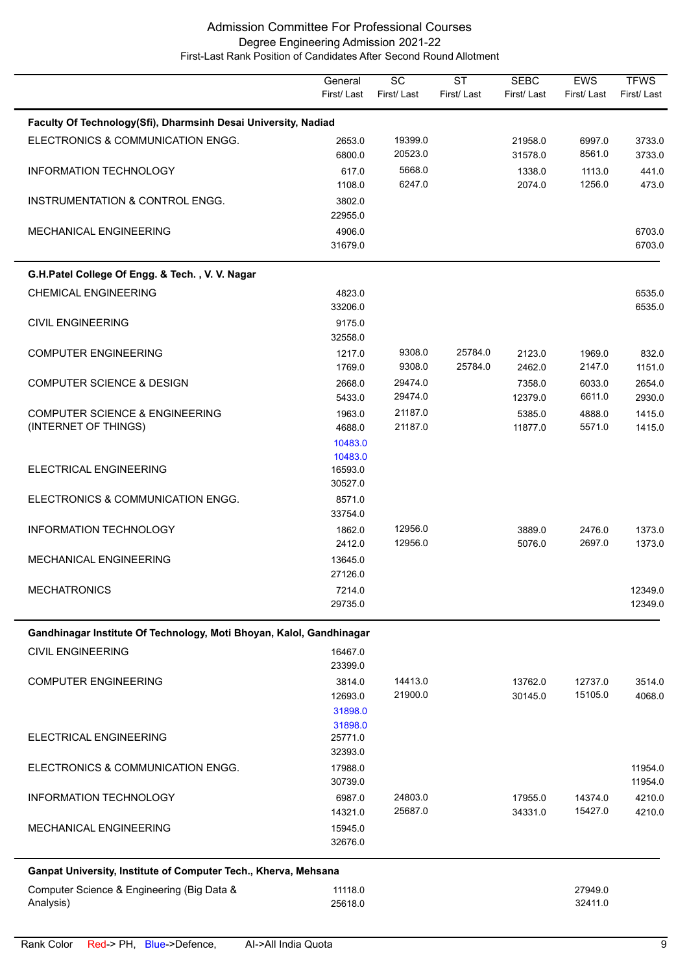|                                                                      | General<br>First/Last        | $\overline{SC}$<br>First/Last | $\overline{\text{ST}}$<br>First/Last | <b>SEBC</b><br>First/Last | <b>EWS</b><br>First/Last | <b>TFWS</b><br>First/Last |
|----------------------------------------------------------------------|------------------------------|-------------------------------|--------------------------------------|---------------------------|--------------------------|---------------------------|
| Faculty Of Technology(Sfi), Dharmsinh Desai University, Nadiad       |                              |                               |                                      |                           |                          |                           |
| ELECTRONICS & COMMUNICATION ENGG.                                    | 2653.0<br>6800.0             | 19399.0<br>20523.0            |                                      | 21958.0<br>31578.0        | 6997.0<br>8561.0         | 3733.0<br>3733.0          |
| INFORMATION TECHNOLOGY                                               | 617.0<br>1108.0              | 5668.0<br>6247.0              |                                      | 1338.0<br>2074.0          | 1113.0<br>1256.0         | 441.0<br>473.0            |
| INSTRUMENTATION & CONTROL ENGG.                                      | 3802.0<br>22955.0            |                               |                                      |                           |                          |                           |
| <b>MECHANICAL ENGINEERING</b>                                        | 4906.0<br>31679.0            |                               |                                      |                           |                          | 6703.0<br>6703.0          |
| G.H.Patel College Of Engg. & Tech., V. V. Nagar                      |                              |                               |                                      |                           |                          |                           |
| <b>CHEMICAL ENGINEERING</b>                                          | 4823.0<br>33206.0            |                               |                                      |                           |                          | 6535.0<br>6535.0          |
| <b>CIVIL ENGINEERING</b>                                             | 9175.0<br>32558.0            |                               |                                      |                           |                          |                           |
| <b>COMPUTER ENGINEERING</b>                                          | 1217.0<br>1769.0             | 9308.0<br>9308.0              | 25784.0<br>25784.0                   | 2123.0<br>2462.0          | 1969.0<br>2147.0         | 832.0<br>1151.0           |
| <b>COMPUTER SCIENCE &amp; DESIGN</b>                                 | 2668.0<br>5433.0             | 29474.0<br>29474.0            |                                      | 7358.0<br>12379.0         | 6033.0<br>6611.0         | 2654.0<br>2930.0          |
| <b>COMPUTER SCIENCE &amp; ENGINEERING</b>                            | 1963.0                       | 21187.0                       |                                      | 5385.0                    | 4888.0                   | 1415.0                    |
| (INTERNET OF THINGS)                                                 | 4688.0                       | 21187.0                       |                                      | 11877.0                   | 5571.0                   | 1415.0                    |
|                                                                      | 10483.0                      |                               |                                      |                           |                          |                           |
| ELECTRICAL ENGINEERING                                               | 10483.0<br>16593.0           |                               |                                      |                           |                          |                           |
| ELECTRONICS & COMMUNICATION ENGG.                                    | 30527.0<br>8571.0<br>33754.0 |                               |                                      |                           |                          |                           |
| INFORMATION TECHNOLOGY                                               | 1862.0<br>2412.0             | 12956.0<br>12956.0            |                                      | 3889.0<br>5076.0          | 2476.0<br>2697.0         | 1373.0<br>1373.0          |
| <b>MECHANICAL ENGINEERING</b>                                        | 13645.0<br>27126.0           |                               |                                      |                           |                          |                           |
| <b>MECHATRONICS</b>                                                  | 7214.0<br>29735.0            |                               |                                      |                           |                          | 12349.0<br>12349.0        |
|                                                                      |                              |                               |                                      |                           |                          |                           |
| Gandhinagar Institute Of Technology, Moti Bhoyan, Kalol, Gandhinagar |                              |                               |                                      |                           |                          |                           |
| <b>CIVIL ENGINEERING</b>                                             | 16467.0<br>23399.0           |                               |                                      |                           |                          |                           |
| <b>COMPUTER ENGINEERING</b>                                          | 3814.0<br>12693.0            | 14413.0<br>21900.0            |                                      | 13762.0<br>30145.0        | 12737.0<br>15105.0       | 3514.0<br>4068.0          |
|                                                                      | 31898.0                      |                               |                                      |                           |                          |                           |
|                                                                      | 31898.0                      |                               |                                      |                           |                          |                           |
| ELECTRICAL ENGINEERING                                               | 25771.0<br>32393.0           |                               |                                      |                           |                          |                           |
| ELECTRONICS & COMMUNICATION ENGG.                                    | 17988.0                      |                               |                                      |                           |                          | 11954.0                   |
|                                                                      | 30739.0                      |                               |                                      |                           |                          | 11954.0                   |
| INFORMATION TECHNOLOGY                                               | 6987.0<br>14321.0            | 24803.0<br>25687.0            |                                      | 17955.0<br>34331.0        | 14374.0<br>15427.0       | 4210.0<br>4210.0          |
| MECHANICAL ENGINEERING                                               | 15945.0<br>32676.0           |                               |                                      |                           |                          |                           |
| Ganpat University, Institute of Computer Tech., Kherva, Mehsana      |                              |                               |                                      |                           |                          |                           |
| Computer Science & Engineering (Big Data &<br>Analysis)              | 11118.0<br>25618.0           |                               |                                      |                           | 27949.0<br>32411.0       |                           |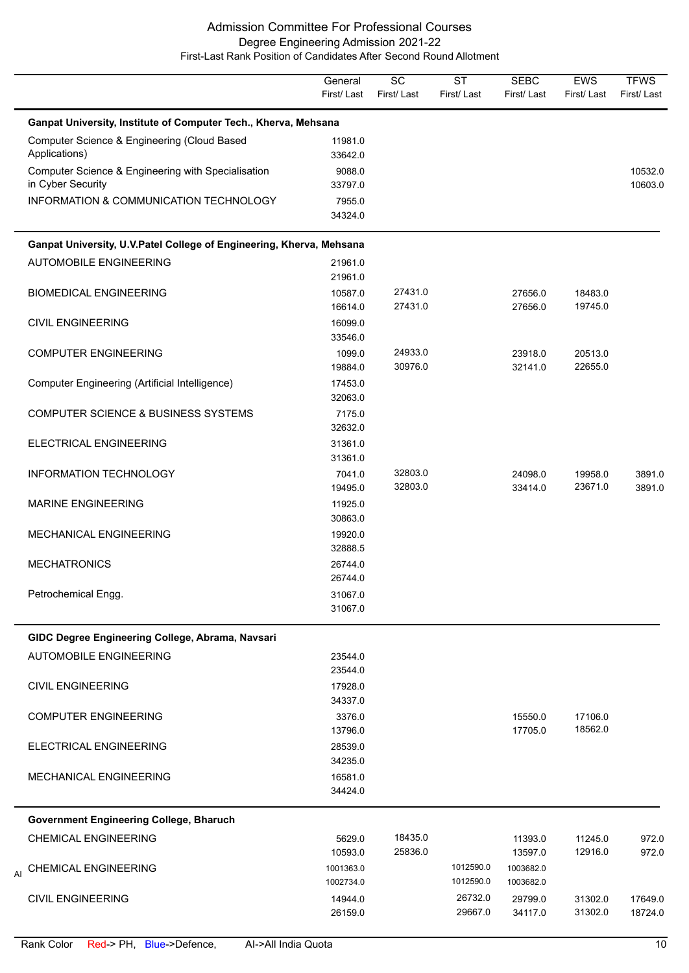|                                                                         | General<br>First/Last             | $\overline{SC}$<br>First/Last | $\overline{\text{ST}}$<br>First/Last | <b>SEBC</b><br>First/Last         | <b>EWS</b><br>First/Last | <b>TFWS</b><br>First/Last |
|-------------------------------------------------------------------------|-----------------------------------|-------------------------------|--------------------------------------|-----------------------------------|--------------------------|---------------------------|
| Ganpat University, Institute of Computer Tech., Kherva, Mehsana         |                                   |                               |                                      |                                   |                          |                           |
| Computer Science & Engineering (Cloud Based<br>Applications)            | 11981.0<br>33642.0                |                               |                                      |                                   |                          |                           |
| Computer Science & Engineering with Specialisation<br>in Cyber Security | 9088.0<br>33797.0                 |                               |                                      |                                   |                          | 10532.0<br>10603.0        |
| INFORMATION & COMMUNICATION TECHNOLOGY                                  | 7955.0<br>34324.0                 |                               |                                      |                                   |                          |                           |
| Ganpat University, U.V.Patel College of Engineering, Kherva, Mehsana    |                                   |                               |                                      |                                   |                          |                           |
| <b>AUTOMOBILE ENGINEERING</b>                                           | 21961.0<br>21961.0                |                               |                                      |                                   |                          |                           |
| <b>BIOMEDICAL ENGINEERING</b>                                           | 10587.0<br>16614.0                | 27431.0<br>27431.0            |                                      | 27656.0<br>27656.0                | 18483.0<br>19745.0       |                           |
| <b>CIVIL ENGINEERING</b>                                                | 16099.0<br>33546.0                |                               |                                      |                                   |                          |                           |
| <b>COMPUTER ENGINEERING</b>                                             | 1099.0<br>19884.0                 | 24933.0<br>30976.0            |                                      | 23918.0<br>32141.0                | 20513.0<br>22655.0       |                           |
| Computer Engineering (Artificial Intelligence)                          | 17453.0<br>32063.0                |                               |                                      |                                   |                          |                           |
| <b>COMPUTER SCIENCE &amp; BUSINESS SYSTEMS</b>                          | 7175.0<br>32632.0                 |                               |                                      |                                   |                          |                           |
| ELECTRICAL ENGINEERING                                                  | 31361.0<br>31361.0                |                               |                                      |                                   |                          |                           |
| INFORMATION TECHNOLOGY                                                  | 7041.0<br>19495.0                 | 32803.0<br>32803.0            |                                      | 24098.0<br>33414.0                | 19958.0<br>23671.0       | 3891.0<br>3891.0          |
| <b>MARINE ENGINEERING</b>                                               | 11925.0<br>30863.0                |                               |                                      |                                   |                          |                           |
| MECHANICAL ENGINEERING                                                  | 19920.0<br>32888.5                |                               |                                      |                                   |                          |                           |
| <b>MECHATRONICS</b>                                                     | 26744.0<br>26744.0                |                               |                                      |                                   |                          |                           |
| Petrochemical Engg.                                                     | 31067.0<br>31067.0                |                               |                                      |                                   |                          |                           |
| GIDC Degree Engineering College, Abrama, Navsari                        |                                   |                               |                                      |                                   |                          |                           |
| <b>AUTOMOBILE ENGINEERING</b>                                           | 23544.0<br>23544.0                |                               |                                      |                                   |                          |                           |
| <b>CIVIL ENGINEERING</b>                                                | 17928.0<br>34337.0                |                               |                                      |                                   |                          |                           |
| <b>COMPUTER ENGINEERING</b>                                             | 3376.0<br>13796.0                 |                               |                                      | 15550.0<br>17705.0                | 17106.0<br>18562.0       |                           |
| ELECTRICAL ENGINEERING                                                  | 28539.0<br>34235.0                |                               |                                      |                                   |                          |                           |
| MECHANICAL ENGINEERING                                                  | 16581.0<br>34424.0                |                               |                                      |                                   |                          |                           |
| Government Engineering College, Bharuch                                 |                                   |                               |                                      |                                   |                          |                           |
| <b>CHEMICAL ENGINEERING</b>                                             | 5629.0                            | 18435.0                       |                                      | 11393.0                           | 11245.0                  | 972.0                     |
| <b>CHEMICAL ENGINEERING</b><br>AI                                       | 10593.0<br>1001363.0<br>1002734.0 | 25836.0                       | 1012590.0<br>1012590.0               | 13597.0<br>1003682.0<br>1003682.0 | 12916.0                  | 972.0                     |
| <b>CIVIL ENGINEERING</b>                                                | 14944.0<br>26159.0                |                               | 26732.0<br>29667.0                   | 29799.0<br>34117.0                | 31302.0<br>31302.0       | 17649.0<br>18724.0        |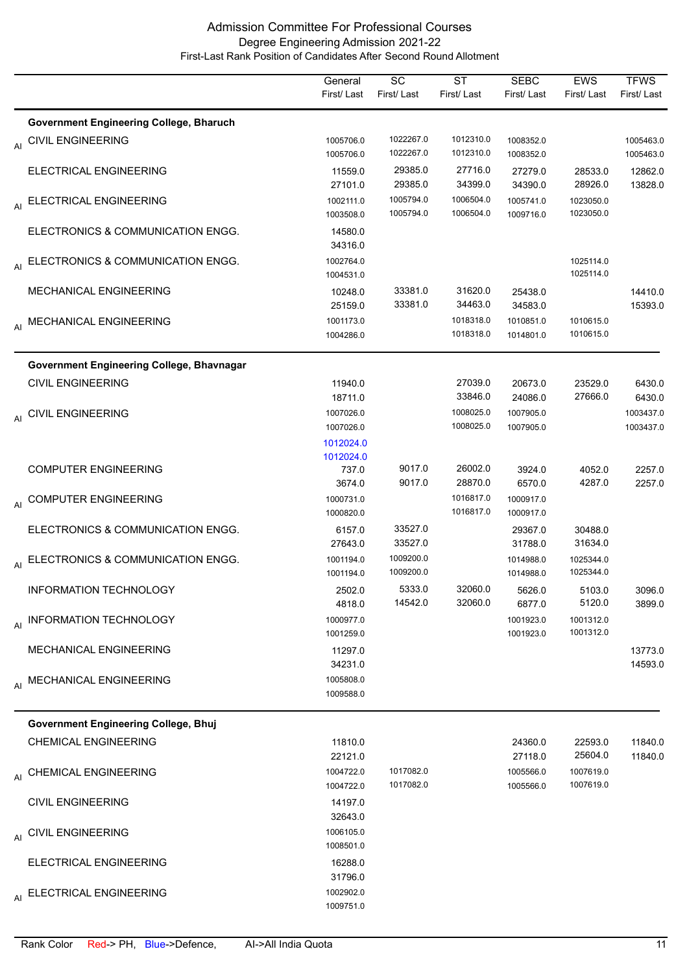|                                                | General<br>First/Last               | SC<br>First/Last       | <b>ST</b><br>First/Last | <b>SEBC</b><br>First/Last | EWS<br>First/Last      | <b>TFWS</b><br>First/Last |
|------------------------------------------------|-------------------------------------|------------------------|-------------------------|---------------------------|------------------------|---------------------------|
| <b>Government Engineering College, Bharuch</b> |                                     |                        |                         |                           |                        |                           |
| AI CIVIL ENGINEERING                           | 1005706.0<br>1005706.0              | 1022267.0<br>1022267.0 | 1012310.0<br>1012310.0  | 1008352.0<br>1008352.0    |                        | 1005463.0<br>1005463.0    |
| ELECTRICAL ENGINEERING                         | 11559.0<br>27101.0                  | 29385.0<br>29385.0     | 27716.0<br>34399.0      | 27279.0<br>34390.0        | 28533.0<br>28926.0     | 12862.0<br>13828.0        |
| AI ELECTRICAL ENGINEERING                      | 1002111.0<br>1003508.0              | 1005794.0<br>1005794.0 | 1006504.0<br>1006504.0  | 1005741.0<br>1009716.0    | 1023050.0<br>1023050.0 |                           |
| ELECTRONICS & COMMUNICATION ENGG.              | 14580.0<br>34316.0                  |                        |                         |                           |                        |                           |
| AI ELECTRONICS & COMMUNICATION ENGG.           | 1002764.0<br>1004531.0              |                        |                         |                           | 1025114.0<br>1025114.0 |                           |
| MECHANICAL ENGINEERING                         | 10248.0<br>25159.0                  | 33381.0<br>33381.0     | 31620.0<br>34463.0      | 25438.0<br>34583.0        |                        | 14410.0<br>15393.0        |
| AI MECHANICAL ENGINEERING                      | 1001173.0<br>1004286.0              |                        | 1018318.0<br>1018318.0  | 1010851.0<br>1014801.0    | 1010615.0<br>1010615.0 |                           |
| Government Engineering College, Bhavnagar      |                                     |                        |                         |                           |                        |                           |
| <b>CIVIL ENGINEERING</b>                       | 11940.0<br>18711.0                  |                        | 27039.0<br>33846.0      | 20673.0<br>24086.0        | 23529.0<br>27666.0     | 6430.0<br>6430.0          |
| AI CIVIL ENGINEERING                           | 1007026.0<br>1007026.0<br>1012024.0 |                        | 1008025.0<br>1008025.0  | 1007905.0<br>1007905.0    |                        | 1003437.0<br>1003437.0    |
| <b>COMPUTER ENGINEERING</b>                    | 1012024.0<br>737.0<br>3674.0        | 9017.0<br>9017.0       | 26002.0<br>28870.0      | 3924.0<br>6570.0          | 4052.0<br>4287.0       | 2257.0<br>2257.0          |
| AI COMPUTER ENGINEERING                        | 1000731.0<br>1000820.0              |                        | 1016817.0<br>1016817.0  | 1000917.0<br>1000917.0    |                        |                           |
| ELECTRONICS & COMMUNICATION ENGG.              | 6157.0<br>27643.0                   | 33527.0<br>33527.0     |                         | 29367.0<br>31788.0        | 30488.0<br>31634.0     |                           |
| AI ELECTRONICS & COMMUNICATION ENGG.           | 1001194.0<br>1001194.0              | 1009200.0<br>1009200.0 |                         | 1014988.0<br>1014988.0    | 1025344.0<br>1025344.0 |                           |
| <b>INFORMATION TECHNOLOGY</b>                  | 2502.0<br>4818.0                    | 5333.0<br>14542.0      | 32060.0<br>32060.0      | 5626.0<br>6877.0          | 5103.0<br>5120.0       | 3096.0<br>3899.0          |
| AI INFORMATION TECHNOLOGY                      | 1000977.0<br>1001259.0              |                        |                         | 1001923.0<br>1001923.0    | 1001312.0<br>1001312.0 |                           |
| MECHANICAL ENGINEERING                         | 11297.0<br>34231.0                  |                        |                         |                           |                        | 13773.0<br>14593.0        |
| AI MECHANICAL ENGINEERING                      | 1005808.0<br>1009588.0              |                        |                         |                           |                        |                           |
| <b>Government Engineering College, Bhuj</b>    |                                     |                        |                         |                           |                        |                           |
| <b>CHEMICAL ENGINEERING</b>                    | 11810.0<br>22121.0                  |                        |                         | 24360.0<br>27118.0        | 22593.0<br>25604.0     | 11840.0<br>11840.0        |
| AI CHEMICAL ENGINEERING                        | 1004722.0<br>1004722.0              | 1017082.0<br>1017082.0 |                         | 1005566.0<br>1005566.0    | 1007619.0<br>1007619.0 |                           |
| <b>CIVIL ENGINEERING</b>                       | 14197.0<br>32643.0                  |                        |                         |                           |                        |                           |
| AI CIVIL ENGINEERING                           | 1006105.0<br>1008501.0              |                        |                         |                           |                        |                           |
| ELECTRICAL ENGINEERING                         | 16288.0<br>31796.0                  |                        |                         |                           |                        |                           |
| AI ELECTRICAL ENGINEERING                      | 1002902.0<br>1009751.0              |                        |                         |                           |                        |                           |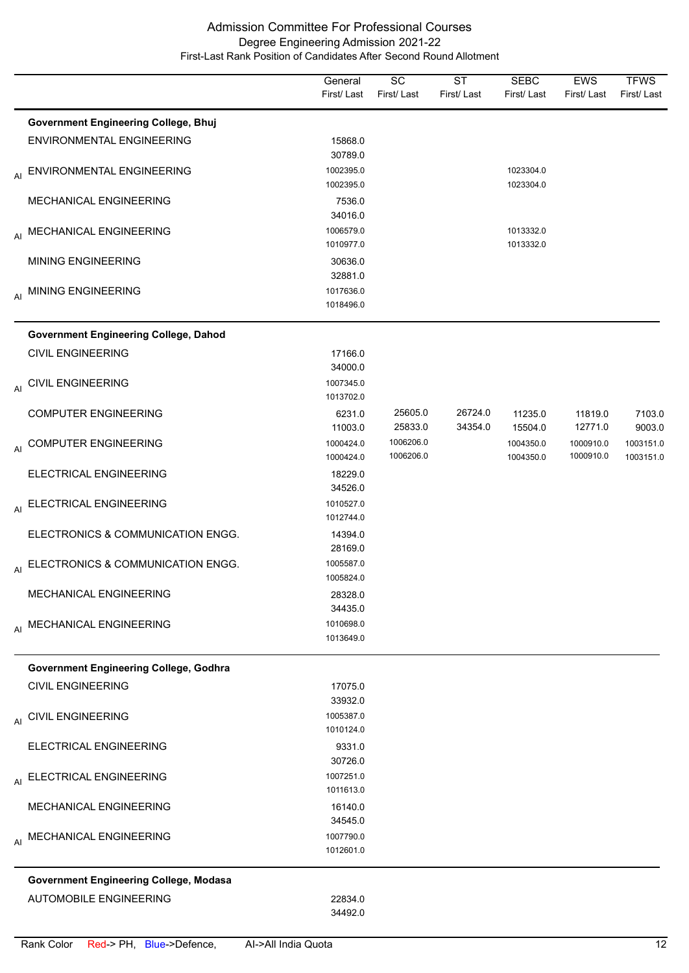|    |                                               | General<br>First/Last  | $\overline{SC}$<br>First/Last | $\overline{\text{ST}}$<br>First/Last | <b>SEBC</b><br>First/Last | <b>EWS</b><br>First/Last | <b>TFWS</b><br>First/Last |
|----|-----------------------------------------------|------------------------|-------------------------------|--------------------------------------|---------------------------|--------------------------|---------------------------|
|    | <b>Government Engineering College, Bhuj</b>   |                        |                               |                                      |                           |                          |                           |
|    | ENVIRONMENTAL ENGINEERING                     | 15868.0<br>30789.0     |                               |                                      |                           |                          |                           |
| AI | ENVIRONMENTAL ENGINEERING                     | 1002395.0<br>1002395.0 |                               |                                      | 1023304.0<br>1023304.0    |                          |                           |
|    | MECHANICAL ENGINEERING                        | 7536.0<br>34016.0      |                               |                                      |                           |                          |                           |
|    | AI MECHANICAL ENGINEERING                     | 1006579.0<br>1010977.0 |                               |                                      | 1013332.0<br>1013332.0    |                          |                           |
|    | <b>MINING ENGINEERING</b>                     | 30636.0<br>32881.0     |                               |                                      |                           |                          |                           |
|    | AI MINING ENGINEERING                         | 1017636.0<br>1018496.0 |                               |                                      |                           |                          |                           |
|    | <b>Government Engineering College, Dahod</b>  |                        |                               |                                      |                           |                          |                           |
|    | <b>CIVIL ENGINEERING</b>                      | 17166.0<br>34000.0     |                               |                                      |                           |                          |                           |
|    | AI CIVIL ENGINEERING                          | 1007345.0<br>1013702.0 |                               |                                      |                           |                          |                           |
|    | <b>COMPUTER ENGINEERING</b>                   | 6231.0<br>11003.0      | 25605.0<br>25833.0            | 26724.0<br>34354.0                   | 11235.0<br>15504.0        | 11819.0<br>12771.0       | 7103.0<br>9003.0          |
|    | AI COMPUTER ENGINEERING                       | 1000424.0<br>1000424.0 | 1006206.0<br>1006206.0        |                                      | 1004350.0<br>1004350.0    | 1000910.0<br>1000910.0   | 1003151.0<br>1003151.0    |
|    | ELECTRICAL ENGINEERING                        | 18229.0<br>34526.0     |                               |                                      |                           |                          |                           |
| AI | ELECTRICAL ENGINEERING                        | 1010527.0<br>1012744.0 |                               |                                      |                           |                          |                           |
|    | ELECTRONICS & COMMUNICATION ENGG.             | 14394.0<br>28169.0     |                               |                                      |                           |                          |                           |
|    | AI ELECTRONICS & COMMUNICATION ENGG.          | 1005587.0<br>1005824.0 |                               |                                      |                           |                          |                           |
|    | <b>MECHANICAL ENGINEERING</b>                 | 28328.0<br>34435.0     |                               |                                      |                           |                          |                           |
|    | AI MECHANICAL ENGINEERING                     | 1010698.0<br>1013649.0 |                               |                                      |                           |                          |                           |
|    | Government Engineering College, Godhra        |                        |                               |                                      |                           |                          |                           |
|    | <b>CIVIL ENGINEERING</b>                      | 17075.0<br>33932.0     |                               |                                      |                           |                          |                           |
|    | AI CIVIL ENGINEERING                          | 1005387.0<br>1010124.0 |                               |                                      |                           |                          |                           |
|    | ELECTRICAL ENGINEERING                        | 9331.0<br>30726.0      |                               |                                      |                           |                          |                           |
|    | AI ELECTRICAL ENGINEERING                     | 1007251.0<br>1011613.0 |                               |                                      |                           |                          |                           |
|    | MECHANICAL ENGINEERING                        | 16140.0<br>34545.0     |                               |                                      |                           |                          |                           |
|    | AI MECHANICAL ENGINEERING                     | 1007790.0<br>1012601.0 |                               |                                      |                           |                          |                           |
|    | <b>Government Engineering College, Modasa</b> |                        |                               |                                      |                           |                          |                           |
|    | <b>AUTOMOBILE ENGINEERING</b>                 | 22834.0<br>34492.0     |                               |                                      |                           |                          |                           |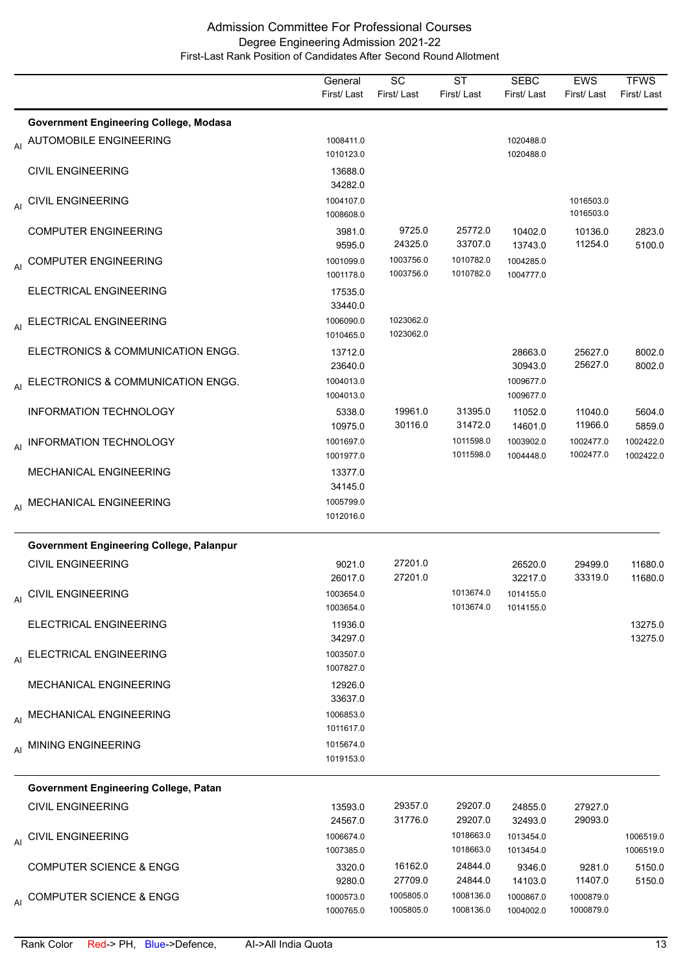|    |                                                                            | General<br>First/Last  | <b>SC</b><br>First/Last | <b>ST</b><br>First/Last | <b>SEBC</b><br>First/Last | <b>EWS</b><br>First/Last | <b>TFWS</b><br>First/Last |
|----|----------------------------------------------------------------------------|------------------------|-------------------------|-------------------------|---------------------------|--------------------------|---------------------------|
|    |                                                                            |                        |                         |                         |                           |                          |                           |
|    | <b>Government Engineering College, Modasa</b><br>AI AUTOMOBILE ENGINEERING | 1008411.0              |                         |                         | 1020488.0                 |                          |                           |
|    |                                                                            | 1010123.0              |                         |                         | 1020488.0                 |                          |                           |
|    | <b>CIVIL ENGINEERING</b>                                                   | 13688.0                |                         |                         |                           |                          |                           |
|    |                                                                            | 34282.0                |                         |                         |                           |                          |                           |
| AI | <b>CIVIL ENGINEERING</b>                                                   | 1004107.0<br>1008608.0 |                         |                         |                           | 1016503.0<br>1016503.0   |                           |
|    | <b>COMPUTER ENGINEERING</b>                                                | 3981.0                 | 9725.0                  | 25772.0                 | 10402.0                   | 10136.0                  | 2823.0                    |
|    |                                                                            | 9595.0                 | 24325.0                 | 33707.0                 | 13743.0                   | 11254.0                  | 5100.0                    |
|    | AI COMPUTER ENGINEERING                                                    | 1001099.0              | 1003756.0               | 1010782.0               | 1004285.0                 |                          |                           |
|    |                                                                            | 1001178.0              | 1003756.0               | 1010782.0               | 1004777.0                 |                          |                           |
|    | ELECTRICAL ENGINEERING                                                     | 17535.0<br>33440.0     |                         |                         |                           |                          |                           |
|    | AI ELECTRICAL ENGINEERING                                                  | 1006090.0              | 1023062.0               |                         |                           |                          |                           |
|    |                                                                            | 1010465.0              | 1023062.0               |                         |                           |                          |                           |
|    | ELECTRONICS & COMMUNICATION ENGG.                                          | 13712.0                |                         |                         | 28663.0                   | 25627.0                  | 8002.0                    |
|    |                                                                            | 23640.0                |                         |                         | 30943.0                   | 25627.0                  | 8002.0                    |
| AI | ELECTRONICS & COMMUNICATION ENGG.                                          | 1004013.0              |                         |                         | 1009677.0                 |                          |                           |
|    | <b>INFORMATION TECHNOLOGY</b>                                              | 1004013.0<br>5338.0    | 19961.0                 | 31395.0                 | 1009677.0<br>11052.0      | 11040.0                  | 5604.0                    |
|    |                                                                            | 10975.0                | 30116.0                 | 31472.0                 | 14601.0                   | 11966.0                  | 5859.0                    |
| AI | INFORMATION TECHNOLOGY                                                     | 1001697.0              |                         | 1011598.0               | 1003902.0                 | 1002477.0                | 1002422.0                 |
|    |                                                                            | 1001977.0              |                         | 1011598.0               | 1004448.0                 | 1002477.0                | 1002422.0                 |
|    | <b>MECHANICAL ENGINEERING</b>                                              | 13377.0                |                         |                         |                           |                          |                           |
|    |                                                                            | 34145.0<br>1005799.0   |                         |                         |                           |                          |                           |
|    | AI MECHANICAL ENGINEERING                                                  | 1012016.0              |                         |                         |                           |                          |                           |
|    |                                                                            |                        |                         |                         |                           |                          |                           |
|    | Government Engineering College, Palanpur                                   |                        |                         |                         |                           |                          |                           |
|    | <b>CIVIL ENGINEERING</b>                                                   | 9021.0<br>26017.0      | 27201.0<br>27201.0      |                         | 26520.0<br>32217.0        | 29499.0<br>33319.0       | 11680.0<br>11680.0        |
|    | <b>CIVIL ENGINEERING</b>                                                   | 1003654.0              |                         | 1013674.0               | 1014155.0                 |                          |                           |
| AI |                                                                            | 1003654.0              |                         | 1013674.0               | 1014155.0                 |                          |                           |
|    | ELECTRICAL ENGINEERING                                                     | 11936.0                |                         |                         |                           |                          | 13275.0                   |
|    |                                                                            | 34297.0                |                         |                         |                           |                          | 13275.0                   |
|    | AI ELECTRICAL ENGINEERING                                                  | 1003507.0<br>1007827.0 |                         |                         |                           |                          |                           |
|    | <b>MECHANICAL ENGINEERING</b>                                              | 12926.0                |                         |                         |                           |                          |                           |
|    |                                                                            | 33637.0                |                         |                         |                           |                          |                           |
|    | AI MECHANICAL ENGINEERING                                                  | 1006853.0              |                         |                         |                           |                          |                           |
|    |                                                                            | 1011617.0              |                         |                         |                           |                          |                           |
|    | AI MINING ENGINEERING                                                      | 1015674.0<br>1019153.0 |                         |                         |                           |                          |                           |
|    |                                                                            |                        |                         |                         |                           |                          |                           |
|    | Government Engineering College, Patan                                      |                        |                         |                         |                           |                          |                           |
|    | <b>CIVIL ENGINEERING</b>                                                   | 13593.0                | 29357.0                 | 29207.0                 | 24855.0                   | 27927.0                  |                           |
|    |                                                                            | 24567.0                | 31776.0                 | 29207.0                 | 32493.0                   | 29093.0                  |                           |
|    | AI CIVIL ENGINEERING                                                       | 1006674.0<br>1007385.0 |                         | 1018663.0<br>1018663.0  | 1013454.0<br>1013454.0    |                          | 1006519.0<br>1006519.0    |
|    | <b>COMPUTER SCIENCE &amp; ENGG</b>                                         | 3320.0                 | 16162.0                 | 24844.0                 | 9346.0                    | 9281.0                   | 5150.0                    |
|    |                                                                            | 9280.0                 | 27709.0                 | 24844.0                 | 14103.0                   | 11407.0                  | 5150.0                    |
|    | AI COMPUTER SCIENCE & ENGG                                                 | 1000573.0              | 1005805.0               | 1008136.0               | 1000867.0                 | 1000879.0                |                           |
|    |                                                                            | 1000765.0              | 1005805.0               | 1008136.0               | 1004002.0                 | 1000879.0                |                           |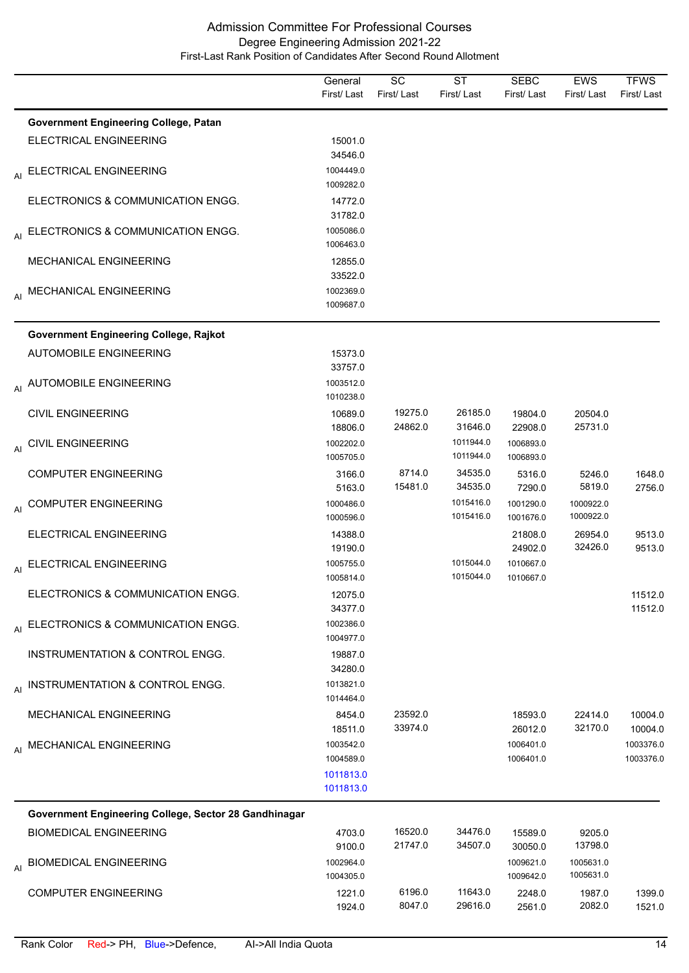|    |                                                       | General<br>First/Last  | SC<br>First/Last   | <b>ST</b><br>First/Last | <b>SEBC</b><br>First/Last | <b>EWS</b><br>First/Last | <b>TFWS</b><br>First/Last |
|----|-------------------------------------------------------|------------------------|--------------------|-------------------------|---------------------------|--------------------------|---------------------------|
|    | <b>Government Engineering College, Patan</b>          |                        |                    |                         |                           |                          |                           |
|    | <b>ELECTRICAL ENGINEERING</b>                         | 15001.0<br>34546.0     |                    |                         |                           |                          |                           |
| AI | ELECTRICAL ENGINEERING                                | 1004449.0<br>1009282.0 |                    |                         |                           |                          |                           |
|    | ELECTRONICS & COMMUNICATION ENGG.                     | 14772.0<br>31782.0     |                    |                         |                           |                          |                           |
|    | AI ELECTRONICS & COMMUNICATION ENGG.                  | 1005086.0<br>1006463.0 |                    |                         |                           |                          |                           |
|    | <b>MECHANICAL ENGINEERING</b>                         | 12855.0<br>33522.0     |                    |                         |                           |                          |                           |
|    | AI MECHANICAL ENGINEERING                             | 1002369.0<br>1009687.0 |                    |                         |                           |                          |                           |
|    | <b>Government Engineering College, Rajkot</b>         |                        |                    |                         |                           |                          |                           |
|    | <b>AUTOMOBILE ENGINEERING</b>                         | 15373.0<br>33757.0     |                    |                         |                           |                          |                           |
|    | AI AUTOMOBILE ENGINEERING                             | 1003512.0<br>1010238.0 |                    |                         |                           |                          |                           |
|    | <b>CIVIL ENGINEERING</b>                              | 10689.0<br>18806.0     | 19275.0<br>24862.0 | 26185.0<br>31646.0      | 19804.0<br>22908.0        | 20504.0<br>25731.0       |                           |
|    | AI CIVIL ENGINEERING                                  | 1002202.0<br>1005705.0 |                    | 1011944.0<br>1011944.0  | 1006893.0<br>1006893.0    |                          |                           |
|    | <b>COMPUTER ENGINEERING</b>                           | 3166.0<br>5163.0       | 8714.0<br>15481.0  | 34535.0<br>34535.0      | 5316.0<br>7290.0          | 5246.0<br>5819.0         | 1648.0<br>2756.0          |
| AI | <b>COMPUTER ENGINEERING</b>                           | 1000486.0<br>1000596.0 |                    | 1015416.0<br>1015416.0  | 1001290.0<br>1001676.0    | 1000922.0<br>1000922.0   |                           |
|    | ELECTRICAL ENGINEERING                                | 14388.0<br>19190.0     |                    |                         | 21808.0<br>24902.0        | 26954.0<br>32426.0       | 9513.0<br>9513.0          |
|    | AI ELECTRICAL ENGINEERING                             | 1005755.0<br>1005814.0 |                    | 1015044.0<br>1015044.0  | 1010667.0<br>1010667.0    |                          |                           |
|    | ELECTRONICS & COMMUNICATION ENGG.                     | 12075.0<br>34377.0     |                    |                         |                           |                          | 11512.0<br>11512.0        |
|    | AI ELECTRONICS & COMMUNICATION ENGG.                  | 1002386.0<br>1004977.0 |                    |                         |                           |                          |                           |
|    | INSTRUMENTATION & CONTROL ENGG.                       | 19887.0<br>34280.0     |                    |                         |                           |                          |                           |
|    | AI INSTRUMENTATION & CONTROL ENGG.                    | 1013821.0<br>1014464.0 |                    |                         |                           |                          |                           |
|    | <b>MECHANICAL ENGINEERING</b>                         | 8454.0<br>18511.0      | 23592.0<br>33974.0 |                         | 18593.0<br>26012.0        | 22414.0<br>32170.0       | 10004.0<br>10004.0        |
|    | AI MECHANICAL ENGINEERING                             | 1003542.0<br>1004589.0 |                    |                         | 1006401.0<br>1006401.0    |                          | 1003376.0<br>1003376.0    |
|    |                                                       | 1011813.0<br>1011813.0 |                    |                         |                           |                          |                           |
|    | Government Engineering College, Sector 28 Gandhinagar |                        |                    |                         |                           |                          |                           |
|    | <b>BIOMEDICAL ENGINEERING</b>                         | 4703.0<br>9100.0       | 16520.0<br>21747.0 | 34476.0<br>34507.0      | 15589.0<br>30050.0        | 9205.0<br>13798.0        |                           |
|    | AI BIOMEDICAL ENGINEERING                             | 1002964.0<br>1004305.0 |                    |                         | 1009621.0<br>1009642.0    | 1005631.0<br>1005631.0   |                           |
|    | <b>COMPUTER ENGINEERING</b>                           | 1221.0<br>1924.0       | 6196.0<br>8047.0   | 11643.0<br>29616.0      | 2248.0<br>2561.0          | 1987.0<br>2082.0         | 1399.0<br>1521.0          |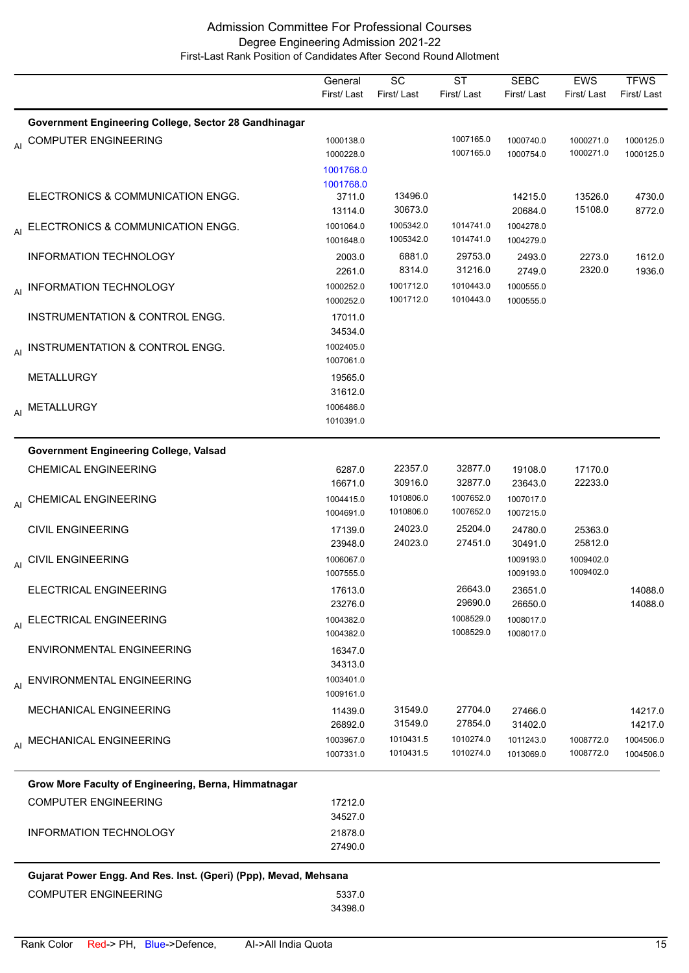|    |                                                                  | General<br>First/Last                       | $\overline{SC}$<br>First/Last | $\overline{\text{ST}}$<br>First/Last | <b>SEBC</b><br>First/Last | <b>EWS</b><br>First/Last | <b>TFWS</b><br>First/Last |
|----|------------------------------------------------------------------|---------------------------------------------|-------------------------------|--------------------------------------|---------------------------|--------------------------|---------------------------|
|    | Government Engineering College, Sector 28 Gandhinagar            |                                             |                               |                                      |                           |                          |                           |
| AI | <b>COMPUTER ENGINEERING</b>                                      | 1000138.0<br>1000228.0                      |                               | 1007165.0<br>1007165.0               | 1000740.0<br>1000754.0    | 1000271.0<br>1000271.0   | 1000125.0<br>1000125.0    |
|    | ELECTRONICS & COMMUNICATION ENGG.                                | 1001768.0<br>1001768.0<br>3711.0<br>13114.0 | 13496.0<br>30673.0            |                                      | 14215.0<br>20684.0        | 13526.0<br>15108.0       | 4730.0<br>8772.0          |
| AI | ELECTRONICS & COMMUNICATION ENGG.                                | 1001064.0<br>1001648.0                      | 1005342.0<br>1005342.0        | 1014741.0<br>1014741.0               | 1004278.0<br>1004279.0    |                          |                           |
|    | <b>INFORMATION TECHNOLOGY</b>                                    | 2003.0<br>2261.0                            | 6881.0<br>8314.0              | 29753.0<br>31216.0                   | 2493.0<br>2749.0          | 2273.0<br>2320.0         | 1612.0<br>1936.0          |
| AI | INFORMATION TECHNOLOGY                                           | 1000252.0<br>1000252.0                      | 1001712.0<br>1001712.0        | 1010443.0<br>1010443.0               | 1000555.0<br>1000555.0    |                          |                           |
|    | INSTRUMENTATION & CONTROL ENGG.                                  | 17011.0<br>34534.0                          |                               |                                      |                           |                          |                           |
|    | AI INSTRUMENTATION & CONTROL ENGG.                               | 1002405.0<br>1007061.0                      |                               |                                      |                           |                          |                           |
|    | METALLURGY                                                       | 19565.0<br>31612.0                          |                               |                                      |                           |                          |                           |
|    | AI METALLURGY                                                    | 1006486.0<br>1010391.0                      |                               |                                      |                           |                          |                           |
|    | <b>Government Engineering College, Valsad</b>                    |                                             |                               |                                      |                           |                          |                           |
|    | <b>CHEMICAL ENGINEERING</b>                                      | 6287.0<br>16671.0                           | 22357.0<br>30916.0            | 32877.0<br>32877.0                   | 19108.0<br>23643.0        | 17170.0<br>22233.0       |                           |
|    | AI CHEMICAL ENGINEERING                                          | 1004415.0<br>1004691.0                      | 1010806.0<br>1010806.0        | 1007652.0<br>1007652.0               | 1007017.0<br>1007215.0    |                          |                           |
|    | <b>CIVIL ENGINEERING</b>                                         | 17139.0<br>23948.0                          | 24023.0<br>24023.0            | 25204.0<br>27451.0                   | 24780.0<br>30491.0        | 25363.0<br>25812.0       |                           |
|    | AI CIVIL ENGINEERING                                             | 1006067.0<br>1007555.0                      |                               |                                      | 1009193.0<br>1009193.0    | 1009402.0<br>1009402.0   |                           |
|    | ELECTRICAL ENGINEERING                                           | 17613.0<br>23276.0                          |                               | 26643.0<br>29690.0                   | 23651.0<br>26650.0        |                          | 14088.0<br>14088.0        |
| AI | ELECTRICAL ENGINEERING                                           | 1004382.0<br>1004382.0                      |                               | 1008529.0<br>1008529.0               | 1008017.0<br>1008017.0    |                          |                           |
|    | <b>ENVIRONMENTAL ENGINEERING</b>                                 | 16347.0<br>34313.0                          |                               |                                      |                           |                          |                           |
|    | AI ENVIRONMENTAL ENGINEERING                                     | 1003401.0<br>1009161.0                      |                               |                                      |                           |                          |                           |
|    | MECHANICAL ENGINEERING                                           | 11439.0<br>26892.0                          | 31549.0<br>31549.0            | 27704.0<br>27854.0                   | 27466.0<br>31402.0        |                          | 14217.0<br>14217.0        |
|    | AI MECHANICAL ENGINEERING                                        | 1003967.0<br>1007331.0                      | 1010431.5<br>1010431.5        | 1010274.0<br>1010274.0               | 1011243.0<br>1013069.0    | 1008772.0<br>1008772.0   | 1004506.0<br>1004506.0    |
|    | Grow More Faculty of Engineering, Berna, Himmatnagar             |                                             |                               |                                      |                           |                          |                           |
|    | <b>COMPUTER ENGINEERING</b>                                      | 17212.0<br>34527.0                          |                               |                                      |                           |                          |                           |
|    | <b>INFORMATION TECHNOLOGY</b>                                    | 21878.0<br>27490.0                          |                               |                                      |                           |                          |                           |
|    | Gujarat Power Engg. And Res. Inst. (Gperi) (Ppp), Mevad, Mehsana |                                             |                               |                                      |                           |                          |                           |
|    | <b>COMPUTER ENGINEERING</b>                                      | 5337.0<br>34398.0                           |                               |                                      |                           |                          |                           |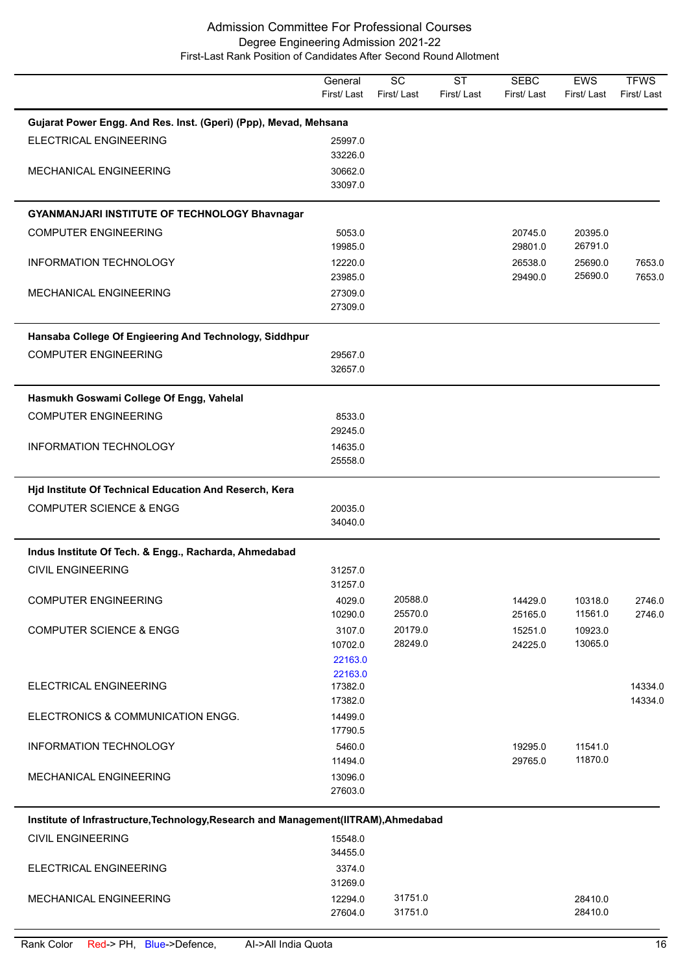|                                                                                      | General<br>First/Last | SC<br>First/Last | <b>ST</b><br>First/Last | <b>SEBC</b><br>First/Last | EWS<br>First/Last | <b>TFWS</b><br>First/Last |
|--------------------------------------------------------------------------------------|-----------------------|------------------|-------------------------|---------------------------|-------------------|---------------------------|
| Gujarat Power Engg. And Res. Inst. (Gperi) (Ppp), Mevad, Mehsana                     |                       |                  |                         |                           |                   |                           |
| ELECTRICAL ENGINEERING                                                               | 25997.0               |                  |                         |                           |                   |                           |
| <b>MECHANICAL ENGINEERING</b>                                                        | 33226.0<br>30662.0    |                  |                         |                           |                   |                           |
|                                                                                      | 33097.0               |                  |                         |                           |                   |                           |
| <b>GYANMANJARI INSTITUTE OF TECHNOLOGY Bhavnagar</b>                                 |                       |                  |                         |                           |                   |                           |
| <b>COMPUTER ENGINEERING</b>                                                          | 5053.0                |                  |                         | 20745.0                   | 20395.0           |                           |
|                                                                                      | 19985.0               |                  |                         | 29801.0                   | 26791.0           |                           |
| INFORMATION TECHNOLOGY                                                               | 12220.0               |                  |                         | 26538.0                   | 25690.0           | 7653.0                    |
|                                                                                      | 23985.0               |                  |                         | 29490.0                   | 25690.0           | 7653.0                    |
| MECHANICAL ENGINEERING                                                               | 27309.0<br>27309.0    |                  |                         |                           |                   |                           |
|                                                                                      |                       |                  |                         |                           |                   |                           |
| Hansaba College Of Engieering And Technology, Siddhpur                               |                       |                  |                         |                           |                   |                           |
| <b>COMPUTER ENGINEERING</b>                                                          | 29567.0<br>32657.0    |                  |                         |                           |                   |                           |
|                                                                                      |                       |                  |                         |                           |                   |                           |
| Hasmukh Goswami College Of Engg, Vahelal                                             |                       |                  |                         |                           |                   |                           |
| <b>COMPUTER ENGINEERING</b>                                                          | 8533.0                |                  |                         |                           |                   |                           |
|                                                                                      | 29245.0               |                  |                         |                           |                   |                           |
| <b>INFORMATION TECHNOLOGY</b>                                                        | 14635.0<br>25558.0    |                  |                         |                           |                   |                           |
| Hjd Institute Of Technical Education And Reserch, Kera                               |                       |                  |                         |                           |                   |                           |
| <b>COMPUTER SCIENCE &amp; ENGG</b>                                                   | 20035.0               |                  |                         |                           |                   |                           |
|                                                                                      | 34040.0               |                  |                         |                           |                   |                           |
| Indus Institute Of Tech. & Engg., Racharda, Ahmedabad                                |                       |                  |                         |                           |                   |                           |
| <b>CIVIL ENGINEERING</b>                                                             | 31257.0               |                  |                         |                           |                   |                           |
|                                                                                      | 31257.0               |                  |                         |                           |                   |                           |
| <b>COMPUTER ENGINEERING</b>                                                          | 4029.0                | 20588.0          |                         | 14429.0                   | 10318.0           | 2746.0                    |
|                                                                                      | 10290.0               | 25570.0          |                         | 25165.0                   | 11561.0           | 2746.0                    |
| <b>COMPUTER SCIENCE &amp; ENGG</b>                                                   | 3107.0                | 20179.0          |                         | 15251.0                   | 10923.0           |                           |
|                                                                                      | 10702.0<br>22163.0    | 28249.0          |                         | 24225.0                   | 13065.0           |                           |
|                                                                                      | 22163.0               |                  |                         |                           |                   |                           |
| ELECTRICAL ENGINEERING                                                               | 17382.0               |                  |                         |                           |                   | 14334.0                   |
|                                                                                      | 17382.0               |                  |                         |                           |                   | 14334.0                   |
| ELECTRONICS & COMMUNICATION ENGG.                                                    | 14499.0<br>17790.5    |                  |                         |                           |                   |                           |
| INFORMATION TECHNOLOGY                                                               | 5460.0                |                  |                         | 19295.0                   | 11541.0           |                           |
|                                                                                      | 11494.0               |                  |                         | 29765.0                   | 11870.0           |                           |
| MECHANICAL ENGINEERING                                                               | 13096.0               |                  |                         |                           |                   |                           |
|                                                                                      | 27603.0               |                  |                         |                           |                   |                           |
| Institute of Infrastructure, Technology, Research and Management (IITRAM), Ahmedabad |                       |                  |                         |                           |                   |                           |
| <b>CIVIL ENGINEERING</b>                                                             | 15548.0               |                  |                         |                           |                   |                           |
|                                                                                      | 34455.0               |                  |                         |                           |                   |                           |
| ELECTRICAL ENGINEERING                                                               | 3374.0                |                  |                         |                           |                   |                           |
|                                                                                      | 31269.0               |                  |                         |                           |                   |                           |

MECHANICAL ENGINEERING 12294.0 31751.0 31751.0

27604.0 31751.0 28410.0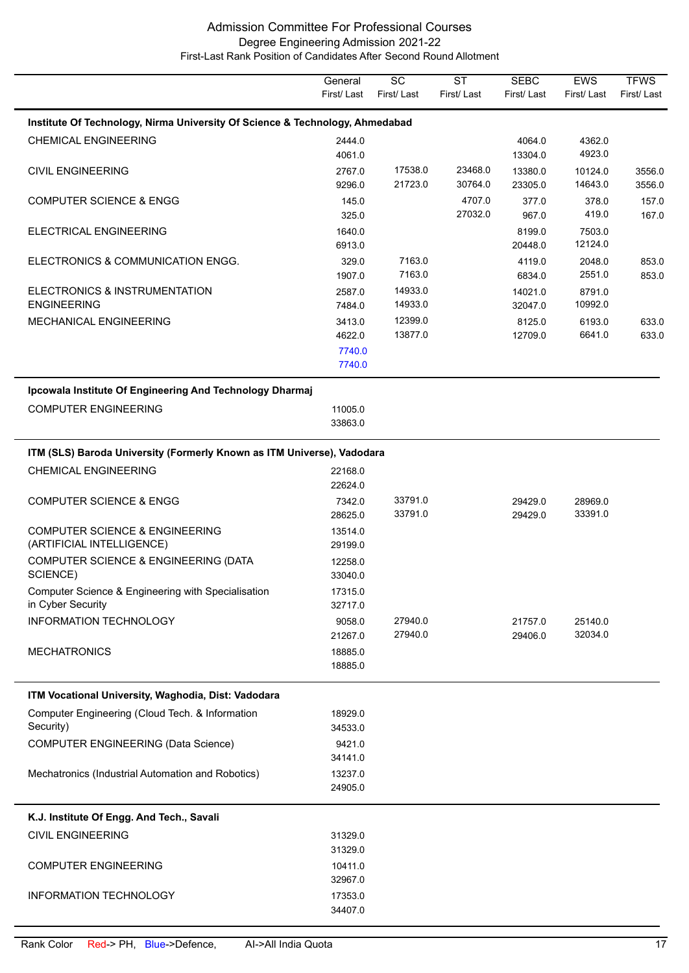|                                                                              | General            | $\overline{SC}$    | $\overline{\text{ST}}$ | <b>SEBC</b><br>First/Last | <b>EWS</b>         | <b>TFWS</b> |
|------------------------------------------------------------------------------|--------------------|--------------------|------------------------|---------------------------|--------------------|-------------|
|                                                                              | First/Last         | First/Last         | First/Last             |                           | First/Last         | First/Last  |
| Institute Of Technology, Nirma University Of Science & Technology, Ahmedabad |                    |                    |                        |                           |                    |             |
| <b>CHEMICAL ENGINEERING</b>                                                  | 2444.0             |                    |                        | 4064.0                    | 4362.0<br>4923.0   |             |
| <b>CIVIL ENGINEERING</b>                                                     | 4061.0<br>2767.0   | 17538.0            | 23468.0                | 13304.0<br>13380.0        | 10124.0            | 3556.0      |
|                                                                              | 9296.0             | 21723.0            | 30764.0                | 23305.0                   | 14643.0            | 3556.0      |
| <b>COMPUTER SCIENCE &amp; ENGG</b>                                           | 145.0              |                    | 4707.0                 | 377.0                     | 378.0              | 157.0       |
|                                                                              | 325.0              |                    | 27032.0                | 967.0                     | 419.0              | 167.0       |
| ELECTRICAL ENGINEERING                                                       | 1640.0             |                    |                        | 8199.0                    | 7503.0             |             |
|                                                                              | 6913.0             |                    |                        | 20448.0                   | 12124.0            |             |
| ELECTRONICS & COMMUNICATION ENGG.                                            | 329.0              | 7163.0             |                        | 4119.0                    | 2048.0             | 853.0       |
|                                                                              | 1907.0             | 7163.0             |                        | 6834.0                    | 2551.0             | 853.0       |
| ELECTRONICS & INSTRUMENTATION<br><b>ENGINEERING</b>                          | 2587.0<br>7484.0   | 14933.0<br>14933.0 |                        | 14021.0<br>32047.0        | 8791.0<br>10992.0  |             |
| MECHANICAL ENGINEERING                                                       | 3413.0             | 12399.0            |                        | 8125.0                    | 6193.0             | 633.0       |
|                                                                              | 4622.0             | 13877.0            |                        | 12709.0                   | 6641.0             | 633.0       |
|                                                                              | 7740.0             |                    |                        |                           |                    |             |
|                                                                              | 7740.0             |                    |                        |                           |                    |             |
| Ipcowala Institute Of Engineering And Technology Dharmaj                     |                    |                    |                        |                           |                    |             |
| <b>COMPUTER ENGINEERING</b>                                                  | 11005.0            |                    |                        |                           |                    |             |
|                                                                              | 33863.0            |                    |                        |                           |                    |             |
| ITM (SLS) Baroda University (Formerly Known as ITM Universe), Vadodara       |                    |                    |                        |                           |                    |             |
|                                                                              |                    |                    |                        |                           |                    |             |
| <b>CHEMICAL ENGINEERING</b>                                                  | 22168.0<br>22624.0 |                    |                        |                           |                    |             |
| <b>COMPUTER SCIENCE &amp; ENGG</b>                                           | 7342.0             | 33791.0            |                        | 29429.0                   | 28969.0            |             |
|                                                                              | 28625.0            | 33791.0            |                        | 29429.0                   | 33391.0            |             |
| <b>COMPUTER SCIENCE &amp; ENGINEERING</b>                                    | 13514.0            |                    |                        |                           |                    |             |
| (ARTIFICIAL INTELLIGENCE)                                                    | 29199.0            |                    |                        |                           |                    |             |
| COMPUTER SCIENCE & ENGINEERING (DATA                                         | 12258.0            |                    |                        |                           |                    |             |
| SCIENCE)                                                                     | 33040.0            |                    |                        |                           |                    |             |
| Computer Science & Engineering with Specialisation                           | 17315.0            |                    |                        |                           |                    |             |
| in Cyber Security                                                            | 32717.0            |                    |                        |                           |                    |             |
| <b>INFORMATION TECHNOLOGY</b>                                                | 9058.0<br>21267.0  | 27940.0<br>27940.0 |                        | 21757.0<br>29406.0        | 25140.0<br>32034.0 |             |
| <b>MECHATRONICS</b>                                                          | 18885.0            |                    |                        |                           |                    |             |
|                                                                              | 18885.0            |                    |                        |                           |                    |             |
|                                                                              |                    |                    |                        |                           |                    |             |
| ITM Vocational University, Waghodia, Dist: Vadodara                          |                    |                    |                        |                           |                    |             |
| Computer Engineering (Cloud Tech. & Information<br>Security)                 | 18929.0<br>34533.0 |                    |                        |                           |                    |             |
| <b>COMPUTER ENGINEERING (Data Science)</b>                                   | 9421.0             |                    |                        |                           |                    |             |
|                                                                              | 34141.0            |                    |                        |                           |                    |             |
| Mechatronics (Industrial Automation and Robotics)                            | 13237.0            |                    |                        |                           |                    |             |
|                                                                              | 24905.0            |                    |                        |                           |                    |             |
| K.J. Institute Of Engg. And Tech., Savali                                    |                    |                    |                        |                           |                    |             |
|                                                                              |                    |                    |                        |                           |                    |             |
| <b>CIVIL ENGINEERING</b>                                                     | 31329.0<br>31329.0 |                    |                        |                           |                    |             |
| <b>COMPUTER ENGINEERING</b>                                                  | 10411.0            |                    |                        |                           |                    |             |
|                                                                              | 32967.0            |                    |                        |                           |                    |             |
| INFORMATION TECHNOLOGY                                                       | 17353.0            |                    |                        |                           |                    |             |
|                                                                              | 34407.0            |                    |                        |                           |                    |             |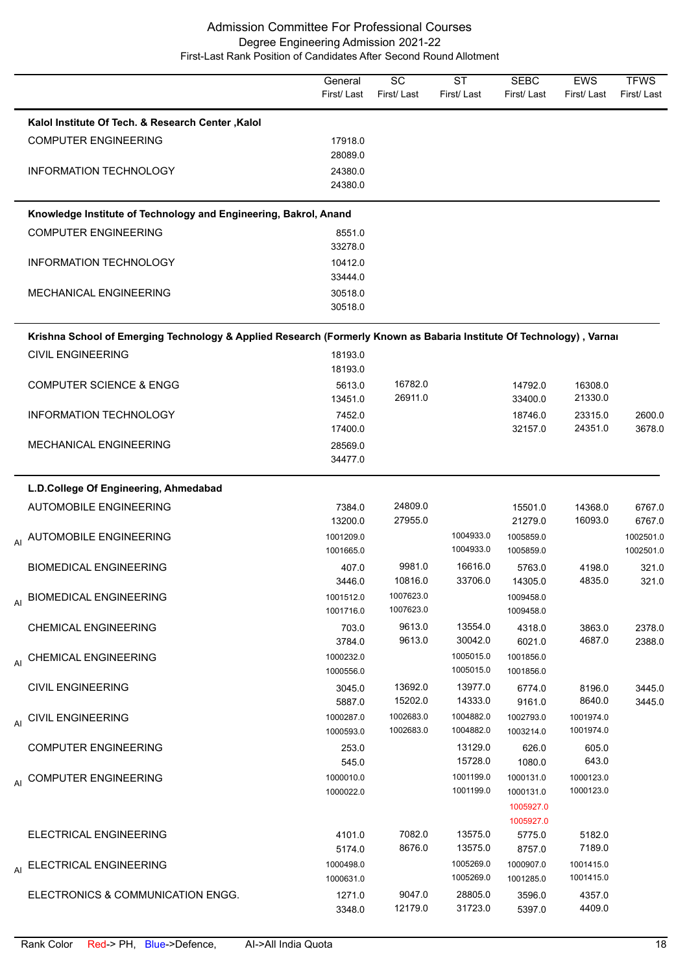|                                                                                                                      | General<br>First/Last  | SC<br>First/Last   | <b>ST</b><br>First/Last | <b>SEBC</b><br>First/Last | <b>EWS</b><br>First/Last | <b>TFWS</b><br>First/Last |
|----------------------------------------------------------------------------------------------------------------------|------------------------|--------------------|-------------------------|---------------------------|--------------------------|---------------------------|
| Kalol Institute Of Tech. & Research Center, Kalol                                                                    |                        |                    |                         |                           |                          |                           |
| <b>COMPUTER ENGINEERING</b>                                                                                          | 17918.0                |                    |                         |                           |                          |                           |
|                                                                                                                      | 28089.0                |                    |                         |                           |                          |                           |
| INFORMATION TECHNOLOGY                                                                                               | 24380.0<br>24380.0     |                    |                         |                           |                          |                           |
|                                                                                                                      |                        |                    |                         |                           |                          |                           |
| Knowledge Institute of Technology and Engineering, Bakrol, Anand                                                     |                        |                    |                         |                           |                          |                           |
| <b>COMPUTER ENGINEERING</b>                                                                                          | 8551.0<br>33278.0      |                    |                         |                           |                          |                           |
| <b>INFORMATION TECHNOLOGY</b>                                                                                        | 10412.0                |                    |                         |                           |                          |                           |
|                                                                                                                      | 33444.0                |                    |                         |                           |                          |                           |
| MECHANICAL ENGINEERING                                                                                               | 30518.0                |                    |                         |                           |                          |                           |
|                                                                                                                      | 30518.0                |                    |                         |                           |                          |                           |
| Krishna School of Emerging Technology & Applied Research (Formerly Known as Babaria Institute Of Technology), Varnai |                        |                    |                         |                           |                          |                           |
| <b>CIVIL ENGINEERING</b>                                                                                             | 18193.0                |                    |                         |                           |                          |                           |
|                                                                                                                      | 18193.0                |                    |                         |                           |                          |                           |
| <b>COMPUTER SCIENCE &amp; ENGG</b>                                                                                   | 5613.0                 | 16782.0            |                         | 14792.0                   | 16308.0                  |                           |
|                                                                                                                      | 13451.0                | 26911.0            |                         | 33400.0                   | 21330.0                  |                           |
| INFORMATION TECHNOLOGY                                                                                               | 7452.0                 |                    |                         | 18746.0                   | 23315.0                  | 2600.0                    |
|                                                                                                                      | 17400.0                |                    |                         | 32157.0                   | 24351.0                  | 3678.0                    |
| MECHANICAL ENGINEERING                                                                                               | 28569.0<br>34477.0     |                    |                         |                           |                          |                           |
|                                                                                                                      |                        |                    |                         |                           |                          |                           |
| L.D.College Of Engineering, Ahmedabad                                                                                |                        |                    |                         |                           |                          |                           |
| <b>AUTOMOBILE ENGINEERING</b>                                                                                        | 7384.0<br>13200.0      | 24809.0<br>27955.0 |                         | 15501.0<br>21279.0        | 14368.0<br>16093.0       | 6767.0<br>6767.0          |
| <sub>AI</sub> AUTOMOBILE ENGINEERING                                                                                 | 1001209.0              |                    | 1004933.0               | 1005859.0                 |                          | 1002501.0                 |
|                                                                                                                      | 1001665.0              |                    | 1004933.0               | 1005859.0                 |                          | 1002501.0                 |
| <b>BIOMEDICAL ENGINEERING</b>                                                                                        | 407.0                  | 9981.0             | 16616.0                 | 5763.0                    | 4198.0                   | 321.0                     |
|                                                                                                                      | 3446.0                 | 10816.0            | 33706.0                 | 14305.0                   | 4835.0                   | 321.0                     |
| <b>BIOMEDICAL ENGINEERING</b><br>AI                                                                                  | 1001512.0              | 1007623.0          |                         | 1009458.0                 |                          |                           |
|                                                                                                                      | 1001716.0              | 1007623.0          |                         | 1009458.0                 |                          |                           |
| <b>CHEMICAL ENGINEERING</b>                                                                                          | 703.0                  | 9613.0             | 13554.0                 | 4318.0                    | 3863.0                   | 2378.0                    |
|                                                                                                                      | 3784.0                 | 9613.0             | 30042.0                 | 6021.0                    | 4687.0                   | 2388.0                    |
| AI CHEMICAL ENGINEERING                                                                                              | 1000232.0<br>1000556.0 |                    | 1005015.0<br>1005015.0  | 1001856.0<br>1001856.0    |                          |                           |
| <b>CIVIL ENGINEERING</b>                                                                                             | 3045.0                 | 13692.0            | 13977.0                 | 6774.0                    | 8196.0                   | 3445.0                    |
|                                                                                                                      | 5887.0                 | 15202.0            | 14333.0                 | 9161.0                    | 8640.0                   | 3445.0                    |
| AI CIVIL ENGINEERING                                                                                                 | 1000287.0              | 1002683.0          | 1004882.0               | 1002793.0                 | 1001974.0                |                           |
|                                                                                                                      | 1000593.0              | 1002683.0          | 1004882.0               | 1003214.0                 | 1001974.0                |                           |
| <b>COMPUTER ENGINEERING</b>                                                                                          | 253.0                  |                    | 13129.0                 | 626.0                     | 605.0                    |                           |
|                                                                                                                      | 545.0                  |                    | 15728.0                 | 1080.0                    | 643.0                    |                           |
| <b>COMPUTER ENGINEERING</b><br>AI                                                                                    | 1000010.0              |                    | 1001199.0               | 1000131.0                 | 1000123.0                |                           |
|                                                                                                                      | 1000022.0              |                    | 1001199.0               | 1000131.0                 | 1000123.0                |                           |
|                                                                                                                      |                        |                    |                         | 1005927.0                 |                          |                           |
| ELECTRICAL ENGINEERING                                                                                               | 4101.0                 | 7082.0             | 13575.0                 | 1005927.0<br>5775.0       | 5182.0                   |                           |
|                                                                                                                      | 5174.0                 | 8676.0             | 13575.0                 | 8757.0                    | 7189.0                   |                           |
| AI ELECTRICAL ENGINEERING                                                                                            | 1000498.0              |                    | 1005269.0               | 1000907.0                 | 1001415.0                |                           |
|                                                                                                                      | 1000631.0              |                    | 1005269.0               | 1001285.0                 | 1001415.0                |                           |
| ELECTRONICS & COMMUNICATION ENGG.                                                                                    | 1271.0                 | 9047.0             | 28805.0                 | 3596.0                    | 4357.0                   |                           |
|                                                                                                                      | 3348.0                 | 12179.0            | 31723.0                 | 5397.0                    | 4409.0                   |                           |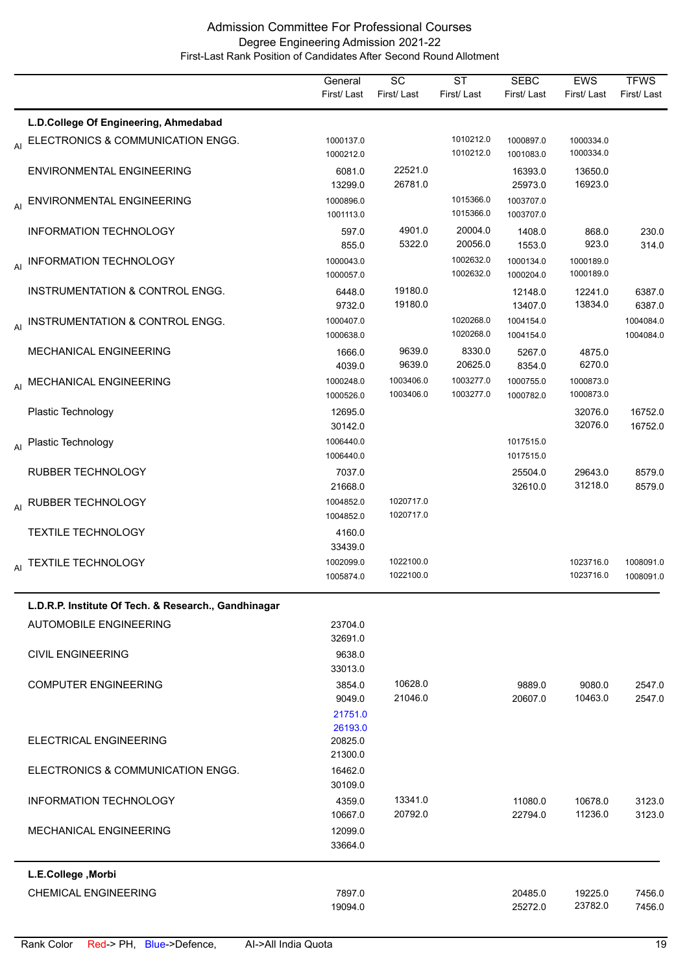|                                                      | General<br>First/Last         | SC<br>First/Last       | $\overline{\text{ST}}$<br>First/Last | <b>SEBC</b><br>First/Last | <b>EWS</b><br>First/Last | <b>TFWS</b><br>First/Last |
|------------------------------------------------------|-------------------------------|------------------------|--------------------------------------|---------------------------|--------------------------|---------------------------|
| L.D.College Of Engineering, Ahmedabad                |                               |                        |                                      |                           |                          |                           |
| AI ELECTRONICS & COMMUNICATION ENGG.                 | 1000137.0<br>1000212.0        |                        | 1010212.0<br>1010212.0               | 1000897.0<br>1001083.0    | 1000334.0<br>1000334.0   |                           |
| ENVIRONMENTAL ENGINEERING                            | 6081.0<br>13299.0             | 22521.0<br>26781.0     |                                      | 16393.0<br>25973.0        | 13650.0<br>16923.0       |                           |
| AI ENVIRONMENTAL ENGINEERING                         | 1000896.0<br>1001113.0        |                        | 1015366.0<br>1015366.0               | 1003707.0<br>1003707.0    |                          |                           |
| <b>INFORMATION TECHNOLOGY</b>                        | 597.0<br>855.0                | 4901.0<br>5322.0       | 20004.0<br>20056.0                   | 1408.0<br>1553.0          | 868.0<br>923.0           | 230.0<br>314.0            |
| AI INFORMATION TECHNOLOGY                            | 1000043.0<br>1000057.0        |                        | 1002632.0<br>1002632.0               | 1000134.0<br>1000204.0    | 1000189.0<br>1000189.0   |                           |
| INSTRUMENTATION & CONTROL ENGG.                      | 6448.0<br>9732.0              | 19180.0<br>19180.0     |                                      | 12148.0<br>13407.0        | 12241.0<br>13834.0       | 6387.0<br>6387.0          |
| AI INSTRUMENTATION & CONTROL ENGG.                   | 1000407.0<br>1000638.0        |                        | 1020268.0<br>1020268.0               | 1004154.0<br>1004154.0    |                          | 1004084.0<br>1004084.0    |
| MECHANICAL ENGINEERING                               | 1666.0<br>4039.0              | 9639.0<br>9639.0       | 8330.0<br>20625.0                    | 5267.0<br>8354.0          | 4875.0<br>6270.0         |                           |
| AI MECHANICAL ENGINEERING                            | 1000248.0<br>1000526.0        | 1003406.0<br>1003406.0 | 1003277.0<br>1003277.0               | 1000755.0<br>1000782.0    | 1000873.0<br>1000873.0   |                           |
| Plastic Technology                                   | 12695.0<br>30142.0            |                        |                                      |                           | 32076.0<br>32076.0       | 16752.0<br>16752.0        |
| Al Plastic Technology                                | 1006440.0<br>1006440.0        |                        |                                      | 1017515.0<br>1017515.0    |                          |                           |
| <b>RUBBER TECHNOLOGY</b>                             | 7037.0<br>21668.0             |                        |                                      | 25504.0<br>32610.0        | 29643.0<br>31218.0       | 8579.0<br>8579.0          |
| AI RUBBER TECHNOLOGY                                 | 1004852.0<br>1004852.0        | 1020717.0<br>1020717.0 |                                      |                           |                          |                           |
| <b>TEXTILE TECHNOLOGY</b>                            | 4160.0<br>33439.0             |                        |                                      |                           |                          |                           |
| AI TEXTILE TECHNOLOGY                                | 1002099.0<br>1005874.0        | 1022100.0<br>1022100.0 |                                      |                           | 1023716.0<br>1023716.0   | 1008091.0<br>1008091.0    |
| L.D.R.P. Institute Of Tech. & Research., Gandhinagar |                               |                        |                                      |                           |                          |                           |
| <b>AUTOMOBILE ENGINEERING</b>                        | 23704.0<br>32691.0            |                        |                                      |                           |                          |                           |
| <b>CIVIL ENGINEERING</b>                             | 9638.0<br>33013.0             |                        |                                      |                           |                          |                           |
| <b>COMPUTER ENGINEERING</b>                          | 3854.0<br>9049.0<br>21751.0   | 10628.0<br>21046.0     |                                      | 9889.0<br>20607.0         | 9080.0<br>10463.0        | 2547.0<br>2547.0          |
| ELECTRICAL ENGINEERING                               | 26193.0<br>20825.0<br>21300.0 |                        |                                      |                           |                          |                           |
| ELECTRONICS & COMMUNICATION ENGG.                    | 16462.0<br>30109.0            |                        |                                      |                           |                          |                           |
| <b>INFORMATION TECHNOLOGY</b>                        | 4359.0<br>10667.0             | 13341.0<br>20792.0     |                                      | 11080.0<br>22794.0        | 10678.0<br>11236.0       | 3123.0<br>3123.0          |
| MECHANICAL ENGINEERING                               | 12099.0<br>33664.0            |                        |                                      |                           |                          |                           |
| L.E.College, Morbi                                   |                               |                        |                                      |                           |                          |                           |
| <b>CHEMICAL ENGINEERING</b>                          | 7897.0<br>19094.0             |                        |                                      | 20485.0<br>25272.0        | 19225.0<br>23782.0       | 7456.0<br>7456.0          |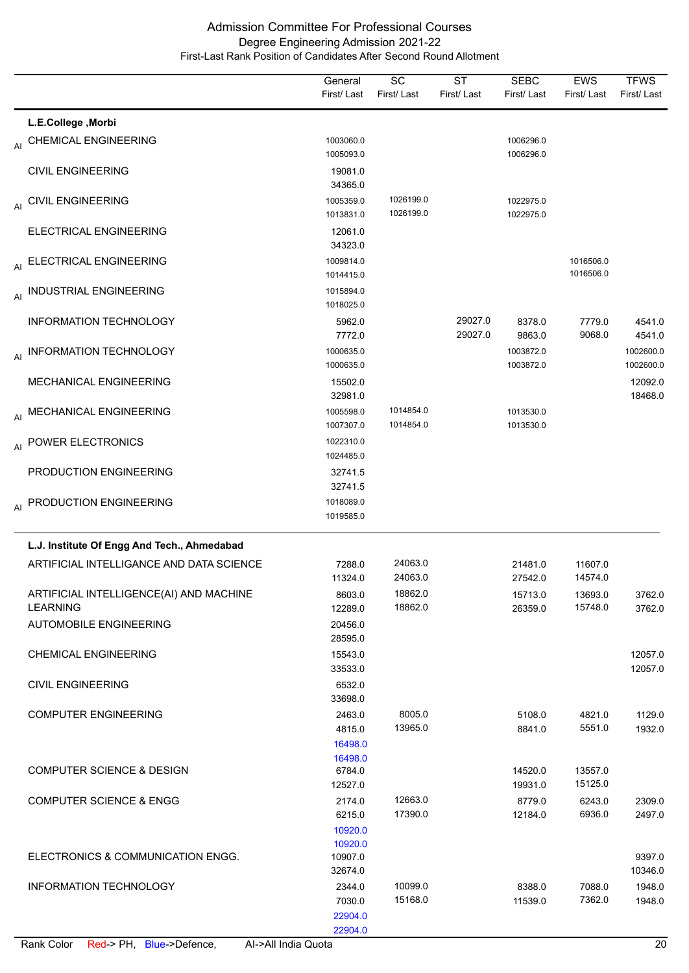|    |                                                            | General<br>First/Last                  | SC<br>First/Last       | <b>ST</b><br>First/Last | <b>SEBC</b><br>First/Last | <b>EWS</b><br>First/Last | <b>TFWS</b><br>First/Last |
|----|------------------------------------------------------------|----------------------------------------|------------------------|-------------------------|---------------------------|--------------------------|---------------------------|
|    | L.E.College, Morbi                                         |                                        |                        |                         |                           |                          |                           |
| AI | <b>CHEMICAL ENGINEERING</b>                                | 1003060.0<br>1005093.0                 |                        |                         | 1006296.0<br>1006296.0    |                          |                           |
|    | <b>CIVIL ENGINEERING</b>                                   | 19081.0<br>34365.0                     |                        |                         |                           |                          |                           |
|    | AI CIVIL ENGINEERING                                       | 1005359.0<br>1013831.0                 | 1026199.0<br>1026199.0 |                         | 1022975.0<br>1022975.0    |                          |                           |
|    | ELECTRICAL ENGINEERING                                     | 12061.0<br>34323.0                     |                        |                         |                           |                          |                           |
| AI | ELECTRICAL ENGINEERING                                     | 1009814.0<br>1014415.0                 |                        |                         |                           | 1016506.0<br>1016506.0   |                           |
| AI | <b>INDUSTRIAL ENGINEERING</b>                              | 1015894.0<br>1018025.0                 |                        |                         |                           |                          |                           |
|    | <b>INFORMATION TECHNOLOGY</b>                              | 5962.0<br>7772.0                       |                        | 29027.0<br>29027.0      | 8378.0<br>9863.0          | 7779.0<br>9068.0         | 4541.0<br>4541.0          |
| AI | <b>INFORMATION TECHNOLOGY</b>                              | 1000635.0<br>1000635.0                 |                        |                         | 1003872.0<br>1003872.0    |                          | 1002600.0<br>1002600.0    |
|    | <b>MECHANICAL ENGINEERING</b>                              | 15502.0<br>32981.0                     |                        |                         |                           |                          | 12092.0<br>18468.0        |
|    | AI MECHANICAL ENGINEERING                                  | 1005598.0<br>1007307.0                 | 1014854.0<br>1014854.0 |                         | 1013530.0<br>1013530.0    |                          |                           |
| AI | POWER ELECTRONICS                                          | 1022310.0<br>1024485.0                 |                        |                         |                           |                          |                           |
|    | PRODUCTION ENGINEERING                                     | 32741.5<br>32741.5                     |                        |                         |                           |                          |                           |
|    | AI PRODUCTION ENGINEERING                                  | 1018089.0<br>1019585.0                 |                        |                         |                           |                          |                           |
|    | L.J. Institute Of Engg And Tech., Ahmedabad                |                                        |                        |                         |                           |                          |                           |
|    | ARTIFICIAL INTELLIGANCE AND DATA SCIENCE                   | 7288.0<br>11324.0                      | 24063.0<br>24063.0     |                         | 21481.0<br>27542.0        | 11607.0<br>14574.0       |                           |
|    | ARTIFICIAL INTELLIGENCE(AI) AND MACHINE<br><b>LEARNING</b> | 8603.0<br>12289.0                      | 18862.0<br>18862.0     |                         | 15713.0<br>26359.0        | 13693.0<br>15748.0       | 3762.0<br>3762.0          |
|    | <b>AUTOMOBILE ENGINEERING</b>                              | 20456.0<br>28595.0                     |                        |                         |                           |                          |                           |
|    | <b>CHEMICAL ENGINEERING</b>                                | 15543.0<br>33533.0                     |                        |                         |                           |                          | 12057.0<br>12057.0        |
|    | <b>CIVIL ENGINEERING</b>                                   | 6532.0<br>33698.0                      |                        |                         |                           |                          |                           |
|    | <b>COMPUTER ENGINEERING</b>                                | 2463.0<br>4815.0<br>16498.0            | 8005.0<br>13965.0      |                         | 5108.0<br>8841.0          | 4821.0<br>5551.0         | 1129.0<br>1932.0          |
|    | <b>COMPUTER SCIENCE &amp; DESIGN</b>                       | 16498.0<br>6784.0<br>12527.0           |                        |                         | 14520.0<br>19931.0        | 13557.0<br>15125.0       |                           |
|    | <b>COMPUTER SCIENCE &amp; ENGG</b>                         | 2174.0<br>6215.0<br>10920.0            | 12663.0<br>17390.0     |                         | 8779.0<br>12184.0         | 6243.0<br>6936.0         | 2309.0<br>2497.0          |
|    | ELECTRONICS & COMMUNICATION ENGG.                          | 10920.0<br>10907.0<br>32674.0          |                        |                         |                           |                          | 9397.0<br>10346.0         |
|    | INFORMATION TECHNOLOGY                                     | 2344.0<br>7030.0<br>22904.0<br>22904.0 | 10099.0<br>15168.0     |                         | 8388.0<br>11539.0         | 7088.0<br>7362.0         | 1948.0<br>1948.0          |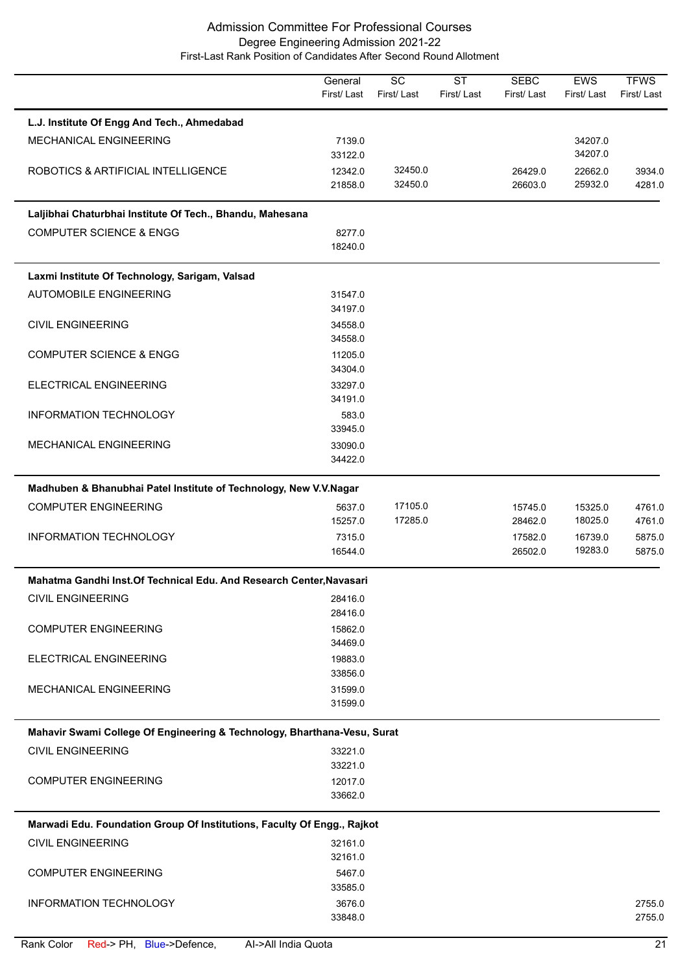|                                                                          | General<br>First/Last | $\overline{SC}$<br>First/Last | $\overline{\text{ST}}$<br>First/Last | <b>SEBC</b><br>First/Last | EWS<br>First/Last | <b>TFWS</b><br>First/Last |
|--------------------------------------------------------------------------|-----------------------|-------------------------------|--------------------------------------|---------------------------|-------------------|---------------------------|
| L.J. Institute Of Engg And Tech., Ahmedabad                              |                       |                               |                                      |                           |                   |                           |
| MECHANICAL ENGINEERING                                                   | 7139.0                |                               |                                      |                           | 34207.0           |                           |
|                                                                          | 33122.0               |                               |                                      |                           | 34207.0           |                           |
| ROBOTICS & ARTIFICIAL INTELLIGENCE                                       | 12342.0               | 32450.0                       |                                      | 26429.0                   | 22662.0           | 3934.0                    |
|                                                                          | 21858.0               | 32450.0                       |                                      | 26603.0                   | 25932.0           | 4281.0                    |
| Laljibhai Chaturbhai Institute Of Tech., Bhandu, Mahesana                |                       |                               |                                      |                           |                   |                           |
| <b>COMPUTER SCIENCE &amp; ENGG</b>                                       | 8277.0                |                               |                                      |                           |                   |                           |
|                                                                          | 18240.0               |                               |                                      |                           |                   |                           |
| Laxmi Institute Of Technology, Sarigam, Valsad                           |                       |                               |                                      |                           |                   |                           |
| <b>AUTOMOBILE ENGINEERING</b>                                            | 31547.0               |                               |                                      |                           |                   |                           |
|                                                                          | 34197.0               |                               |                                      |                           |                   |                           |
| <b>CIVIL ENGINEERING</b>                                                 | 34558.0               |                               |                                      |                           |                   |                           |
|                                                                          | 34558.0               |                               |                                      |                           |                   |                           |
| <b>COMPUTER SCIENCE &amp; ENGG</b>                                       | 11205.0               |                               |                                      |                           |                   |                           |
|                                                                          | 34304.0               |                               |                                      |                           |                   |                           |
| ELECTRICAL ENGINEERING                                                   | 33297.0               |                               |                                      |                           |                   |                           |
|                                                                          | 34191.0               |                               |                                      |                           |                   |                           |
| INFORMATION TECHNOLOGY                                                   | 583.0                 |                               |                                      |                           |                   |                           |
|                                                                          | 33945.0               |                               |                                      |                           |                   |                           |
| MECHANICAL ENGINEERING                                                   | 33090.0               |                               |                                      |                           |                   |                           |
|                                                                          | 34422.0               |                               |                                      |                           |                   |                           |
| Madhuben & Bhanubhai Patel Institute of Technology, New V.V.Nagar        |                       |                               |                                      |                           |                   |                           |
| <b>COMPUTER ENGINEERING</b>                                              | 5637.0                | 17105.0                       |                                      | 15745.0                   | 15325.0           | 4761.0                    |
|                                                                          | 15257.0               | 17285.0                       |                                      | 28462.0                   | 18025.0           | 4761.0                    |
| INFORMATION TECHNOLOGY                                                   | 7315.0                |                               |                                      | 17582.0                   | 16739.0           | 5875.0                    |
|                                                                          | 16544.0               |                               |                                      | 26502.0                   | 19283.0           | 5875.0                    |
| Mahatma Gandhi Inst. Of Technical Edu. And Research Center, Navasari     |                       |                               |                                      |                           |                   |                           |
| <b>CIVIL ENGINEERING</b>                                                 | 28416.0               |                               |                                      |                           |                   |                           |
|                                                                          | 28416.0               |                               |                                      |                           |                   |                           |
| <b>COMPUTER ENGINEERING</b>                                              | 15862.0               |                               |                                      |                           |                   |                           |
|                                                                          | 34469.0               |                               |                                      |                           |                   |                           |
| ELECTRICAL ENGINEERING                                                   | 19883.0               |                               |                                      |                           |                   |                           |
|                                                                          | 33856.0               |                               |                                      |                           |                   |                           |
| MECHANICAL ENGINEERING                                                   | 31599.0               |                               |                                      |                           |                   |                           |
|                                                                          | 31599.0               |                               |                                      |                           |                   |                           |
| Mahavir Swami College Of Engineering & Technology, Bharthana-Vesu, Surat |                       |                               |                                      |                           |                   |                           |
| <b>CIVIL ENGINEERING</b>                                                 | 33221.0               |                               |                                      |                           |                   |                           |
|                                                                          | 33221.0               |                               |                                      |                           |                   |                           |
| <b>COMPUTER ENGINEERING</b>                                              | 12017.0               |                               |                                      |                           |                   |                           |
|                                                                          | 33662.0               |                               |                                      |                           |                   |                           |
| Marwadi Edu. Foundation Group Of Institutions, Faculty Of Engg., Rajkot  |                       |                               |                                      |                           |                   |                           |
| <b>CIVIL ENGINEERING</b>                                                 | 32161.0               |                               |                                      |                           |                   |                           |
|                                                                          | 32161.0               |                               |                                      |                           |                   |                           |
| <b>COMPUTER ENGINEERING</b>                                              | 5467.0                |                               |                                      |                           |                   |                           |
|                                                                          | 33585.0               |                               |                                      |                           |                   |                           |
| <b>INFORMATION TECHNOLOGY</b>                                            | 3676.0                |                               |                                      |                           |                   | 2755.0                    |
|                                                                          | 33848.0               |                               |                                      |                           |                   | 2755.0                    |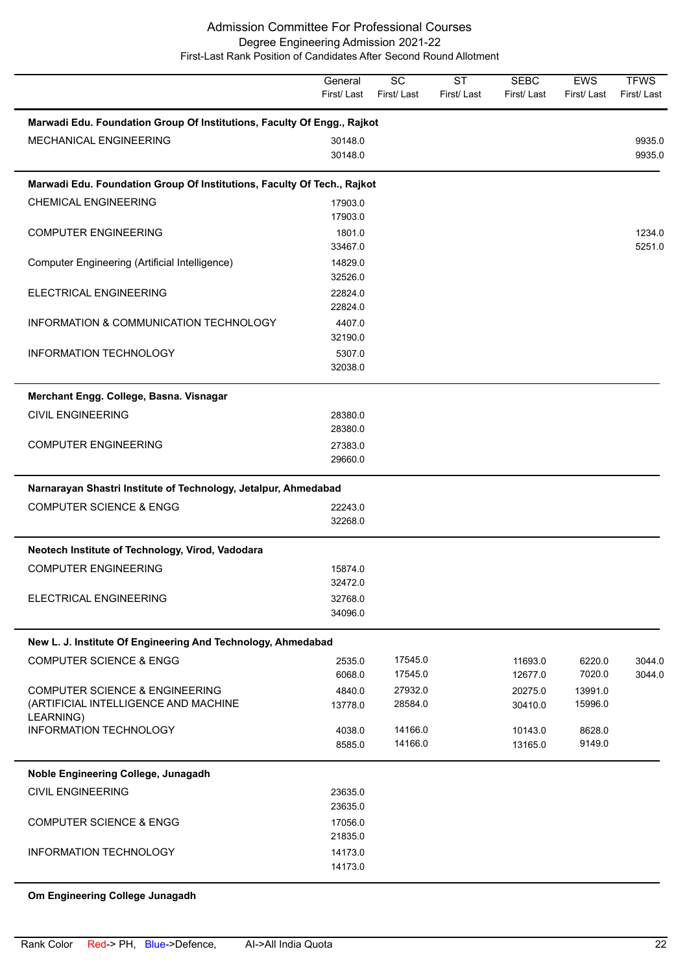**TFWS** First/ Last EWS First/ Last SEBC First/ Last **ST** First/ Last **SC** First/ Last **General** First/ Last **Marwadi Edu. Foundation Group Of Institutions, Faculty Of Engg., Rajkot** 30148.0 9935.0 MECHANICAL ENGINEERING 8935.0 **Marwadi Edu. Foundation Group Of Institutions, Faculty Of Tech., Rajkot** 17903.0 CHEMICAL ENGINEERING 17903.0 33467.0 5251.0 COMPUTER ENGINEERING 1234.0 32526.0 Computer Engineering (Artificial Intelligence) 14829.0 22824.0 ELECTRICAL ENGINEERING 22824.0 32190.0 INFORMATION & COMMUNICATION TECHNOLOGY 4407.0 32038.0 INFORMATION TECHNOLOGY 5307.0 **Merchant Engg. College, Basna. Visnagar** 28380.0 CIVIL ENGINEERING 28380.0 29660.0 COMPUTER ENGINEERING 27383.0 **Narnarayan Shastri Institute of Technology, Jetalpur, Ahmedabad** 32268.0 COMPUTER SCIENCE & ENGG 22243.0 **Neotech Institute of Technology, Virod, Vadodara** 32472.0 COMPUTER ENGINEERING 15874.0 34096.0 ELECTRICAL ENGINEERING 32768.0 **New L. J. Institute Of Engineering And Technology, Ahmedabad** 6068.0 17545.0 12677.0 7020.0 3044.0 COMPUTER SCIENCE & ENGG 2535.0 17545.0 11693.0 6220.0 3044.0 13778.0 28584.0 30410.0 15996.0 COMPUTER SCIENCE & ENGINEERING (ARTIFICIAL INTELLIGENCE AND MACHINE LEARNING) 4840.0 27932.0 20275.0 13991.0 8585.0 14166.0 13165.0 9149.0 INFORMATION TECHNOLOGY 1998.0 14166.0 10143.0 8628.0 **Noble Engineering College, Junagadh** 23635.0 CIVIL ENGINEERING 23635.0 21835.0 COMPUTER SCIENCE & ENGG 17056.0 14173.0 INFORMATION TECHNOLOGY 14173.0

# **Om Engineering College Junagadh**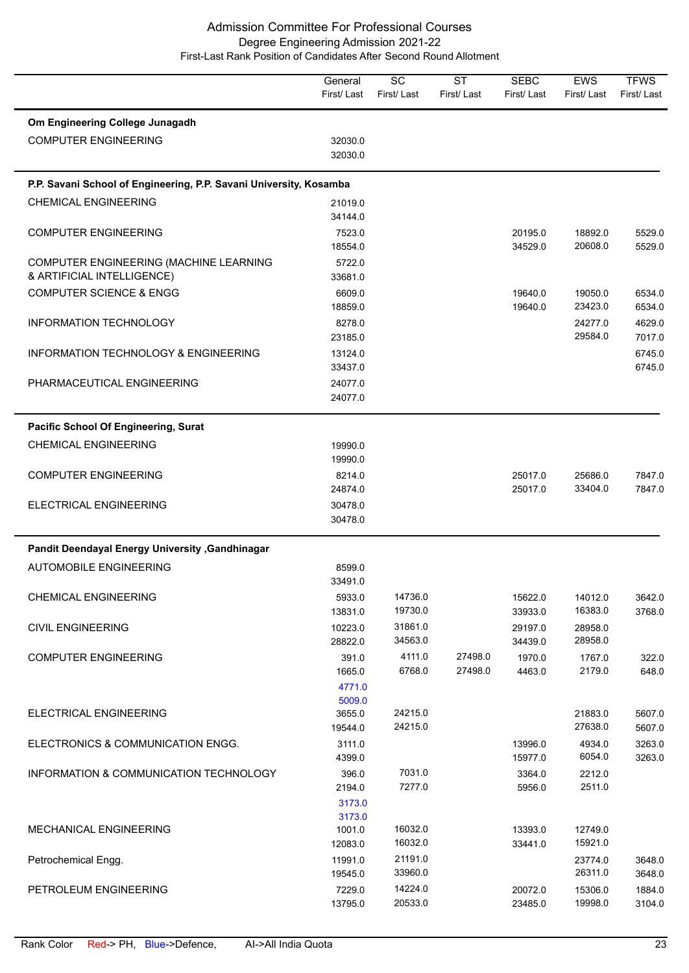|                                                                    | General<br>First/Last | $\overline{SC}$<br>First/Last | $\overline{\text{ST}}$<br>First/Last | <b>SEBC</b><br>First/Last | <b>EWS</b><br>First/Last | <b>TFWS</b><br>First/Last |
|--------------------------------------------------------------------|-----------------------|-------------------------------|--------------------------------------|---------------------------|--------------------------|---------------------------|
| Om Engineering College Junagadh                                    |                       |                               |                                      |                           |                          |                           |
| <b>COMPUTER ENGINEERING</b>                                        | 32030.0<br>32030.0    |                               |                                      |                           |                          |                           |
| P.P. Savani School of Engineering, P.P. Savani University, Kosamba |                       |                               |                                      |                           |                          |                           |
| <b>CHEMICAL ENGINEERING</b>                                        | 21019.0               |                               |                                      |                           |                          |                           |
|                                                                    | 34144.0               |                               |                                      |                           |                          |                           |
| <b>COMPUTER ENGINEERING</b>                                        | 7523.0                |                               |                                      | 20195.0                   | 18892.0<br>20608.0       | 5529.0                    |
| COMPUTER ENGINEERING (MACHINE LEARNING                             | 18554.0<br>5722.0     |                               |                                      | 34529.0                   |                          | 5529.0                    |
| & ARTIFICIAL INTELLIGENCE)                                         | 33681.0               |                               |                                      |                           |                          |                           |
| <b>COMPUTER SCIENCE &amp; ENGG</b>                                 | 6609.0                |                               |                                      | 19640.0                   | 19050.0                  | 6534.0                    |
|                                                                    | 18859.0               |                               |                                      | 19640.0                   | 23423.0                  | 6534.0                    |
| <b>INFORMATION TECHNOLOGY</b>                                      | 8278.0                |                               |                                      |                           | 24277.0                  | 4629.0                    |
|                                                                    | 23185.0               |                               |                                      |                           | 29584.0                  | 7017.0                    |
| <b>INFORMATION TECHNOLOGY &amp; ENGINEERING</b>                    | 13124.0               |                               |                                      |                           |                          | 6745.0                    |
|                                                                    | 33437.0               |                               |                                      |                           |                          | 6745.0                    |
| PHARMACEUTICAL ENGINEERING                                         | 24077.0               |                               |                                      |                           |                          |                           |
|                                                                    | 24077.0               |                               |                                      |                           |                          |                           |
| Pacific School Of Engineering, Surat                               |                       |                               |                                      |                           |                          |                           |
| <b>CHEMICAL ENGINEERING</b>                                        | 19990.0               |                               |                                      |                           |                          |                           |
|                                                                    | 19990.0               |                               |                                      |                           |                          |                           |
| <b>COMPUTER ENGINEERING</b>                                        | 8214.0                |                               |                                      | 25017.0                   | 25686.0                  | 7847.0                    |
|                                                                    | 24874.0               |                               |                                      | 25017.0                   | 33404.0                  | 7847.0                    |
| ELECTRICAL ENGINEERING                                             | 30478.0<br>30478.0    |                               |                                      |                           |                          |                           |
| Pandit Deendayal Energy University , Gandhinagar                   |                       |                               |                                      |                           |                          |                           |
| <b>AUTOMOBILE ENGINEERING</b>                                      | 8599.0                |                               |                                      |                           |                          |                           |
|                                                                    | 33491.0               |                               |                                      |                           |                          |                           |
| <b>CHEMICAL ENGINEERING</b>                                        | 5933.0                | 14736.0                       |                                      | 15622.0                   | 14012.0                  | 3642.0                    |
|                                                                    | 13831.0               | 19730.0                       |                                      | 33933.0                   | 16383.0                  | 3768.0                    |
| <b>CIVIL ENGINEERING</b>                                           | 10223.0               | 31861.0                       |                                      | 29197.0                   | 28958.0                  |                           |
|                                                                    | 28822.0               | 34563.0                       |                                      | 34439.0                   | 28958.0                  |                           |
| <b>COMPUTER ENGINEERING</b>                                        | 391.0                 | 4111.0                        | 27498.0                              | 1970.0                    | 1767.0                   | 322.0                     |
|                                                                    | 1665.0                | 6768.0                        | 27498.0                              | 4463.0                    | 2179.0                   | 648.0                     |
|                                                                    | 4771.0<br>5009.0      |                               |                                      |                           |                          |                           |
| ELECTRICAL ENGINEERING                                             | 3655.0                | 24215.0                       |                                      |                           | 21883.0                  | 5607.0                    |
|                                                                    | 19544.0               | 24215.0                       |                                      |                           | 27638.0                  | 5607.0                    |
| ELECTRONICS & COMMUNICATION ENGG.                                  | 3111.0                |                               |                                      | 13996.0                   | 4934.0                   | 3263.0                    |
|                                                                    | 4399.0                |                               |                                      | 15977.0                   | 6054.0                   | 3263.0                    |
| INFORMATION & COMMUNICATION TECHNOLOGY                             | 396.0                 | 7031.0                        |                                      | 3364.0                    | 2212.0                   |                           |
|                                                                    | 2194.0                | 7277.0                        |                                      | 5956.0                    | 2511.0                   |                           |
|                                                                    | 3173.0                |                               |                                      |                           |                          |                           |
| MECHANICAL ENGINEERING                                             | 3173.0<br>1001.0      | 16032.0                       |                                      | 13393.0                   | 12749.0                  |                           |
|                                                                    | 12083.0               | 16032.0                       |                                      | 33441.0                   | 15921.0                  |                           |
| Petrochemical Engg.                                                | 11991.0               | 21191.0                       |                                      |                           | 23774.0                  | 3648.0                    |
|                                                                    | 19545.0               | 33960.0                       |                                      |                           | 26311.0                  | 3648.0                    |
| PETROLEUM ENGINEERING                                              | 7229.0                | 14224.0                       |                                      | 20072.0                   | 15306.0                  | 1884.0                    |
|                                                                    | 13795.0               | 20533.0                       |                                      | 23485.0                   | 19998.0                  | 3104.0                    |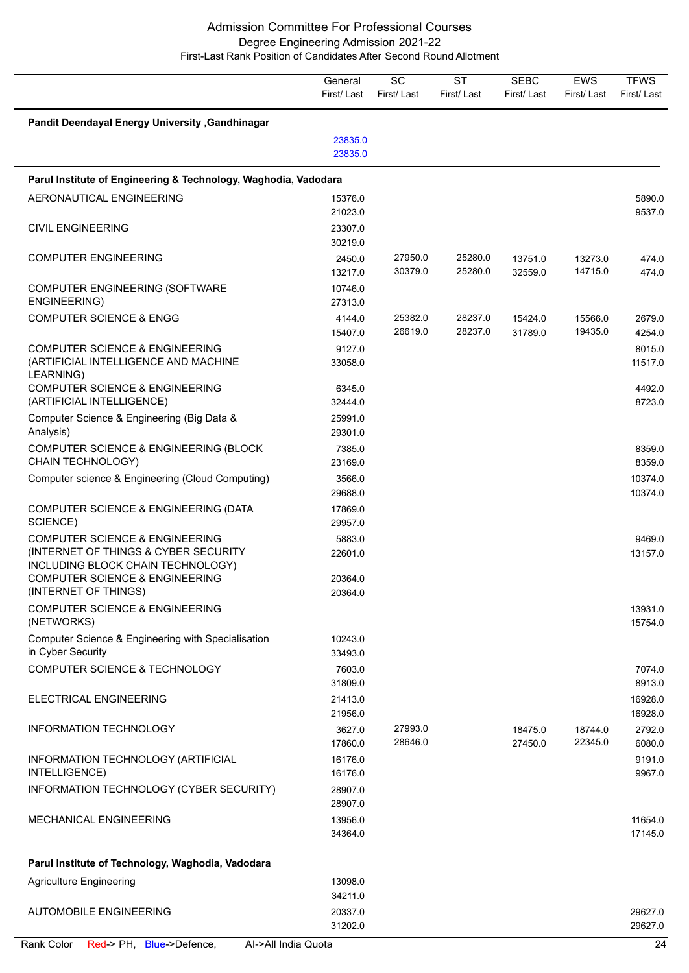|                                                                                                                                                                     | General<br>First/Last        | SC<br>First/Last   | <b>ST</b><br>First/Last | <b>SEBC</b><br>First/Last | <b>EWS</b><br>First/Last | <b>TFWS</b><br>First/Last |
|---------------------------------------------------------------------------------------------------------------------------------------------------------------------|------------------------------|--------------------|-------------------------|---------------------------|--------------------------|---------------------------|
| Pandit Deendayal Energy University, Gandhinagar                                                                                                                     |                              |                    |                         |                           |                          |                           |
|                                                                                                                                                                     | 23835.0<br>23835.0           |                    |                         |                           |                          |                           |
| Parul Institute of Engineering & Technology, Waghodia, Vadodara                                                                                                     |                              |                    |                         |                           |                          |                           |
| AERONAUTICAL ENGINEERING                                                                                                                                            | 15376.0<br>21023.0           |                    |                         |                           |                          | 5890.0<br>9537.0          |
| <b>CIVIL ENGINEERING</b>                                                                                                                                            | 23307.0<br>30219.0           |                    |                         |                           |                          |                           |
| <b>COMPUTER ENGINEERING</b>                                                                                                                                         | 2450.0<br>13217.0            | 27950.0<br>30379.0 | 25280.0<br>25280.0      | 13751.0<br>32559.0        | 13273.0<br>14715.0       | 474.0<br>474.0            |
| COMPUTER ENGINEERING (SOFTWARE<br>ENGINEERING)                                                                                                                      | 10746.0<br>27313.0           |                    |                         |                           |                          |                           |
| <b>COMPUTER SCIENCE &amp; ENGG</b>                                                                                                                                  | 4144.0<br>15407.0            | 25382.0<br>26619.0 | 28237.0<br>28237.0      | 15424.0<br>31789.0        | 15566.0<br>19435.0       | 2679.0<br>4254.0          |
| <b>COMPUTER SCIENCE &amp; ENGINEERING</b><br>(ARTIFICIAL INTELLIGENCE AND MACHINE<br>LEARNING)                                                                      | 9127.0<br>33058.0            |                    |                         |                           |                          | 8015.0<br>11517.0         |
| <b>COMPUTER SCIENCE &amp; ENGINEERING</b><br>(ARTIFICIAL INTELLIGENCE)                                                                                              | 6345.0<br>32444.0            |                    |                         |                           |                          | 4492.0<br>8723.0          |
| Computer Science & Engineering (Big Data &<br>Analysis)                                                                                                             | 25991.0<br>29301.0           |                    |                         |                           |                          |                           |
| COMPUTER SCIENCE & ENGINEERING (BLOCK<br>CHAIN TECHNOLOGY)                                                                                                          | 7385.0<br>23169.0            |                    |                         |                           |                          | 8359.0<br>8359.0          |
| Computer science & Engineering (Cloud Computing)                                                                                                                    | 3566.0<br>29688.0            |                    |                         |                           |                          | 10374.0<br>10374.0        |
| COMPUTER SCIENCE & ENGINEERING (DATA<br>SCIENCE)                                                                                                                    | 17869.0<br>29957.0           |                    |                         |                           |                          |                           |
| <b>COMPUTER SCIENCE &amp; ENGINEERING</b><br>(INTERNET OF THINGS & CYBER SECURITY<br>INCLUDING BLOCK CHAIN TECHNOLOGY)<br><b>COMPUTER SCIENCE &amp; ENGINEERING</b> | 5883.0<br>22601.0<br>20364.0 |                    |                         |                           |                          | 9469.0<br>13157.0         |
| (INTERNET OF THINGS)                                                                                                                                                | 20364.0                      |                    |                         |                           |                          |                           |
| <b>COMPUTER SCIENCE &amp; ENGINEERING</b><br>(NETWORKS)                                                                                                             |                              |                    |                         |                           |                          | 13931.0<br>15754.0        |
| Computer Science & Engineering with Specialisation<br>in Cyber Security                                                                                             | 10243.0<br>33493.0           |                    |                         |                           |                          |                           |
| COMPUTER SCIENCE & TECHNOLOGY                                                                                                                                       | 7603.0<br>31809.0            |                    |                         |                           |                          | 7074.0<br>8913.0          |
| ELECTRICAL ENGINEERING                                                                                                                                              | 21413.0<br>21956.0           |                    |                         |                           |                          | 16928.0<br>16928.0        |
| <b>INFORMATION TECHNOLOGY</b>                                                                                                                                       | 3627.0<br>17860.0            | 27993.0<br>28646.0 |                         | 18475.0<br>27450.0        | 18744.0<br>22345.0       | 2792.0<br>6080.0          |
| INFORMATION TECHNOLOGY (ARTIFICIAL<br>INTELLIGENCE)                                                                                                                 | 16176.0<br>16176.0           |                    |                         |                           |                          | 9191.0<br>9967.0          |
| INFORMATION TECHNOLOGY (CYBER SECURITY)                                                                                                                             | 28907.0<br>28907.0           |                    |                         |                           |                          |                           |
| <b>MECHANICAL ENGINEERING</b>                                                                                                                                       | 13956.0<br>34364.0           |                    |                         |                           |                          | 11654.0<br>17145.0        |
| Parul Institute of Technology, Waghodia, Vadodara                                                                                                                   |                              |                    |                         |                           |                          |                           |
| <b>Agriculture Engineering</b>                                                                                                                                      | 13098.0                      |                    |                         |                           |                          |                           |
| <b>AUTOMOBILE ENGINEERING</b>                                                                                                                                       | 34211.0<br>20337.0           |                    |                         |                           |                          | 29627.0                   |

 $\overline{a}$ 

31202.0 29627.0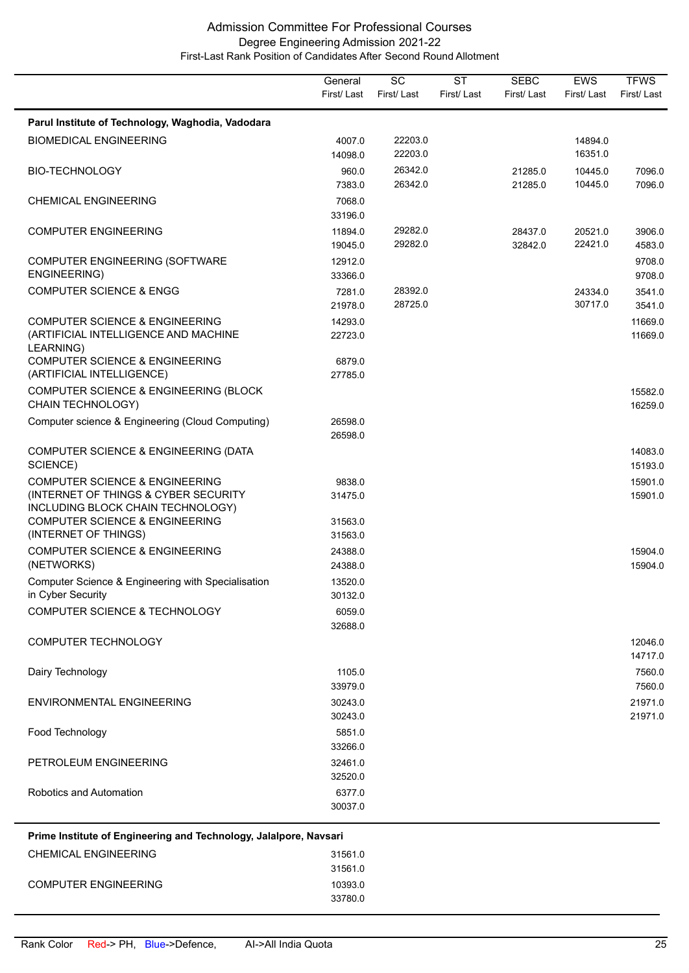|                                                                                                                                                                     | General<br>First/Last         | $\overline{SC}$<br>First/Last | <b>ST</b><br>First/Last | <b>SEBC</b><br>First/Last | EWS<br>First/Last  | <b>TFWS</b><br>First/Last |
|---------------------------------------------------------------------------------------------------------------------------------------------------------------------|-------------------------------|-------------------------------|-------------------------|---------------------------|--------------------|---------------------------|
| Parul Institute of Technology, Waghodia, Vadodara                                                                                                                   |                               |                               |                         |                           |                    |                           |
| <b>BIOMEDICAL ENGINEERING</b>                                                                                                                                       | 4007.0<br>14098.0             | 22203.0<br>22203.0            |                         |                           | 14894.0<br>16351.0 |                           |
| <b>BIO-TECHNOLOGY</b>                                                                                                                                               | 960.0<br>7383.0               | 26342.0<br>26342.0            |                         | 21285.0<br>21285.0        | 10445.0<br>10445.0 | 7096.0<br>7096.0          |
| <b>CHEMICAL ENGINEERING</b>                                                                                                                                         | 7068.0<br>33196.0             |                               |                         |                           |                    |                           |
| <b>COMPUTER ENGINEERING</b>                                                                                                                                         | 11894.0<br>19045.0            | 29282.0<br>29282.0            |                         | 28437.0<br>32842.0        | 20521.0<br>22421.0 | 3906.0<br>4583.0          |
| COMPUTER ENGINEERING (SOFTWARE<br>ENGINEERING)                                                                                                                      | 12912.0<br>33366.0            |                               |                         |                           |                    | 9708.0<br>9708.0          |
| <b>COMPUTER SCIENCE &amp; ENGG</b>                                                                                                                                  | 7281.0<br>21978.0             | 28392.0<br>28725.0            |                         |                           | 24334.0<br>30717.0 | 3541.0<br>3541.0          |
| <b>COMPUTER SCIENCE &amp; ENGINEERING</b><br>(ARTIFICIAL INTELLIGENCE AND MACHINE<br>LEARNING)                                                                      | 14293.0<br>22723.0            |                               |                         |                           |                    | 11669.0<br>11669.0        |
| <b>COMPUTER SCIENCE &amp; ENGINEERING</b><br>(ARTIFICIAL INTELLIGENCE)                                                                                              | 6879.0<br>27785.0             |                               |                         |                           |                    |                           |
| COMPUTER SCIENCE & ENGINEERING (BLOCK<br>CHAIN TECHNOLOGY)                                                                                                          |                               |                               |                         |                           |                    | 15582.0<br>16259.0        |
| Computer science & Engineering (Cloud Computing)                                                                                                                    | 26598.0<br>26598.0            |                               |                         |                           |                    |                           |
| COMPUTER SCIENCE & ENGINEERING (DATA<br>SCIENCE)                                                                                                                    |                               |                               |                         |                           |                    | 14083.0<br>15193.0        |
| <b>COMPUTER SCIENCE &amp; ENGINEERING</b><br>(INTERNET OF THINGS & CYBER SECURITY<br>INCLUDING BLOCK CHAIN TECHNOLOGY)<br><b>COMPUTER SCIENCE &amp; ENGINEERING</b> | 9838.0<br>31475.0<br>31563.0  |                               |                         |                           |                    | 15901.0<br>15901.0        |
| (INTERNET OF THINGS)<br><b>COMPUTER SCIENCE &amp; ENGINEERING</b>                                                                                                   | 31563.0<br>24388.0            |                               |                         |                           |                    | 15904.0                   |
| (NETWORKS)<br>Computer Science & Engineering with Specialisation<br>in Cyber Security                                                                               | 24388.0<br>13520.0<br>30132.0 |                               |                         |                           |                    | 15904.0                   |
| COMPUTER SCIENCE & TECHNOLOGY                                                                                                                                       | 6059.0<br>32688.0             |                               |                         |                           |                    |                           |
| COMPUTER TECHNOLOGY                                                                                                                                                 |                               |                               |                         |                           |                    | 12046.0<br>14717.0        |
| Dairy Technology                                                                                                                                                    | 1105.0<br>33979.0             |                               |                         |                           |                    | 7560.0<br>7560.0          |
| ENVIRONMENTAL ENGINEERING                                                                                                                                           | 30243.0<br>30243.0            |                               |                         |                           |                    | 21971.0<br>21971.0        |
| Food Technology                                                                                                                                                     | 5851.0<br>33266.0             |                               |                         |                           |                    |                           |
| PETROLEUM ENGINEERING                                                                                                                                               | 32461.0<br>32520.0            |                               |                         |                           |                    |                           |
| Robotics and Automation                                                                                                                                             | 6377.0<br>30037.0             |                               |                         |                           |                    |                           |
| Prime Institute of Engineering and Technology, Jalalpore, Navsari                                                                                                   |                               |                               |                         |                           |                    |                           |
| <b>CHEMICAL ENGINEERING</b>                                                                                                                                         | 31561.0<br>31561.0            |                               |                         |                           |                    |                           |
| <b>COMPUTER ENGINEERING</b>                                                                                                                                         | 10393.0<br>33780.0            |                               |                         |                           |                    |                           |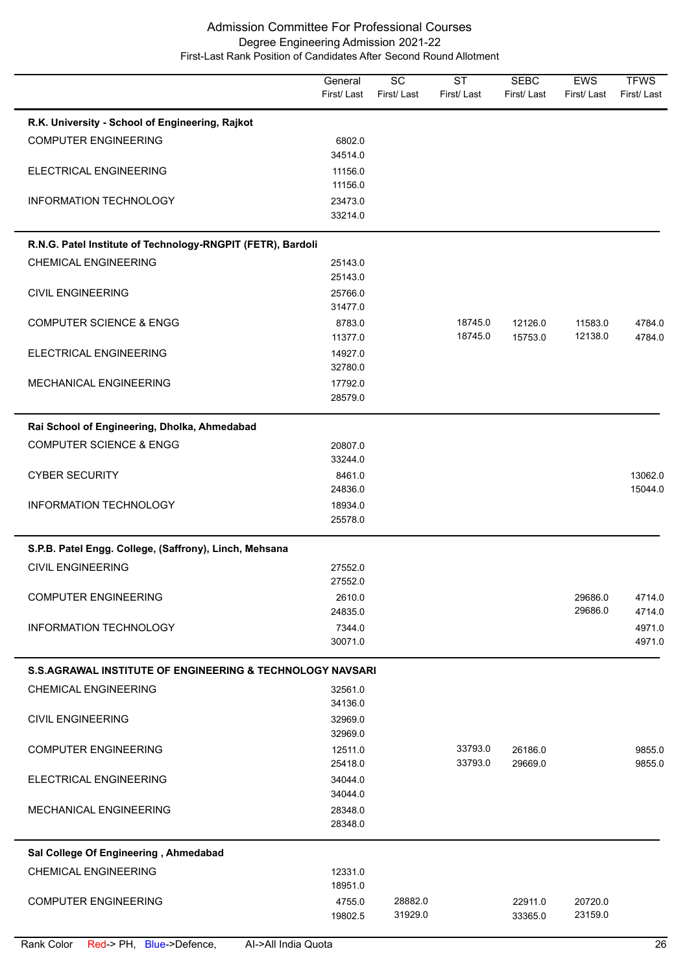|                                                                      | General<br>First/Last | $\overline{SC}$<br>First/Last | <b>ST</b><br>First/Last | <b>SEBC</b><br>First/Last | EWS<br>First/Last  | <b>TFWS</b><br>First/Last |
|----------------------------------------------------------------------|-----------------------|-------------------------------|-------------------------|---------------------------|--------------------|---------------------------|
| R.K. University - School of Engineering, Rajkot                      |                       |                               |                         |                           |                    |                           |
| <b>COMPUTER ENGINEERING</b>                                          | 6802.0                |                               |                         |                           |                    |                           |
|                                                                      | 34514.0               |                               |                         |                           |                    |                           |
| ELECTRICAL ENGINEERING                                               | 11156.0               |                               |                         |                           |                    |                           |
|                                                                      | 11156.0               |                               |                         |                           |                    |                           |
| INFORMATION TECHNOLOGY                                               | 23473.0               |                               |                         |                           |                    |                           |
|                                                                      | 33214.0               |                               |                         |                           |                    |                           |
| R.N.G. Patel Institute of Technology-RNGPIT (FETR), Bardoli          |                       |                               |                         |                           |                    |                           |
| <b>CHEMICAL ENGINEERING</b>                                          | 25143.0               |                               |                         |                           |                    |                           |
|                                                                      | 25143.0               |                               |                         |                           |                    |                           |
| <b>CIVIL ENGINEERING</b>                                             | 25766.0               |                               |                         |                           |                    |                           |
|                                                                      | 31477.0               |                               |                         |                           |                    |                           |
| <b>COMPUTER SCIENCE &amp; ENGG</b>                                   | 8783.0                |                               | 18745.0                 | 12126.0                   | 11583.0            | 4784.0                    |
|                                                                      | 11377.0               |                               | 18745.0                 | 15753.0                   | 12138.0            | 4784.0                    |
| ELECTRICAL ENGINEERING                                               | 14927.0<br>32780.0    |                               |                         |                           |                    |                           |
| MECHANICAL ENGINEERING                                               | 17792.0               |                               |                         |                           |                    |                           |
|                                                                      | 28579.0               |                               |                         |                           |                    |                           |
|                                                                      |                       |                               |                         |                           |                    |                           |
| Rai School of Engineering, Dholka, Ahmedabad                         |                       |                               |                         |                           |                    |                           |
| <b>COMPUTER SCIENCE &amp; ENGG</b>                                   | 20807.0               |                               |                         |                           |                    |                           |
|                                                                      | 33244.0               |                               |                         |                           |                    |                           |
| <b>CYBER SECURITY</b>                                                | 8461.0<br>24836.0     |                               |                         |                           |                    | 13062.0<br>15044.0        |
| INFORMATION TECHNOLOGY                                               | 18934.0               |                               |                         |                           |                    |                           |
|                                                                      | 25578.0               |                               |                         |                           |                    |                           |
|                                                                      |                       |                               |                         |                           |                    |                           |
| S.P.B. Patel Engg. College, (Saffrony), Linch, Mehsana               |                       |                               |                         |                           |                    |                           |
| <b>CIVIL ENGINEERING</b>                                             | 27552.0               |                               |                         |                           |                    |                           |
|                                                                      | 27552.0               |                               |                         |                           |                    |                           |
| <b>COMPUTER ENGINEERING</b>                                          | 2610.0                |                               |                         |                           | 29686.0<br>29686.0 | 4714.0                    |
| INFORMATION TECHNOLOGY                                               | 24835.0<br>7344.0     |                               |                         |                           |                    | 4714.0<br>4971.0          |
|                                                                      | 30071.0               |                               |                         |                           |                    | 4971.0                    |
|                                                                      |                       |                               |                         |                           |                    |                           |
| <b>S.S.AGRAWAL INSTITUTE OF ENGINEERING &amp; TECHNOLOGY NAVSARI</b> |                       |                               |                         |                           |                    |                           |
| <b>CHEMICAL ENGINEERING</b>                                          | 32561.0               |                               |                         |                           |                    |                           |
|                                                                      | 34136.0               |                               |                         |                           |                    |                           |
| <b>CIVIL ENGINEERING</b>                                             | 32969.0               |                               |                         |                           |                    |                           |
|                                                                      | 32969.0               |                               |                         |                           |                    |                           |
| <b>COMPUTER ENGINEERING</b>                                          | 12511.0<br>25418.0    |                               | 33793.0<br>33793.0      | 26186.0<br>29669.0        |                    | 9855.0<br>9855.0          |
| ELECTRICAL ENGINEERING                                               | 34044.0               |                               |                         |                           |                    |                           |
|                                                                      | 34044.0               |                               |                         |                           |                    |                           |
| MECHANICAL ENGINEERING                                               | 28348.0               |                               |                         |                           |                    |                           |
|                                                                      | 28348.0               |                               |                         |                           |                    |                           |
|                                                                      |                       |                               |                         |                           |                    |                           |
| Sal College Of Engineering, Ahmedabad                                |                       |                               |                         |                           |                    |                           |
| <b>CHEMICAL ENGINEERING</b>                                          | 12331.0<br>18951.0    |                               |                         |                           |                    |                           |
| <b>COMPUTER ENGINEERING</b>                                          | 4755.0                | 28882.0                       |                         | 22911.0                   | 20720.0            |                           |
|                                                                      | 19802.5               | 31929.0                       |                         | 33365.0                   | 23159.0            |                           |
|                                                                      |                       |                               |                         |                           |                    |                           |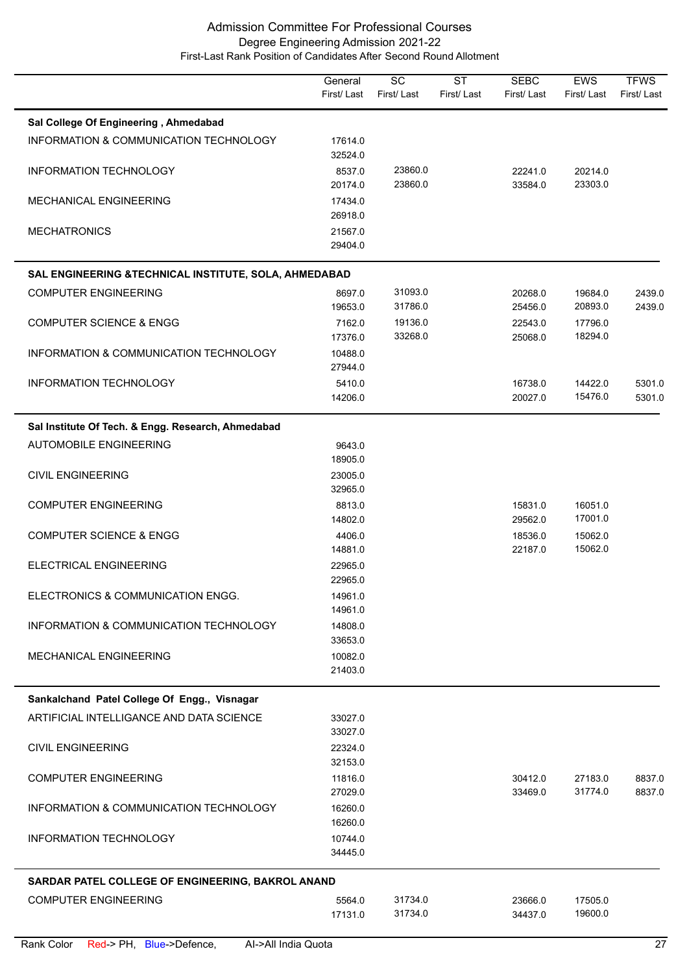|                                                        | General<br>First/Last | $\overline{SC}$<br>First/Last | $\overline{\text{ST}}$<br>First/Last | <b>SEBC</b><br>First/Last | <b>EWS</b><br>First/Last | <b>TFWS</b><br>First/Last |
|--------------------------------------------------------|-----------------------|-------------------------------|--------------------------------------|---------------------------|--------------------------|---------------------------|
| Sal College Of Engineering, Ahmedabad                  |                       |                               |                                      |                           |                          |                           |
| INFORMATION & COMMUNICATION TECHNOLOGY                 | 17614.0<br>32524.0    |                               |                                      |                           |                          |                           |
| INFORMATION TECHNOLOGY                                 | 8537.0<br>20174.0     | 23860.0<br>23860.0            |                                      | 22241.0<br>33584.0        | 20214.0<br>23303.0       |                           |
| MECHANICAL ENGINEERING                                 | 17434.0<br>26918.0    |                               |                                      |                           |                          |                           |
| <b>MECHATRONICS</b>                                    | 21567.0<br>29404.0    |                               |                                      |                           |                          |                           |
| SAL ENGINEERING & TECHNICAL INSTITUTE, SOLA, AHMEDABAD |                       |                               |                                      |                           |                          |                           |
| <b>COMPUTER ENGINEERING</b>                            | 8697.0<br>19653.0     | 31093.0<br>31786.0            |                                      | 20268.0<br>25456.0        | 19684.0<br>20893.0       | 2439.0<br>2439.0          |
| <b>COMPUTER SCIENCE &amp; ENGG</b>                     | 7162.0<br>17376.0     | 19136.0<br>33268.0            |                                      | 22543.0<br>25068.0        | 17796.0<br>18294.0       |                           |
| INFORMATION & COMMUNICATION TECHNOLOGY                 | 10488.0<br>27944.0    |                               |                                      |                           |                          |                           |
| <b>INFORMATION TECHNOLOGY</b>                          | 5410.0<br>14206.0     |                               |                                      | 16738.0<br>20027.0        | 14422.0<br>15476.0       | 5301.0<br>5301.0          |
| Sal Institute Of Tech. & Engg. Research, Ahmedabad     |                       |                               |                                      |                           |                          |                           |
| <b>AUTOMOBILE ENGINEERING</b>                          | 9643.0<br>18905.0     |                               |                                      |                           |                          |                           |
| <b>CIVIL ENGINEERING</b>                               | 23005.0<br>32965.0    |                               |                                      |                           |                          |                           |
| <b>COMPUTER ENGINEERING</b>                            | 8813.0<br>14802.0     |                               |                                      | 15831.0<br>29562.0        | 16051.0<br>17001.0       |                           |
| <b>COMPUTER SCIENCE &amp; ENGG</b>                     | 4406.0<br>14881.0     |                               |                                      | 18536.0<br>22187.0        | 15062.0<br>15062.0       |                           |
| ELECTRICAL ENGINEERING                                 | 22965.0<br>22965.0    |                               |                                      |                           |                          |                           |
| ELECTRONICS & COMMUNICATION ENGG.                      | 14961.0<br>14961.0    |                               |                                      |                           |                          |                           |
| INFORMATION & COMMUNICATION TECHNOLOGY                 | 14808.0<br>33653.0    |                               |                                      |                           |                          |                           |
| MECHANICAL ENGINEERING                                 | 10082.0<br>21403.0    |                               |                                      |                           |                          |                           |
| Sankalchand Patel College Of Engg., Visnagar           |                       |                               |                                      |                           |                          |                           |
| ARTIFICIAL INTELLIGANCE AND DATA SCIENCE               | 33027.0<br>33027.0    |                               |                                      |                           |                          |                           |
| <b>CIVIL ENGINEERING</b>                               | 22324.0<br>32153.0    |                               |                                      |                           |                          |                           |
| <b>COMPUTER ENGINEERING</b>                            | 11816.0<br>27029.0    |                               |                                      | 30412.0<br>33469.0        | 27183.0<br>31774.0       | 8837.0<br>8837.0          |
| INFORMATION & COMMUNICATION TECHNOLOGY                 | 16260.0<br>16260.0    |                               |                                      |                           |                          |                           |
| <b>INFORMATION TECHNOLOGY</b>                          | 10744.0<br>34445.0    |                               |                                      |                           |                          |                           |
| SARDAR PATEL COLLEGE OF ENGINEERING, BAKROL ANAND      |                       |                               |                                      |                           |                          |                           |
| <b>COMPUTER ENGINEERING</b>                            | 5564.0<br>17131.0     | 31734.0<br>31734.0            |                                      | 23666.0<br>34437.0        | 17505.0<br>19600.0       |                           |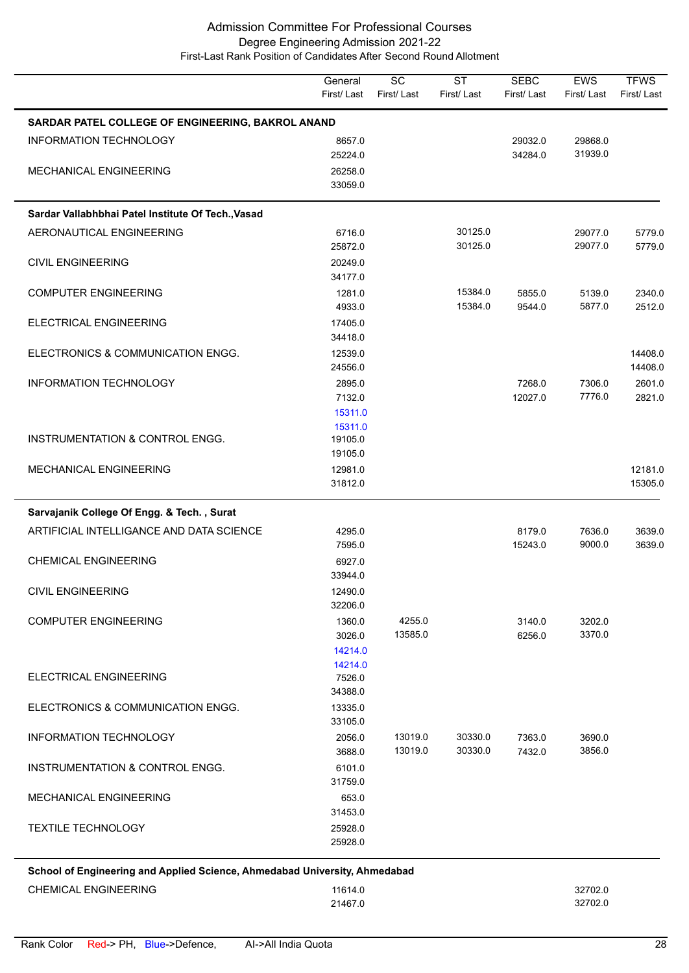|                                                                            | General<br>First/Last | $\overline{SC}$<br>First/Last | <b>ST</b><br>First/Last | <b>SEBC</b><br>First/Last | <b>EWS</b><br>First/Last | <b>TFWS</b><br>First/Last |
|----------------------------------------------------------------------------|-----------------------|-------------------------------|-------------------------|---------------------------|--------------------------|---------------------------|
| SARDAR PATEL COLLEGE OF ENGINEERING, BAKROL ANAND                          |                       |                               |                         |                           |                          |                           |
| INFORMATION TECHNOLOGY                                                     | 8657.0                |                               |                         | 29032.0                   | 29868.0                  |                           |
| MECHANICAL ENGINEERING                                                     | 25224.0<br>26258.0    |                               |                         | 34284.0                   | 31939.0                  |                           |
|                                                                            | 33059.0               |                               |                         |                           |                          |                           |
| Sardar Vallabhbhai Patel Institute Of Tech., Vasad                         |                       |                               |                         |                           |                          |                           |
| AERONAUTICAL ENGINEERING                                                   | 6716.0                |                               | 30125.0                 |                           | 29077.0                  | 5779.0                    |
|                                                                            | 25872.0               |                               | 30125.0                 |                           | 29077.0                  | 5779.0                    |
| <b>CIVIL ENGINEERING</b>                                                   | 20249.0               |                               |                         |                           |                          |                           |
| <b>COMPUTER ENGINEERING</b>                                                | 34177.0<br>1281.0     |                               | 15384.0                 | 5855.0                    | 5139.0                   | 2340.0                    |
|                                                                            | 4933.0                |                               | 15384.0                 | 9544.0                    | 5877.0                   | 2512.0                    |
| ELECTRICAL ENGINEERING                                                     | 17405.0               |                               |                         |                           |                          |                           |
|                                                                            | 34418.0               |                               |                         |                           |                          |                           |
| ELECTRONICS & COMMUNICATION ENGG.                                          | 12539.0<br>24556.0    |                               |                         |                           |                          | 14408.0<br>14408.0        |
| INFORMATION TECHNOLOGY                                                     | 2895.0                |                               |                         | 7268.0                    | 7306.0                   | 2601.0                    |
|                                                                            | 7132.0                |                               |                         | 12027.0                   | 7776.0                   | 2821.0                    |
|                                                                            | 15311.0<br>15311.0    |                               |                         |                           |                          |                           |
| INSTRUMENTATION & CONTROL ENGG.                                            | 19105.0               |                               |                         |                           |                          |                           |
|                                                                            | 19105.0               |                               |                         |                           |                          |                           |
| MECHANICAL ENGINEERING                                                     | 12981.0               |                               |                         |                           |                          | 12181.0                   |
|                                                                            | 31812.0               |                               |                         |                           |                          | 15305.0                   |
| Sarvajanik College Of Engg. & Tech., Surat                                 |                       |                               |                         |                           |                          |                           |
| ARTIFICIAL INTELLIGANCE AND DATA SCIENCE                                   | 4295.0<br>7595.0      |                               |                         | 8179.0<br>15243.0         | 7636.0<br>9000.0         | 3639.0<br>3639.0          |
| <b>CHEMICAL ENGINEERING</b>                                                | 6927.0                |                               |                         |                           |                          |                           |
|                                                                            | 33944.0               |                               |                         |                           |                          |                           |
| <b>CIVIL ENGINEERING</b>                                                   | 12490.0               |                               |                         |                           |                          |                           |
| <b>COMPUTER ENGINEERING</b>                                                | 32206.0<br>1360.0     | 4255.0                        |                         | 3140.0                    | 3202.0                   |                           |
|                                                                            | 3026.0                | 13585.0                       |                         | 6256.0                    | 3370.0                   |                           |
|                                                                            | 14214.0               |                               |                         |                           |                          |                           |
| ELECTRICAL ENGINEERING                                                     | 14214.0<br>7526.0     |                               |                         |                           |                          |                           |
|                                                                            | 34388.0               |                               |                         |                           |                          |                           |
| ELECTRONICS & COMMUNICATION ENGG.                                          | 13335.0               |                               |                         |                           |                          |                           |
| INFORMATION TECHNOLOGY                                                     | 33105.0<br>2056.0     | 13019.0                       | 30330.0                 | 7363.0                    | 3690.0                   |                           |
|                                                                            | 3688.0                | 13019.0                       | 30330.0                 | 7432.0                    | 3856.0                   |                           |
| INSTRUMENTATION & CONTROL ENGG.                                            | 6101.0                |                               |                         |                           |                          |                           |
|                                                                            | 31759.0               |                               |                         |                           |                          |                           |
| <b>MECHANICAL ENGINEERING</b>                                              | 653.0<br>31453.0      |                               |                         |                           |                          |                           |
| <b>TEXTILE TECHNOLOGY</b>                                                  | 25928.0               |                               |                         |                           |                          |                           |
|                                                                            | 25928.0               |                               |                         |                           |                          |                           |
| School of Engineering and Applied Science, Ahmedabad University, Ahmedabad |                       |                               |                         |                           |                          |                           |
|                                                                            |                       |                               |                         |                           |                          |                           |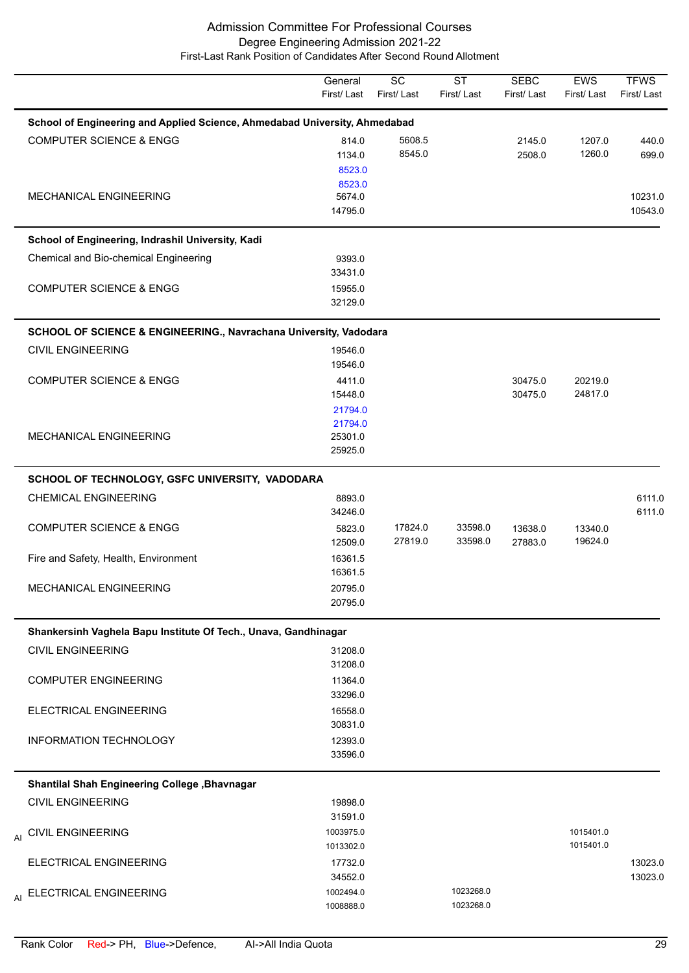|                                                                            | General<br>First/Last         | $\overline{SC}$<br>First/Last | $\overline{\text{ST}}$<br>First/Last | <b>SEBC</b><br>First/Last | EWS<br>First/Last      | <b>TFWS</b><br>First/Last |
|----------------------------------------------------------------------------|-------------------------------|-------------------------------|--------------------------------------|---------------------------|------------------------|---------------------------|
| School of Engineering and Applied Science, Ahmedabad University, Ahmedabad |                               |                               |                                      |                           |                        |                           |
| <b>COMPUTER SCIENCE &amp; ENGG</b>                                         | 814.0<br>1134.0<br>8523.0     | 5608.5<br>8545.0              |                                      | 2145.0<br>2508.0          | 1207.0<br>1260.0       | 440.0<br>699.0            |
| MECHANICAL ENGINEERING                                                     | 8523.0<br>5674.0<br>14795.0   |                               |                                      |                           |                        | 10231.0<br>10543.0        |
| School of Engineering, Indrashil University, Kadi                          |                               |                               |                                      |                           |                        |                           |
| Chemical and Bio-chemical Engineering                                      | 9393.0<br>33431.0             |                               |                                      |                           |                        |                           |
| <b>COMPUTER SCIENCE &amp; ENGG</b>                                         | 15955.0<br>32129.0            |                               |                                      |                           |                        |                           |
| SCHOOL OF SCIENCE & ENGINEERING., Navrachana University, Vadodara          |                               |                               |                                      |                           |                        |                           |
| <b>CIVIL ENGINEERING</b>                                                   | 19546.0<br>19546.0            |                               |                                      |                           |                        |                           |
| <b>COMPUTER SCIENCE &amp; ENGG</b>                                         | 4411.0<br>15448.0<br>21794.0  |                               |                                      | 30475.0<br>30475.0        | 20219.0<br>24817.0     |                           |
| MECHANICAL ENGINEERING                                                     | 21794.0<br>25301.0<br>25925.0 |                               |                                      |                           |                        |                           |
| SCHOOL OF TECHNOLOGY, GSFC UNIVERSITY, VADODARA                            |                               |                               |                                      |                           |                        |                           |
| <b>CHEMICAL ENGINEERING</b>                                                | 8893.0<br>34246.0             |                               |                                      |                           |                        | 6111.0<br>6111.0          |
| <b>COMPUTER SCIENCE &amp; ENGG</b>                                         | 5823.0<br>12509.0             | 17824.0<br>27819.0            | 33598.0<br>33598.0                   | 13638.0<br>27883.0        | 13340.0<br>19624.0     |                           |
| Fire and Safety, Health, Environment                                       | 16361.5<br>16361.5            |                               |                                      |                           |                        |                           |
| MECHANICAL ENGINEERING                                                     | 20795.0<br>20795.0            |                               |                                      |                           |                        |                           |
| Shankersinh Vaghela Bapu Institute Of Tech., Unava, Gandhinagar            |                               |                               |                                      |                           |                        |                           |
| <b>CIVIL ENGINEERING</b>                                                   | 31208.0<br>31208.0            |                               |                                      |                           |                        |                           |
| <b>COMPUTER ENGINEERING</b>                                                | 11364.0<br>33296.0            |                               |                                      |                           |                        |                           |
| ELECTRICAL ENGINEERING                                                     | 16558.0<br>30831.0            |                               |                                      |                           |                        |                           |
| <b>INFORMATION TECHNOLOGY</b>                                              | 12393.0<br>33596.0            |                               |                                      |                           |                        |                           |
| Shantilal Shah Engineering College , Bhavnagar                             |                               |                               |                                      |                           |                        |                           |
| <b>CIVIL ENGINEERING</b>                                                   | 19898.0<br>31591.0            |                               |                                      |                           |                        |                           |
| AI CIVIL ENGINEERING                                                       | 1003975.0<br>1013302.0        |                               |                                      |                           | 1015401.0<br>1015401.0 |                           |
| ELECTRICAL ENGINEERING                                                     | 17732.0<br>34552.0            |                               |                                      |                           |                        | 13023.0<br>13023.0        |
| ELECTRICAL ENGINEERING<br>AI                                               | 1002494.0<br>1008888.0        |                               | 1023268.0<br>1023268.0               |                           |                        |                           |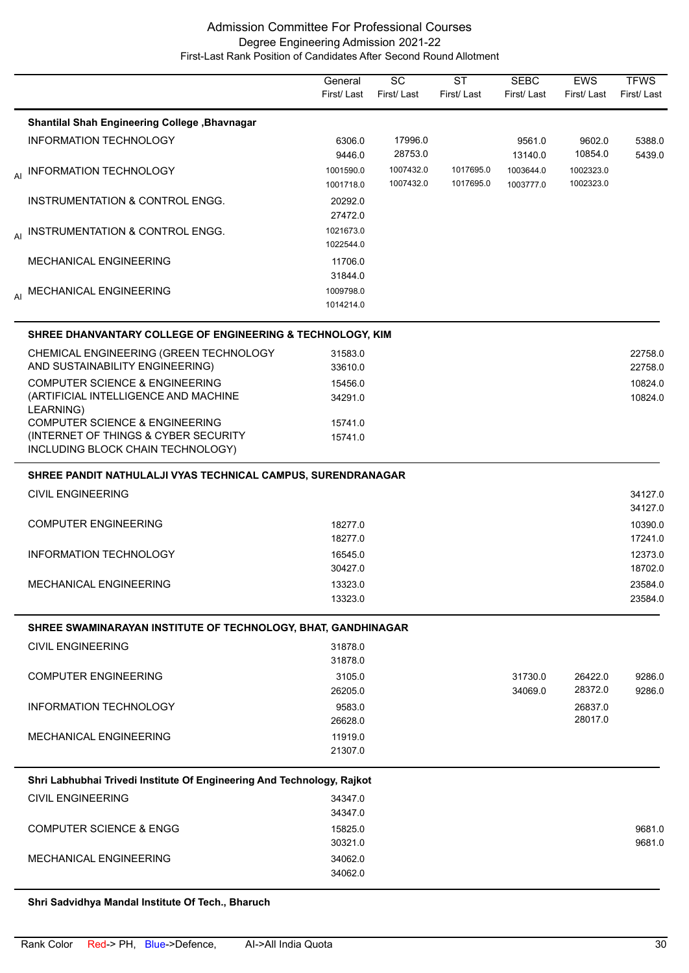|    |                                                                           | General<br>First/Last  | SC<br>First/Last       | <b>ST</b><br>First/Last | <b>SEBC</b><br>First/Last | <b>EWS</b><br>First/Last | <b>TFWS</b><br>First/Last |
|----|---------------------------------------------------------------------------|------------------------|------------------------|-------------------------|---------------------------|--------------------------|---------------------------|
|    | Shantilal Shah Engineering College, Bhavnagar                             |                        |                        |                         |                           |                          |                           |
|    | <b>INFORMATION TECHNOLOGY</b>                                             | 6306.0<br>9446.0       | 17996.0<br>28753.0     |                         | 9561.0<br>13140.0         | 9602.0<br>10854.0        | 5388.0<br>5439.0          |
| AI | INFORMATION TECHNOLOGY                                                    | 1001590.0<br>1001718.0 | 1007432.0<br>1007432.0 | 1017695.0<br>1017695.0  | 1003644.0<br>1003777.0    | 1002323.0<br>1002323.0   |                           |
|    | INSTRUMENTATION & CONTROL ENGG.                                           | 20292.0<br>27472.0     |                        |                         |                           |                          |                           |
|    | AI INSTRUMENTATION & CONTROL ENGG.                                        | 1021673.0<br>1022544.0 |                        |                         |                           |                          |                           |
|    | <b>MECHANICAL ENGINEERING</b>                                             | 11706.0<br>31844.0     |                        |                         |                           |                          |                           |
|    | AI MECHANICAL ENGINEERING                                                 | 1009798.0<br>1014214.0 |                        |                         |                           |                          |                           |
|    | SHREE DHANVANTARY COLLEGE OF ENGINEERING & TECHNOLOGY, KIM                |                        |                        |                         |                           |                          |                           |
|    | CHEMICAL ENGINEERING (GREEN TECHNOLOGY<br>AND SUSTAINABILITY ENGINEERING) | 31583.0<br>33610.0     |                        |                         |                           |                          | 22758.0<br>22758.0        |
|    | <b>COMPUTER SCIENCE &amp; ENGINEERING</b>                                 | 15456.0                |                        |                         |                           |                          | 10824.0                   |
|    | (ARTIFICIAL INTELLIGENCE AND MACHINE<br>LEARNING)                         | 34291.0                |                        |                         |                           |                          | 10824.0                   |
|    | COMPUTER SCIENCE & ENGINEERING                                            | 15741.0                |                        |                         |                           |                          |                           |
|    | (INTERNET OF THINGS & CYBER SECURITY<br>INCLUDING BLOCK CHAIN TECHNOLOGY) | 15741.0                |                        |                         |                           |                          |                           |
|    | SHREE PANDIT NATHULALJI VYAS TECHNICAL CAMPUS, SURENDRANAGAR              |                        |                        |                         |                           |                          |                           |
|    | <b>CIVIL ENGINEERING</b>                                                  |                        |                        |                         |                           |                          | 34127.0<br>34127.0        |
|    | <b>COMPUTER ENGINEERING</b>                                               | 18277.0                |                        |                         |                           |                          | 10390.0                   |
|    |                                                                           | 18277.0                |                        |                         |                           |                          | 17241.0                   |
|    | <b>INFORMATION TECHNOLOGY</b>                                             | 16545.0                |                        |                         |                           |                          | 12373.0                   |
|    |                                                                           | 30427.0                |                        |                         |                           |                          | 18702.0                   |
|    | MECHANICAL ENGINEERING                                                    | 13323.0                |                        |                         |                           |                          | 23584.0                   |
|    |                                                                           | 13323.0                |                        |                         |                           |                          | 23584.0                   |
|    | SHREE SWAMINARAYAN INSTITUTE OF TECHNOLOGY, BHAT, GANDHINAGAR             |                        |                        |                         |                           |                          |                           |
|    | <b>CIVIL ENGINEERING</b>                                                  | 31878.0                |                        |                         |                           |                          |                           |
|    |                                                                           | 31878.0                |                        |                         |                           |                          |                           |
|    | <b>COMPUTER ENGINEERING</b>                                               | 3105.0                 |                        |                         | 31730.0                   | 26422.0                  | 9286.0                    |
|    |                                                                           | 26205.0                |                        |                         | 34069.0                   | 28372.0                  | 9286.0                    |
|    | INFORMATION TECHNOLOGY                                                    | 9583.0<br>26628.0      |                        |                         |                           | 26837.0<br>28017.0       |                           |
|    | <b>MECHANICAL ENGINEERING</b>                                             | 11919.0                |                        |                         |                           |                          |                           |
|    |                                                                           | 21307.0                |                        |                         |                           |                          |                           |
|    | Shri Labhubhai Trivedi Institute Of Engineering And Technology, Rajkot    |                        |                        |                         |                           |                          |                           |
|    | <b>CIVIL ENGINEERING</b>                                                  | 34347.0                |                        |                         |                           |                          |                           |
|    |                                                                           | 34347.0                |                        |                         |                           |                          |                           |
|    | <b>COMPUTER SCIENCE &amp; ENGG</b>                                        | 15825.0                |                        |                         |                           |                          | 9681.0                    |
|    |                                                                           | 30321.0                |                        |                         |                           |                          | 9681.0                    |
|    | <b>MECHANICAL ENGINEERING</b>                                             | 34062.0                |                        |                         |                           |                          |                           |
|    |                                                                           | 34062.0                |                        |                         |                           |                          |                           |

**Shri Sadvidhya Mandal Institute Of Tech., Bharuch**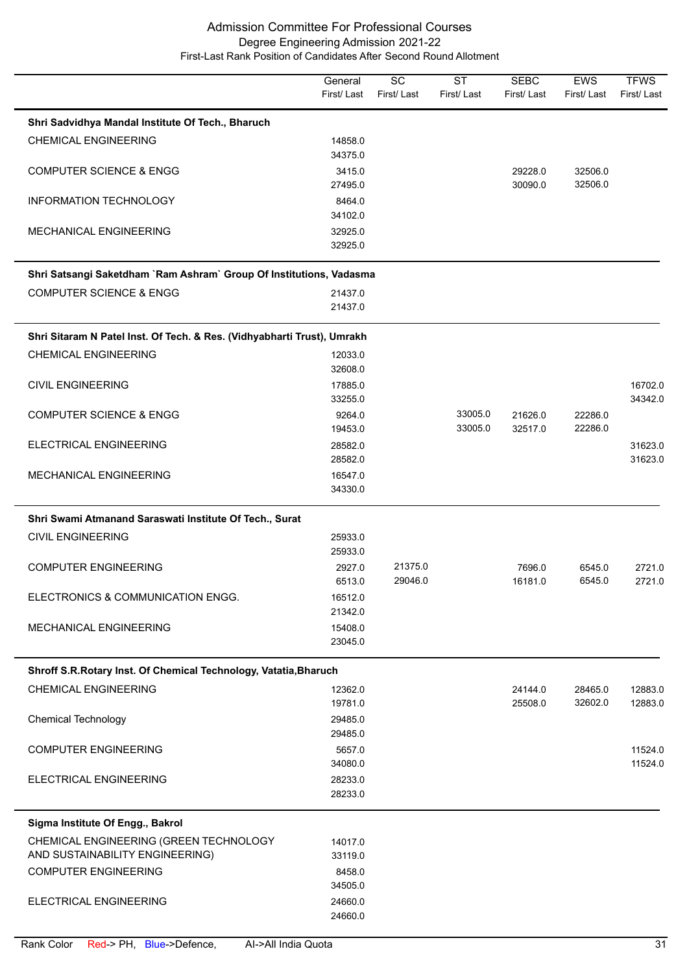|                                                                           | General<br>First/Last | $\overline{SC}$<br>First/Last | $\overline{\text{ST}}$<br>First/Last | <b>SEBC</b><br>First/Last | <b>EWS</b><br>First/Last | <b>TFWS</b><br>First/Last |
|---------------------------------------------------------------------------|-----------------------|-------------------------------|--------------------------------------|---------------------------|--------------------------|---------------------------|
| Shri Sadvidhya Mandal Institute Of Tech., Bharuch                         |                       |                               |                                      |                           |                          |                           |
| <b>CHEMICAL ENGINEERING</b>                                               | 14858.0<br>34375.0    |                               |                                      |                           |                          |                           |
| <b>COMPUTER SCIENCE &amp; ENGG</b>                                        | 3415.0<br>27495.0     |                               |                                      | 29228.0<br>30090.0        | 32506.0<br>32506.0       |                           |
| INFORMATION TECHNOLOGY                                                    | 8464.0<br>34102.0     |                               |                                      |                           |                          |                           |
| MECHANICAL ENGINEERING                                                    | 32925.0<br>32925.0    |                               |                                      |                           |                          |                           |
| Shri Satsangi Saketdham `Ram Ashram` Group Of Institutions, Vadasma       |                       |                               |                                      |                           |                          |                           |
| <b>COMPUTER SCIENCE &amp; ENGG</b>                                        | 21437.0<br>21437.0    |                               |                                      |                           |                          |                           |
| Shri Sitaram N Patel Inst. Of Tech. & Res. (Vidhyabharti Trust), Umrakh   |                       |                               |                                      |                           |                          |                           |
| <b>CHEMICAL ENGINEERING</b>                                               | 12033.0<br>32608.0    |                               |                                      |                           |                          |                           |
| <b>CIVIL ENGINEERING</b>                                                  | 17885.0<br>33255.0    |                               |                                      |                           |                          | 16702.0<br>34342.0        |
| <b>COMPUTER SCIENCE &amp; ENGG</b>                                        | 9264.0<br>19453.0     |                               | 33005.0<br>33005.0                   | 21626.0<br>32517.0        | 22286.0<br>22286.0       |                           |
| ELECTRICAL ENGINEERING                                                    | 28582.0<br>28582.0    |                               |                                      |                           |                          | 31623.0<br>31623.0        |
| MECHANICAL ENGINEERING                                                    | 16547.0<br>34330.0    |                               |                                      |                           |                          |                           |
| Shri Swami Atmanand Saraswati Institute Of Tech., Surat                   |                       |                               |                                      |                           |                          |                           |
| <b>CIVIL ENGINEERING</b>                                                  | 25933.0<br>25933.0    |                               |                                      |                           |                          |                           |
| <b>COMPUTER ENGINEERING</b>                                               | 2927.0<br>6513.0      | 21375.0<br>29046.0            |                                      | 7696.0<br>16181.0         | 6545.0<br>6545.0         | 2721.0<br>2721.0          |
| ELECTRONICS & COMMUNICATION ENGG.                                         | 16512.0<br>21342.0    |                               |                                      |                           |                          |                           |
| <b>MECHANICAL ENGINEERING</b>                                             | 15408.0<br>23045.0    |                               |                                      |                           |                          |                           |
| Shroff S.R.Rotary Inst. Of Chemical Technology, Vatatia, Bharuch          |                       |                               |                                      |                           |                          |                           |
| <b>CHEMICAL ENGINEERING</b>                                               | 12362.0<br>19781.0    |                               |                                      | 24144.0<br>25508.0        | 28465.0<br>32602.0       | 12883.0<br>12883.0        |
| <b>Chemical Technology</b>                                                | 29485.0<br>29485.0    |                               |                                      |                           |                          |                           |
| <b>COMPUTER ENGINEERING</b>                                               | 5657.0<br>34080.0     |                               |                                      |                           |                          | 11524.0<br>11524.0        |
| ELECTRICAL ENGINEERING                                                    | 28233.0<br>28233.0    |                               |                                      |                           |                          |                           |
| Sigma Institute Of Engg., Bakrol                                          |                       |                               |                                      |                           |                          |                           |
| CHEMICAL ENGINEERING (GREEN TECHNOLOGY<br>AND SUSTAINABILITY ENGINEERING) | 14017.0<br>33119.0    |                               |                                      |                           |                          |                           |
| <b>COMPUTER ENGINEERING</b>                                               | 8458.0<br>34505.0     |                               |                                      |                           |                          |                           |
| ELECTRICAL ENGINEERING                                                    | 24660.0<br>24660.0    |                               |                                      |                           |                          |                           |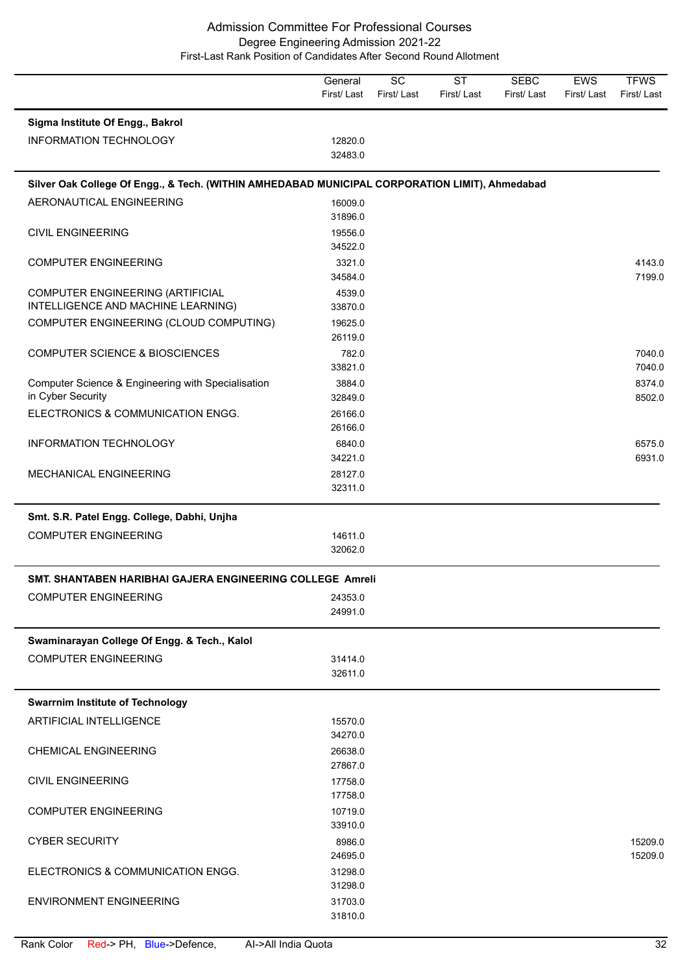|                                                                                                | General<br>First/Last | SC<br>First/Last | <b>ST</b><br>First/Last | <b>SEBC</b><br>First/Last | <b>EWS</b><br>First/Last | <b>TFWS</b><br>First/Last |
|------------------------------------------------------------------------------------------------|-----------------------|------------------|-------------------------|---------------------------|--------------------------|---------------------------|
| Sigma Institute Of Engg., Bakrol                                                               |                       |                  |                         |                           |                          |                           |
| <b>INFORMATION TECHNOLOGY</b>                                                                  | 12820.0<br>32483.0    |                  |                         |                           |                          |                           |
| Silver Oak College Of Engg., & Tech. (WITHIN AMHEDABAD MUNICIPAL CORPORATION LIMIT), Ahmedabad |                       |                  |                         |                           |                          |                           |
| AERONAUTICAL ENGINEERING                                                                       | 16009.0               |                  |                         |                           |                          |                           |
|                                                                                                | 31896.0               |                  |                         |                           |                          |                           |
| <b>CIVIL ENGINEERING</b>                                                                       | 19556.0               |                  |                         |                           |                          |                           |
|                                                                                                | 34522.0               |                  |                         |                           |                          | 4143.0                    |
| <b>COMPUTER ENGINEERING</b>                                                                    | 3321.0<br>34584.0     |                  |                         |                           |                          | 7199.0                    |
| COMPUTER ENGINEERING (ARTIFICIAL                                                               | 4539.0                |                  |                         |                           |                          |                           |
| INTELLIGENCE AND MACHINE LEARNING)                                                             | 33870.0               |                  |                         |                           |                          |                           |
| COMPUTER ENGINEERING (CLOUD COMPUTING)                                                         | 19625.0               |                  |                         |                           |                          |                           |
|                                                                                                | 26119.0               |                  |                         |                           |                          |                           |
| <b>COMPUTER SCIENCE &amp; BIOSCIENCES</b>                                                      | 782.0                 |                  |                         |                           |                          | 7040.0                    |
|                                                                                                | 33821.0               |                  |                         |                           |                          | 7040.0                    |
| Computer Science & Engineering with Specialisation                                             | 3884.0                |                  |                         |                           |                          | 8374.0                    |
| in Cyber Security                                                                              | 32849.0               |                  |                         |                           |                          | 8502.0                    |
| ELECTRONICS & COMMUNICATION ENGG.                                                              | 26166.0               |                  |                         |                           |                          |                           |
|                                                                                                | 26166.0               |                  |                         |                           |                          |                           |
| INFORMATION TECHNOLOGY                                                                         | 6840.0<br>34221.0     |                  |                         |                           |                          | 6575.0<br>6931.0          |
| MECHANICAL ENGINEERING                                                                         | 28127.0               |                  |                         |                           |                          |                           |
|                                                                                                | 32311.0               |                  |                         |                           |                          |                           |
| Smt. S.R. Patel Engg. College, Dabhi, Unjha                                                    |                       |                  |                         |                           |                          |                           |
| <b>COMPUTER ENGINEERING</b>                                                                    | 14611.0               |                  |                         |                           |                          |                           |
|                                                                                                | 32062.0               |                  |                         |                           |                          |                           |
| SMT. SHANTABEN HARIBHAI GAJERA ENGINEERING COLLEGE Amreli                                      |                       |                  |                         |                           |                          |                           |
| <b>COMPUTER ENGINEERING</b>                                                                    | 24353.0               |                  |                         |                           |                          |                           |
|                                                                                                | 24991.0               |                  |                         |                           |                          |                           |
| Swaminarayan College Of Engg. & Tech., Kalol                                                   |                       |                  |                         |                           |                          |                           |
| <b>COMPUTER ENGINEERING</b>                                                                    | 31414.0               |                  |                         |                           |                          |                           |
|                                                                                                | 32611.0               |                  |                         |                           |                          |                           |
| <b>Swarrnim Institute of Technology</b>                                                        |                       |                  |                         |                           |                          |                           |
| ARTIFICIAL INTELLIGENCE                                                                        | 15570.0               |                  |                         |                           |                          |                           |
|                                                                                                | 34270.0               |                  |                         |                           |                          |                           |
| <b>CHEMICAL ENGINEERING</b>                                                                    | 26638.0               |                  |                         |                           |                          |                           |
|                                                                                                | 27867.0               |                  |                         |                           |                          |                           |
| <b>CIVIL ENGINEERING</b>                                                                       | 17758.0               |                  |                         |                           |                          |                           |
|                                                                                                | 17758.0               |                  |                         |                           |                          |                           |
| <b>COMPUTER ENGINEERING</b>                                                                    | 10719.0               |                  |                         |                           |                          |                           |
|                                                                                                | 33910.0               |                  |                         |                           |                          |                           |
| <b>CYBER SECURITY</b>                                                                          | 8986.0<br>24695.0     |                  |                         |                           |                          | 15209.0<br>15209.0        |
| ELECTRONICS & COMMUNICATION ENGG.                                                              | 31298.0               |                  |                         |                           |                          |                           |
|                                                                                                | 31298.0               |                  |                         |                           |                          |                           |
| <b>ENVIRONMENT ENGINEERING</b>                                                                 | 31703.0               |                  |                         |                           |                          |                           |
|                                                                                                | 31810.0               |                  |                         |                           |                          |                           |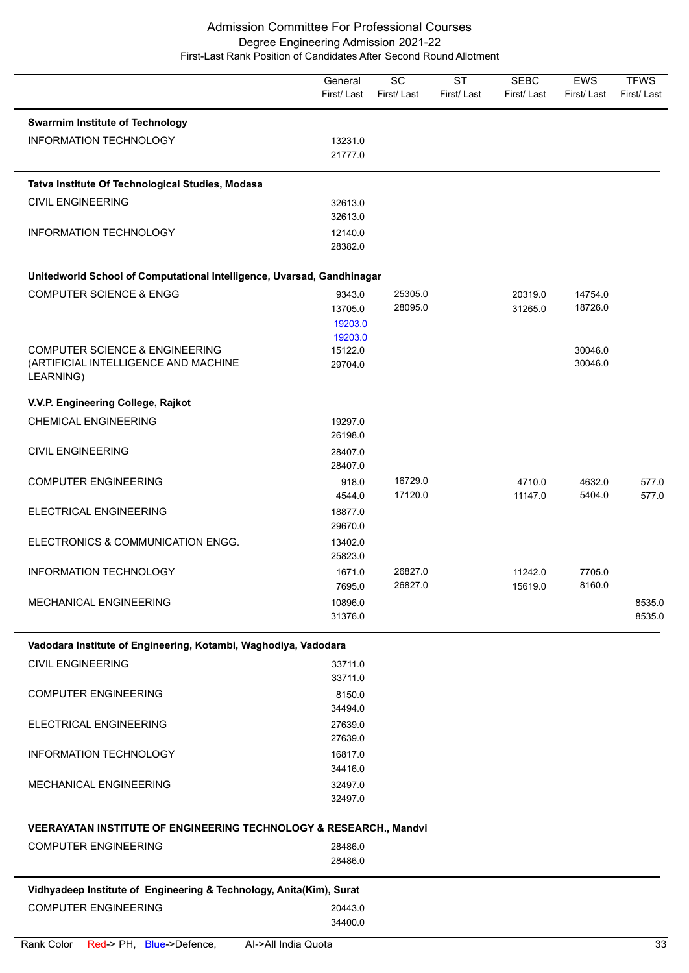|                                                                               | General<br>First/Last | $\overline{SC}$<br>First/Last | <b>ST</b><br>First/Last | <b>SEBC</b><br>First/Last | <b>EWS</b><br>First/Last | <b>TFWS</b><br>First/Last |
|-------------------------------------------------------------------------------|-----------------------|-------------------------------|-------------------------|---------------------------|--------------------------|---------------------------|
| <b>Swarrnim Institute of Technology</b>                                       |                       |                               |                         |                           |                          |                           |
| INFORMATION TECHNOLOGY                                                        | 13231.0               |                               |                         |                           |                          |                           |
|                                                                               | 21777.0               |                               |                         |                           |                          |                           |
| Tatva Institute Of Technological Studies, Modasa                              |                       |                               |                         |                           |                          |                           |
| <b>CIVIL ENGINEERING</b>                                                      | 32613.0               |                               |                         |                           |                          |                           |
|                                                                               | 32613.0               |                               |                         |                           |                          |                           |
| INFORMATION TECHNOLOGY                                                        | 12140.0               |                               |                         |                           |                          |                           |
|                                                                               | 28382.0               |                               |                         |                           |                          |                           |
| Unitedworld School of Computational Intelligence, Uvarsad, Gandhinagar        |                       |                               |                         |                           |                          |                           |
| <b>COMPUTER SCIENCE &amp; ENGG</b>                                            | 9343.0                | 25305.0                       |                         | 20319.0                   | 14754.0                  |                           |
|                                                                               | 13705.0               | 28095.0                       |                         | 31265.0                   | 18726.0                  |                           |
|                                                                               | 19203.0               |                               |                         |                           |                          |                           |
|                                                                               | 19203.0               |                               |                         |                           |                          |                           |
| <b>COMPUTER SCIENCE &amp; ENGINEERING</b>                                     | 15122.0               |                               |                         |                           | 30046.0<br>30046.0       |                           |
| (ARTIFICIAL INTELLIGENCE AND MACHINE<br>LEARNING)                             | 29704.0               |                               |                         |                           |                          |                           |
| V.V.P. Engineering College, Rajkot                                            |                       |                               |                         |                           |                          |                           |
| <b>CHEMICAL ENGINEERING</b>                                                   | 19297.0               |                               |                         |                           |                          |                           |
|                                                                               | 26198.0               |                               |                         |                           |                          |                           |
| <b>CIVIL ENGINEERING</b>                                                      | 28407.0               |                               |                         |                           |                          |                           |
|                                                                               | 28407.0               |                               |                         |                           |                          |                           |
| <b>COMPUTER ENGINEERING</b>                                                   | 918.0                 | 16729.0                       |                         | 4710.0                    | 4632.0                   | 577.0                     |
|                                                                               | 4544.0                | 17120.0                       |                         | 11147.0                   | 5404.0                   | 577.0                     |
| ELECTRICAL ENGINEERING                                                        | 18877.0               |                               |                         |                           |                          |                           |
|                                                                               | 29670.0               |                               |                         |                           |                          |                           |
| ELECTRONICS & COMMUNICATION ENGG.                                             | 13402.0<br>25823.0    |                               |                         |                           |                          |                           |
| INFORMATION TECHNOLOGY                                                        | 1671.0                | 26827.0                       |                         | 11242.0                   | 7705.0                   |                           |
|                                                                               | 7695.0                | 26827.0                       |                         | 15619.0                   | 8160.0                   |                           |
| MECHANICAL ENGINEERING                                                        | 10896.0               |                               |                         |                           |                          | 8535.0                    |
|                                                                               | 31376.0               |                               |                         |                           |                          | 8535.0                    |
| Vadodara Institute of Engineering, Kotambi, Waghodiya, Vadodara               |                       |                               |                         |                           |                          |                           |
| <b>CIVIL ENGINEERING</b>                                                      | 33711.0               |                               |                         |                           |                          |                           |
|                                                                               | 33711.0               |                               |                         |                           |                          |                           |
| <b>COMPUTER ENGINEERING</b>                                                   | 8150.0                |                               |                         |                           |                          |                           |
|                                                                               | 34494.0               |                               |                         |                           |                          |                           |
| ELECTRICAL ENGINEERING                                                        | 27639.0               |                               |                         |                           |                          |                           |
|                                                                               | 27639.0               |                               |                         |                           |                          |                           |
| INFORMATION TECHNOLOGY                                                        | 16817.0               |                               |                         |                           |                          |                           |
|                                                                               | 34416.0               |                               |                         |                           |                          |                           |
| MECHANICAL ENGINEERING                                                        | 32497.0               |                               |                         |                           |                          |                           |
|                                                                               | 32497.0               |                               |                         |                           |                          |                           |
| <b>VEERAYATAN INSTITUTE OF ENGINEERING TECHNOLOGY &amp; RESEARCH., Mandvi</b> |                       |                               |                         |                           |                          |                           |
| <b>COMPUTER ENGINEERING</b>                                                   | 28486.0               |                               |                         |                           |                          |                           |
|                                                                               | 28486.0               |                               |                         |                           |                          |                           |
| Vidhyadeep Institute of Engineering & Technology, Anita(Kim), Surat           |                       |                               |                         |                           |                          |                           |
| <b>COMPUTER ENGINEERING</b>                                                   | 20443.0               |                               |                         |                           |                          |                           |
|                                                                               | 34400.0               |                               |                         |                           |                          |                           |